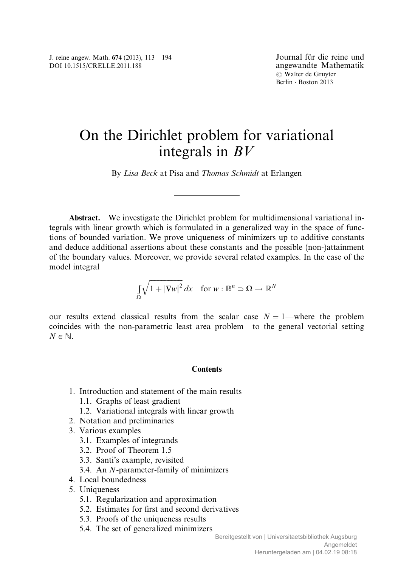# On the Dirichlet problem for variational integrals in BV

By Lisa Beck at Pisa and Thomas Schmidt at Erlangen

Abstract. We investigate the Dirichlet problem for multidimensional variational integrals with linear growth which is formulated in a generalized way in the space of functions of bounded variation. We prove uniqueness of minimizers up to additive constants and deduce additional assertions about these constants and the possible (non-)attainment of the boundary values. Moreover, we provide several related examples. In the case of the model integral

$$
\int_{\Omega} \sqrt{1 + |\nabla w|^2} \, dx \quad \text{for } w : \mathbb{R}^n \supset \Omega \to \mathbb{R}^N
$$

our results extend classical results from the scalar case  $N = 1$ —where the problem coincides with the non-parametric least area problem—to the general vectorial setting  $N \in \mathbb{N}$ .

# **Contents**

- 1. Introduction and statement of the main results
	- 1.1. Graphs of least gradient
	- 1.2. Variational integrals with linear growth
- 2. Notation and preliminaries
- 3. Various examples
	- 3.1. Examples of integrands
	- 3.2. Proof of Theorem 1.5
	- 3.3. Santi's example, revisited
	- 3.4. An N-parameter-family of minimizers
- 4. Local boundedness
- 5. Uniqueness
	- 5.1. Regularization and approximation
	- 5.2. Estimates for first and second derivatives
	- 5.3. Proofs of the uniqueness results
	- 5.4. The set of generalized minimizers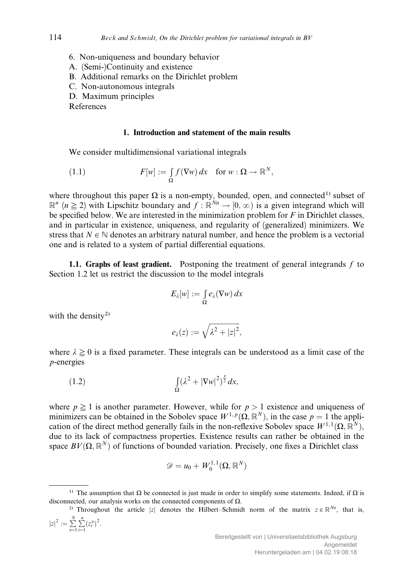- 6. Non-uniqueness and boundary behavior
- A. (Semi-)Continuity and existence
- B. Additional remarks on the Dirichlet problem
- C. Non-autonomous integrals
- D. Maximum principles

References

# 1. Introduction and statement of the main results

We consider multidimensional variational integrals

(1.1) 
$$
F[w] := \int_{\Omega} f(\nabla w) dx \text{ for } w : \Omega \to \mathbb{R}^{N},
$$

where throughout this paper  $\Omega$  is a non-empty, bounded, open, and connected<sup>1)</sup> subset of  $\mathbb{R}^n$  ( $n \geq 2$ ) with Lipschitz boundary and  $f : \mathbb{R}^{N_n} \to [0,\infty)$  is a given integrand which will be specified below. We are interested in the minimization problem for  $F$  in Dirichlet classes, and in particular in existence, uniqueness, and regularity of (generalized) minimizers. We stress that  $N \in \mathbb{N}$  denotes an arbitrary natural number, and hence the problem is a vectorial one and is related to a system of partial differential equations.

1.1. Graphs of least gradient. Postponing the treatment of general integrands  $f$  to Section 1.2 let us restrict the discussion to the model integrals

$$
E_{\lambda}[w] := \int_{\Omega} e_{\lambda}(\nabla w) \, dx
$$

with the density<sup>2)</sup>

$$
e_{\lambda}(z):=\sqrt{\lambda^2+|z|^2},
$$

where  $\lambda \geq 0$  is a fixed parameter. These integrals can be understood as a limit case of the p-energies

(1.2) 
$$
\int_{\Omega} (\lambda^2 + |\nabla w|^2)^{\frac{p}{2}} dx,
$$

where  $p \ge 1$  is another parameter. However, while for  $p > 1$  existence and uniqueness of minimizers can be obtained in the Sobolev space  $W^{1,p}(\Omega,\mathbb{R}^N)$ , in the case  $p = 1$  the application of the direct method generally fails in the non-reflexive Sobolev space  $W^{1,1}(\Omega,\mathbb{R}^N)$ , due to its lack of compactness properties. Existence results can rather be obtained in the space  $BV(\Omega, \mathbb{R}^N)$  of functions of bounded variation. Precisely, one fixes a Dirichlet class

$$
\mathscr{D}=u_0+W^{1,1}_0(\Omega,\mathbb{R}^N)
$$

<sup>&</sup>lt;sup>1)</sup> The assumption that  $\Omega$  be connected is just made in order to simplify some statements. Indeed, if  $\Omega$  is disconnected, our analysis works on the connected components of  $\Omega$ .

<sup>&</sup>lt;sup>2)</sup> Throughout the article |z| denotes the Hilbert–Schmidt norm of the matrix  $z \in \mathbb{R}^{Nn}$ , that is,  $|z|^2 := \sum_{\alpha=1}^N$  $\sum_{ }^n$  $\sum_{i=1}^{n}(z_i^{\alpha})^2$ .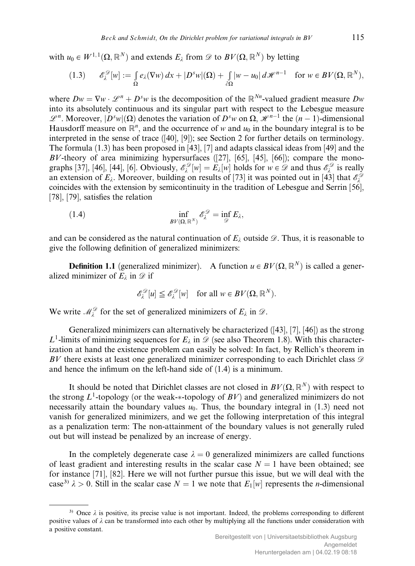with  $u_0 \in W^{1,1}(\Omega, \mathbb{R}^N)$  and extends  $E_i$  from  $\mathscr{D}$  to  $BV(\Omega, \mathbb{R}^N)$  by letting

$$
(1.3) \qquad \mathscr{E}_{\lambda}^{\mathscr{D}}[w] := \int_{\Omega} e_{\lambda}(\nabla w) \, dx + |D^s w|(\Omega) + \int_{\partial \Omega} |w - u_0| \, d\mathscr{H}^{n-1} \quad \text{for } w \in BV(\Omega, \mathbb{R}^N),
$$

where  $Dw = \nabla w \cdot \mathcal{L}^n + D^s w$  is the decomposition of the  $\mathbb{R}^{N_n}$ -valued gradient measure  $Dw$ into its absolutely continuous and its singular part with respect to the Lebesgue measure  $\mathscr{L}^n$ . Moreover,  $|D^s w|(\Omega)$  denotes the variation of  $D^s w$  on  $\Omega$ ,  $\mathscr{H}^{n-1}$  the  $(n-1)$ -dimensional Hausdorff measure on  $\mathbb{R}^n$ , and the occurrence of w and  $u_0$  in the boundary integral is to be interpreted in the sense of trace ([40], [9]); see Section 2 for further details on terminology. The formula (1.3) has been proposed in [43], [7] and adapts classical ideas from [49] and the  $BV$ -theory of area minimizing hypersurfaces  $(27]$ ,  $[65]$ ,  $[45]$ ,  $[66]$ ); compare the monographs [37], [46], [44], [6]. Obviously,  $\mathscr{E}_{\lambda}^{\mathscr{D}}[w] = E_{\lambda}[w]$  holds for  $w \in \mathscr{D}$  and thus  $\mathscr{E}_{\lambda}^{\mathscr{D}}$  is really an extension of  $E_\lambda$ . Moreover, building on results of [73] it was pointed out in [43] that  $\mathscr{E}_\lambda^{\mathscr{D}}$ coincides with the extension by semicontinuity in the tradition of Lebesgue and Serrin [56], [78], [79], satisfies the relation

(1.4) 
$$
\inf_{B V(\Omega, \mathbb{R}^N)} \mathscr{E}_{\lambda}^{\mathscr{D}} = \inf_{\mathscr{D}} E_{\lambda},
$$

and can be considered as the natural continuation of  $E_{\lambda}$  outside  $\mathscr{D}$ . Thus, it is reasonable to give the following definition of generalized minimizers:

**Definition 1.1** (generalized minimizer). A function  $u \in BV(\Omega, \mathbb{R}^N)$  is called a generalized minimizer of  $E_{\lambda}$  in  $\mathscr{D}$  if

$$
\mathscr{E}_{\lambda}^{\mathscr{D}}[u] \leq \mathscr{E}_{\lambda}^{\mathscr{D}}[w] \quad \text{for all } w \in BV(\Omega, \mathbb{R}^{N}).
$$

We write  $\mathcal{M}_{\lambda}^{\mathcal{D}}$  for the set of generalized minimizers of  $E_{\lambda}$  in  $\mathcal{D}$ .

Generalized minimizers can alternatively be characterized ([43], [7], [46]) as the strong  $L^1$ -limits of minimizing sequences for  $E_\lambda$  in  $\mathscr{D}$  (see also Theorem 1.8). With this characterization at hand the existence problem can easily be solved: In fact, by Rellich's theorem in BV there exists at least one generalized minimizer corresponding to each Dirichlet class  $\mathscr{D}$ and hence the infimum on the left-hand side of (1.4) is a minimum.

It should be noted that Dirichlet classes are not closed in  $BV(\Omega, \mathbb{R}^N)$  with respect to the strong  $L^1$ -topology (or the weak- $*$ -topology of  $BV$ ) and generalized minimizers do not necessarily attain the boundary values  $u_0$ . Thus, the boundary integral in (1.3) need not vanish for generalized minimizers, and we get the following interpretation of this integral as a penalization term: The non-attainment of the boundary values is not generally ruled out but will instead be penalized by an increase of energy.

In the completely degenerate case  $\lambda = 0$  generalized minimizers are called functions of least gradient and interesting results in the scalar case  $N = 1$  have been obtained; see for instance [71], [82]. Here we will not further pursue this issue, but we will deal with the case<sup>3)</sup>  $\lambda > 0$ . Still in the scalar case  $N = 1$  we note that  $E_1[w]$  represents the *n*-dimensional

<sup>&</sup>lt;sup>3)</sup> Once  $\lambda$  is positive, its precise value is not important. Indeed, the problems corresponding to different positive values of  $\lambda$  can be transformed into each other by multiplying all the functions under consideration with a positive constant.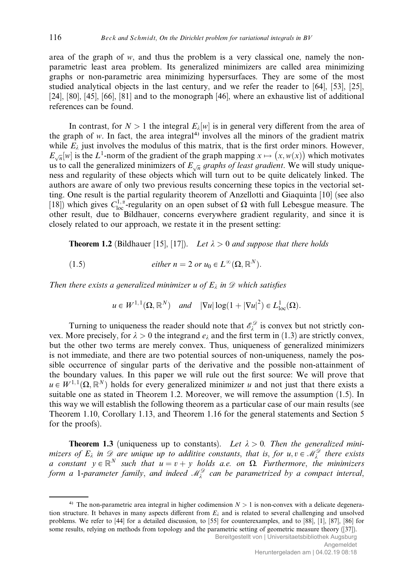area of the graph of  $w$ , and thus the problem is a very classical one, namely the nonparametric least area problem. Its generalized minimizers are called area minimizing graphs or non-parametric area minimizing hypersurfaces. They are some of the most studied analytical objects in the last century, and we refer the reader to [64], [53], [25], [24], [80], [45], [66], [81] and to the monograph [46], where an exhaustive list of additional references can be found.

In contrast, for  $N > 1$  the integral  $E_{\lambda}[w]$  is in general very different from the area of the graph of  $w$ . In fact, the area integral<sup>4)</sup> involves all the minors of the gradient matrix while  $E_{\lambda}$  just involves the modulus of this matrix, that is the first order minors. However,  $E_{\sqrt{n}}[w]$  is the L<sup>1</sup>-norm of the gradient of the graph mapping  $x \mapsto (x, w(x))$  which motivates us to call the generalized minimizers of  $E_{\sqrt{n}}$  graphs of least gradient. We will study uniqueness and regularity of these objects which will turn out to be quite delicately linked. The authors are aware of only two previous results concerning these topics in the vectorial setting. One result is the partial regularity theorem of Anzellotti and Giaquinta [10] (see also [18]) which gives  $C_{loc}^{1,\alpha}$ -regularity on an open subset of  $\Omega$  with full Lebesgue measure. The other result, due to Bildhauer, concerns everywhere gradient regularity, and since it is closely related to our approach, we restate it in the present setting:

**Theorem 1.2** (Bildhauer [15], [17]). Let  $\lambda > 0$  and suppose that there holds

(1.5) *either* 
$$
n = 2
$$
 *or*  $u_0 \in L^{\infty}(\Omega, \mathbb{R}^N)$ .

Then there exists a generalized minimizer u of  $E_{\lambda}$  in  $\mathscr D$  which satisfies

$$
u \in W^{1,1}(\Omega, \mathbb{R}^N)
$$
 and  $|\nabla u| \log(1 + |\nabla u|^2) \in L^1_{loc}(\Omega)$ .

Turning to uniqueness the reader should note that  $\mathscr{E}_{\lambda}^{\mathscr{D}}$  is convex but not strictly convex. More precisely, for  $\lambda > 0$  the integrand  $e_{\lambda}$  and the first term in (1.3) are strictly convex, but the other two terms are merely convex. Thus, uniqueness of generalized minimizers is not immediate, and there are two potential sources of non-uniqueness, namely the possible occurrence of singular parts of the derivative and the possible non-attainment of the boundary values. In this paper we will rule out the first source: We will prove that  $u \in W^{1,1}(\Omega, \mathbb{R}^N)$  holds for every generalized minimizer u and not just that there exists a suitable one as stated in Theorem 1.2. Moreover, we will remove the assumption (1.5). In this way we will establish the following theorem as a particular case of our main results (see Theorem 1.10, Corollary 1.13, and Theorem 1.16 for the general statements and Section 5 for the proofs).

**Theorem 1.3** (uniqueness up to constants). Let  $\lambda > 0$ . Then the generalized minimizers of  $E_\lambda$  in  $\mathscr{D}$  are unique up to additive constants, that is, for  $u, v \in \mathscr{M}_\lambda^{\mathscr{D}}$  there exists a constant  $y \in \mathbb{R}^N$  such that  $u = v + y$  holds a.e. on  $\Omega$ . Furthermore, the minimizers form a 1-parameter family, and indeed  $\mathscr{M}_\lambda^\mathscr{D}$  can be parametrized by a compact interval,

<sup>&</sup>lt;sup>4)</sup> The non-parametric area integral in higher codimension  $N > 1$  is non-convex with a delicate degeneration structure. It behaves in many aspects different from  $E_i$  and is related to several challenging and unsolved problems. We refer to [44] for a detailed discussion, to [55] for counterexamples, and to [88], [1], [87], [86] for some results, relying on methods from topology and the parametric setting of geometric measure theory ([37]).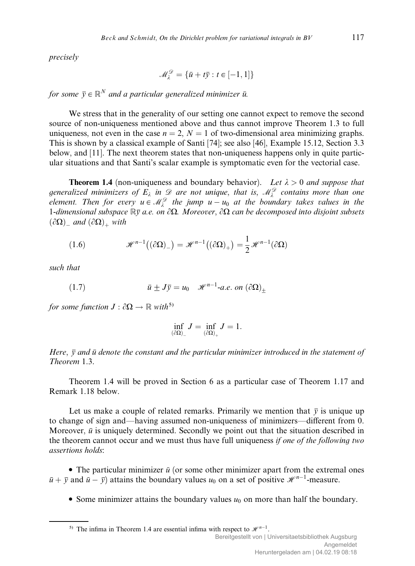precisely

$$
\mathcal{M}_{\lambda}^{\mathcal{D}} = \{ \bar{u} + t\bar{y} : t \in [-1, 1] \}
$$

for some  $\bar{y} \in \mathbb{R}^N$  and a particular generalized minimizer  $\bar{u}$ .

We stress that in the generality of our setting one cannot expect to remove the second source of non-uniqueness mentioned above and thus cannot improve Theorem 1.3 to full uniqueness, not even in the case  $n = 2$ ,  $N = 1$  of two-dimensional area minimizing graphs. This is shown by a classical example of Santi [74]; see also [46], Example 15.12, Section 3.3 below, and [11]. The next theorem states that non-uniqueness happens only in quite particular situations and that Santi's scalar example is symptomatic even for the vectorial case.

**Theorem 1.4** (non-uniqueness and boundary behavior). Let  $\lambda > 0$  and suppose that generalized minimizers of  $E_\lambda$  in  $\mathscr D$  are not unique, that is,  $\mathscr M_\lambda^{\mathscr D}$  contains more than one element. Then for every  $u \in M_{\lambda}^{\mathcal{D}}$  the jump  $u - u_0$  at the boundary takes values in the 1-dimensional subspace  $\mathbb{R}\bar{y}$  a.e. on  $\partial\Omega$ . Moreover,  $\partial\Omega$  can be decomposed into disjoint subsets  $(\partial \Omega)$  and  $(\partial \Omega)$  with

(1.6) 
$$
\mathscr{H}^{n-1}((\partial \Omega)_{-}) = \mathscr{H}^{n-1}((\partial \Omega)_{+}) = \frac{1}{2}\mathscr{H}^{n-1}(\partial \Omega)
$$

such that

(1.7) 
$$
\bar{u} \pm J\bar{y} = u_0 \quad \mathcal{H}^{n-1}\text{-}a.e. \text{ on } (\partial\Omega)_+
$$

for some function  $J : \partial \Omega \to \mathbb{R}$  with<sup>5)</sup>

$$
\inf_{(\partial \Omega)_-} J = \inf_{(\partial \Omega)_+} J = 1.
$$

Here,  $\bar{y}$  and  $\bar{u}$  denote the constant and the particular minimizer introduced in the statement of Theorem 1.3.

Theorem 1.4 will be proved in Section 6 as a particular case of Theorem 1.17 and Remark 1.18 below.

Let us make a couple of related remarks. Primarily we mention that  $\bar{y}$  is unique up to change of sign and—having assumed non-uniqueness of minimizers—different from 0. Moreover,  $\bar{u}$  is uniquely determined. Secondly we point out that the situation described in the theorem cannot occur and we must thus have full uniqueness if one of the following two assertions holds:

• The particular minimizer  $\bar{u}$  (or some other minimizer apart from the extremal ones  $\bar{u} + \bar{y}$  and  $\bar{u} - \bar{y}$ ) attains the boundary values  $u_0$  on a set of positive  $\mathcal{H}^{n-1}$ -measure.

• Some minimizer attains the boundary values  $u_0$  on more than half the boundary.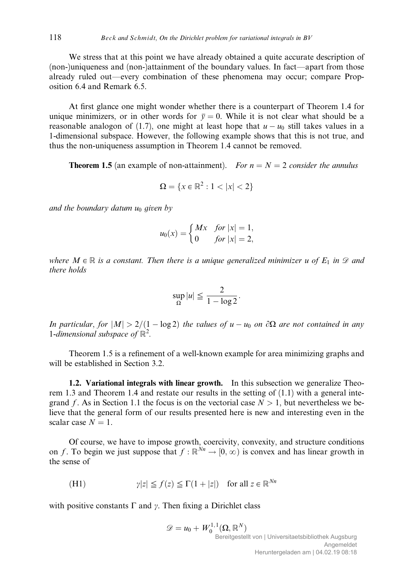We stress that at this point we have already obtained a quite accurate description of (non-)uniqueness and (non-)attainment of the boundary values. In fact—apart from those already ruled out—every combination of these phenomena may occur; compare Proposition 6.4 and Remark 6.5.

At first glance one might wonder whether there is a counterpart of Theorem 1.4 for unique minimizers, or in other words for  $\bar{y} = 0$ . While it is not clear what should be a reasonable analogon of (1.7), one might at least hope that  $u - u_0$  still takes values in a 1-dimensional subspace. However, the following example shows that this is not true, and thus the non-uniqueness assumption in Theorem 1.4 cannot be removed.

**Theorem 1.5** (an example of non-attainment). For  $n = N = 2$  consider the annulus

$$
\Omega = \{x \in \mathbb{R}^2 : 1 < |x| < 2\}
$$

and the boundary datum  $u_0$  given by

$$
u_0(x) = \begin{cases} Mx & \text{for } |x| = 1, \\ 0 & \text{for } |x| = 2, \end{cases}
$$

where  $M \in \mathbb{R}$  is a constant. Then there is a unique generalized minimizer u of  $E_1$  in  $\mathscr D$  and there holds

$$
\sup_{\Omega}|u| \leq \frac{2}{1-\log 2}.
$$

In particular, for  $|M| > 2/(1 - \log 2)$  the values of  $u - u_0$  on  $\partial\Omega$  are not contained in any 1-dimensional subspace of  $\mathbb{R}^2$ .

Theorem 1.5 is a refinement of a well-known example for area minimizing graphs and will be established in Section 3.2.

1.2. Variational integrals with linear growth. In this subsection we generalize Theorem 1.3 and Theorem 1.4 and restate our results in the setting of  $(1.1)$  with a general integrand f. As in Section 1.1 the focus is on the vectorial case  $N > 1$ , but nevertheless we believe that the general form of our results presented here is new and interesting even in the scalar case  $N = 1$ .

Of course, we have to impose growth, coercivity, convexity, and structure conditions on f. To begin we just suppose that  $f : \mathbb{R}^{N_n} \to [0, \infty)$  is convex and has linear growth in the sense of

(H1) 
$$
\qquad \qquad
$$
  $\gamma|z| \le f(z) \le \Gamma(1+|z|) \quad \text{for all } z \in \mathbb{R}^{Nn}$ 

with positive constants  $\Gamma$  and y. Then fixing a Dirichlet class

$$
\mathscr{D} = u_0 + W_0^{1,1}(\Omega, \mathbb{R}^N)
$$
  
Bereitgestellt von | Universitaetsbibliothek Augsburg  
Angemeldet  
Heruntergeladen am | 04.02.19 08:18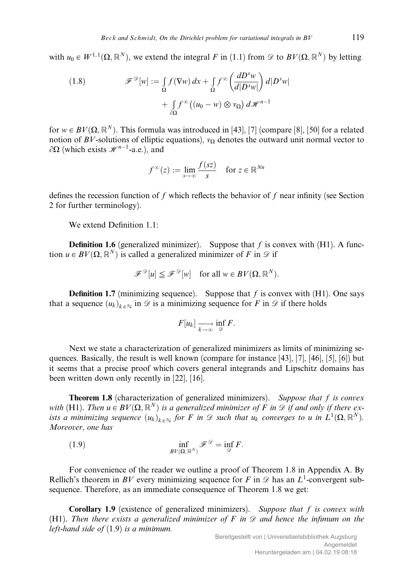with  $u_0 \in W^{1,1}(\Omega, \mathbb{R}^N)$ , we extend the integral F in (1.1) from  $\mathscr{D}$  to  $BV(\Omega, \mathbb{R}^N)$  by letting

(1.8) 
$$
\mathscr{F}^{\mathscr{D}}[w] := \int_{\Omega} f(\nabla w) dx + \int_{\Omega} f^{\infty} \left( \frac{dD^{s}w}{d|D^{s}w|} \right) d|D^{s}w| + \int_{\partial \Omega} f^{\infty} \left( (u_{0} - w) \otimes v_{\Omega} \right) d\mathscr{H}^{n-1}
$$

for  $w \in BV(\Omega, \mathbb{R}^N)$ . This formula was introduced in [43], [7] (compare [8], [50] for a related notion of BV-solutions of elliptic equations),  $v<sub>O</sub>$  denotes the outward unit normal vector to  $\partial\Omega$  (which exists  $\mathscr{H}^{n-1}$ -a.e.), and

$$
f^{\infty}(z) := \lim_{s \to \infty} \frac{f(sz)}{s} \quad \text{for } z \in \mathbb{R}^{Nn}
$$

defines the recession function of f which reflects the behavior of f near infinity (see Section 2 for further terminology).

We extend Definition  $1.1$ :

**Definition 1.6** (generalized minimizer). Suppose that f is convex with  $(H1)$ . A function  $u \in BV(\Omega, \mathbb{R}^N)$  is called a generalized minimizer of F in  $\mathscr D$  if

$$
\mathcal{F}^{\mathcal{D}}[u] \leq \mathcal{F}^{\mathcal{D}}[w] \quad \text{for all } w \in BV(\Omega, \mathbb{R}^N).
$$

**Definition 1.7** (minimizing sequence). Suppose that f is convex with  $(H1)$ . One says that a sequence  $(u_k)_{k \in \mathbb{N}}$  in  $\mathscr{D}$  is a minimizing sequence for F in  $\mathscr{D}$  if there holds

$$
F[u_k] \xrightarrow[k \to \infty]{} \inf_{\mathscr{D}} F.
$$

Next we state a characterization of generalized minimizers as limits of minimizing sequences. Basically, the result is well known (compare for instance [43], [7], [46], [5], [6]) but it seems that a precise proof which covers general integrands and Lipschitz domains has been written down only recently in [22], [16].

**Theorem 1.8** (characterization of generalized minimizers). Suppose that f is convex with (H1). Then  $u \in BV(\Omega, \mathbb{R}^N)$  is a generalized minimizer of F in  $\mathcal D$  if and only if there exists a minimizing sequence  $(u_k)_{k \in \mathbb{N}}$  for F in  $\mathscr D$  such that  $u_k$  converges to u in  $L^1(\Omega,\mathbb{R}^N)$ . Moreover, one has

(1.9) 
$$
\inf_{BV(\Omega,\mathbb{R}^N)} \mathscr{F}^{\mathscr{D}} = \inf_{\mathscr{D}} F.
$$

For convenience of the reader we outline a proof of Theorem 1.8 in Appendix A. By Rellich's theorem in BV every minimizing sequence for F in  $\mathscr D$  has an  $L^1$ -convergent subsequence. Therefore, as an immediate consequence of Theorem 1.8 we get:

**Corollary 1.9** (existence of generalized minimizers). Suppose that  $f$  is convex with (H1). Then there exists a generalized minimizer of F in  $\mathscr D$  and hence the infimum on the left-hand side of  $(1.9)$  is a minimum.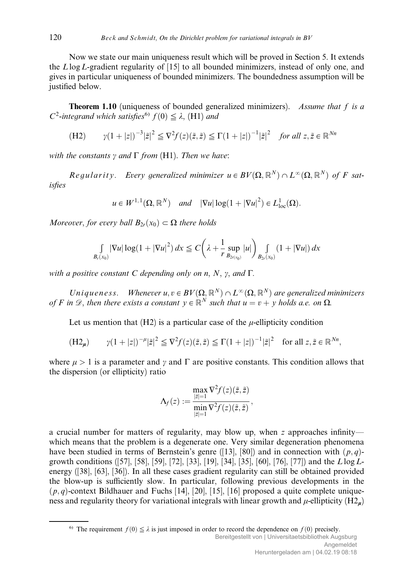Now we state our main uniqueness result which will be proved in Section 5. It extends the Llog L-gradient regularity of [15] to all bounded minimizers, instead of only one, and gives in particular uniqueness of bounded minimizers. The boundedness assumption will be justified below.

**Theorem 1.10** (uniqueness of bounded generalized minimizers). Assume that f is a  $C^2$ -integrand which satisfies<sup>6)</sup>  $f(0) \leq \lambda$ , (H1) and

(H2) 
$$
\gamma (1+|z|)^{-3} |\tilde{z}|^2 \le \nabla^2 f(z)(\tilde{z}, \tilde{z}) \le \Gamma (1+|z|)^{-1} |\tilde{z}|^2
$$
 for all  $z, \tilde{z} \in \mathbb{R}^{Nn}$ 

with the constants  $\gamma$  and  $\Gamma$  from (H1). Then we have:

Reqularity. Every generalized minimizer  $u \in BV(\Omega, \mathbb{R}^N) \cap L^{\infty}(\Omega, \mathbb{R}^N)$  of F satisfies

$$
u \in W^{1,1}(\Omega, \mathbb{R}^N)
$$
 and  $|\nabla u| \log(1 + |\nabla u|^2) \in L^1_{loc}(\Omega)$ .

Moreover, for every ball  $B_{2r}(x_0) \subset \Omega$  there holds

$$
\int_{B_r(x_0)} |\nabla u| \log(1 + |\nabla u|^2) \, dx \le C \bigg( \lambda + \frac{1}{r} \sup_{B_{2r(x_0)}} |u| \bigg) \int_{B_{2r}(x_0)} (1 + |\nabla u|) \, dx
$$

with a positive constant C depending only on n, N,  $\gamma$ , and  $\Gamma$ .

Uniqueness. Whenever  $u, v \in BV(\Omega, \mathbb{R}^N) \cap L^{\infty}(\Omega, \mathbb{R}^N)$  are generalized minimizers of F in  $\mathscr{D}$ , then there exists a constant  $y \in \mathbb{R}^N$  such that  $u = v + y$  holds a.e. on  $\Omega$ .

Let us mention that  $(H2)$  is a particular case of the  $\mu$ -ellipticity condition

$$
(\mathbf{H}2_{\mu}) \qquad \gamma (1+|z|)^{-\mu}|\tilde{z}|^2 \leq \nabla^2 f(z)(\tilde{z},\tilde{z}) \leq \Gamma (1+|z|)^{-1}|\tilde{z}|^2 \quad \text{for all } z, \tilde{z} \in \mathbb{R}^{Nn},
$$

where  $\mu > 1$  is a parameter and y and  $\Gamma$  are positive constants. This condition allows that the dispersion (or ellipticity) ratio

$$
\Lambda_f(z):=\frac{\max\limits_{|\tilde z|=1}\nabla^2 f(z)(\tilde z,\tilde z)}{\min\limits_{|\tilde z|=1}\nabla^2 f(z)(\tilde z,\tilde z)},
$$

a crucial number for matters of regularity, may blow up, when z approaches infinity which means that the problem is a degenerate one. Very similar degeneration phenomena have been studied in terms of Bernstein's genre ([13], [80]) and in connection with  $(p, q)$ growth conditions ([57], [58], [59], [72], [33], [19], [34], [35], [60], [76], [77]) and the Llog Lenergy ([38], [63], [36]). In all these cases gradient regularity can still be obtained provided the blow-up is sufficiently slow. In particular, following previous developments in the  $(p, q)$ -context Bildhauer and Fuchs [14], [20], [15], [16] proposed a quite complete uniqueness and regularity theory for variational integrals with linear growth and  $\mu$ -ellipticity (H2m)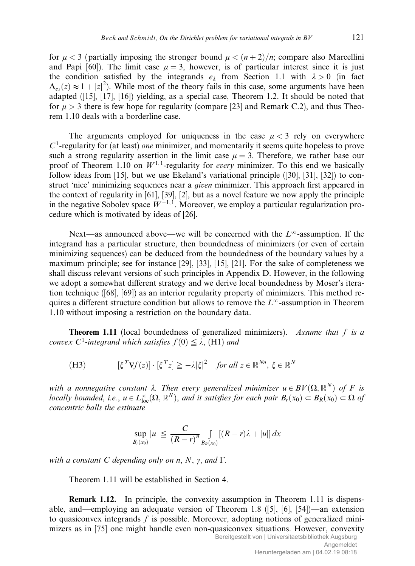for  $\mu < 3$  (partially imposing the stronger bound  $\mu < (\frac{n+2}{n})$ ; compare also Marcellini and Papi [60]). The limit case  $\mu = 3$ , however, is of particular interest since it is just the condition satisfied by the integrands  $e_{\lambda}$  from Section 1.1 with  $\lambda > 0$  (in fact  $\Lambda_{e_{\lambda}}(z) \approx 1 + |z|^2$ ). While most of the theory fails in this case, some arguments have been adapted ([15], [17], [16]) yielding, as a special case, Theorem 1.2. It should be noted that for  $\mu > 3$  there is few hope for regularity (compare [23] and Remark C.2), and thus Theorem 1.10 deals with a borderline case.

The arguments employed for uniqueness in the case  $\mu < 3$  rely on everywhere  $C<sup>1</sup>$ -regularity for (at least) *one* minimizer, and momentarily it seems quite hopeless to prove such a strong regularity assertion in the limit case  $\mu = 3$ . Therefore, we rather base our proof of Theorem 1.10 on  $W^{1,1}$ -regularity for *every* minimizer. To this end we basically follow ideas from [15], but we use Ekeland's variational principle ([30], [31], [32]) to construct 'nice' minimizing sequences near a given minimizer. This approach first appeared in the context of regularity in [61], [39], [2], but as a novel feature we now apply the principle in the negative Sobolev space  $W^{-1, 1}$ . Moreover, we employ a particular regularization procedure which is motivated by ideas of [26].

Next—as announced above—we will be concerned with the  $L^{\infty}$ -assumption. If the integrand has a particular structure, then boundedness of minimizers (or even of certain minimizing sequences) can be deduced from the boundedness of the boundary values by a maximum principle; see for instance [29], [33], [15], [21]. For the sake of completeness we shall discuss relevant versions of such principles in Appendix D. However, in the following we adopt a somewhat different strategy and we derive local boundedness by Moser's iteration technique ([68], [69]) as an interior regularity property of minimizers. This method requires a different structure condition but allows to remove the  $L^{\infty}$ -assumption in Theorem 1.10 without imposing a restriction on the boundary data.

**Theorem 1.11** (local boundedness of generalized minimizers). Assume that  $f$  is a convex C<sup>1</sup>-integrand which satisfies  $f(0) \leq \lambda$ , (H1) and

(H3) 
$$
[\xi^T \nabla f(z)] \cdot [\xi^T z] \ge -\lambda |\xi|^2 \quad \text{for all } z \in \mathbb{R}^{Nn}, \xi \in \mathbb{R}^N
$$

with a nonnegative constant  $\lambda$ . Then every generalized minimizer  $u \in BV(\Omega, \mathbb{R}^N)$  of F is locally bounded, i.e.,  $u \in L^{\infty}_{loc}(\Omega,\mathbb{R}^N)$ , and it satisfies for each pair  $B_r(x_0) \subset B_R(x_0) \subset \Omega$  of concentric balls the estimate

$$
\sup_{B_r(x_0)}|u| \leqq \frac{C}{(R-r)^n}\int_{B_R(x_0)}[(R-r)\lambda+|u|]dx
$$

with a constant C depending only on n, N,  $\gamma$ , and  $\Gamma$ .

Theorem 1.11 will be established in Section 4.

**Remark 1.12.** In principle, the convexity assumption in Theorem 1.11 is dispensable, and—employing an adequate version of Theorem 1.8 ([5], [6], [54])—an extension to quasiconvex integrands  $f$  is possible. Moreover, adopting notions of generalized minimizers as in [75] one might handle even non-quasiconvex situations. However, convexity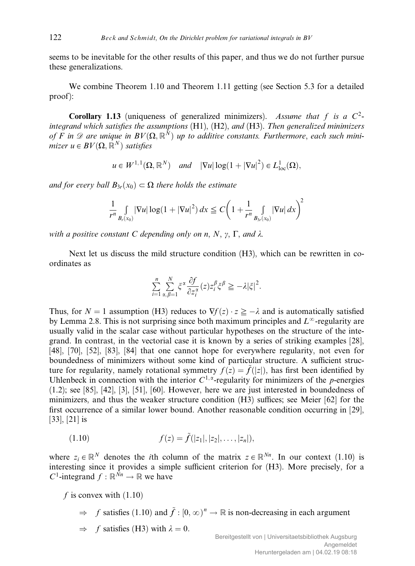seems to be inevitable for the other results of this paper, and thus we do not further pursue these generalizations.

We combine Theorem 1.10 and Theorem 1.11 getting (see Section 5.3 for a detailed proof):

Corollary 1.13 (uniqueness of generalized minimizers). Assume that f is a  $C^2$ integrand which satisfies the assumptions  $(H1)$ ,  $(H2)$ , and  $(H3)$ . Then generalized minimizers of F in  $\mathscr D$  are unique in  $BV(\Omega,\mathbb R^N)$  up to additive constants. Furthermore, each such minimizer  $u \in BV(\Omega, \mathbb{R}^N)$  satisfies

$$
u \in W^{1,1}(\Omega, \mathbb{R}^N)
$$
 and  $|\nabla u| \log(1 + |\nabla u|^2) \in L^1_{loc}(\Omega)$ ,

and for every ball  $B_{3r}(x_0) \subset \Omega$  there holds the estimate

$$
\frac{1}{r^n} \int\limits_{B_r(x_0)} |\nabla u| \log(1 + |\nabla u|^2) \, dx \le C \bigg( 1 + \frac{1}{r^n} \int\limits_{B_{3r}(x_0)} |\nabla u| \, dx \bigg)^2
$$

with a positive constant C depending only on n, N,  $\gamma$ ,  $\Gamma$ , and  $\lambda$ .

Next let us discuss the mild structure condition (H3), which can be rewritten in coordinates as

$$
\sum_{i=1}^n \sum_{\alpha,\beta=1}^N \xi^\alpha \frac{\partial f}{\partial z_i^\alpha}(z) z_i^\beta \xi^\beta \ge -\lambda |\xi|^2.
$$

Thus, for  $N = 1$  assumption (H3) reduces to  $\nabla f(z) \cdot z \geq -\lambda$  and is automatically satisfied by Lemma 2.8. This is not surprising since both maximum principles and  $L^{\infty}$ -regularity are usually valid in the scalar case without particular hypotheses on the structure of the integrand. In contrast, in the vectorial case it is known by a series of striking examples [28], [48], [70], [52], [83], [84] that one cannot hope for everywhere regularity, not even for boundedness of minimizers without some kind of particular structure. A sufficient structure for regularity, namely rotational symmetry  $f(z) = \tilde{f}(|z|)$ , has first been identified by Uhlenbeck in connection with the interior  $C^{1,\alpha}$ -regularity for minimizers of the *p*-energies (1.2); see [85], [42], [3], [51], [60]. However, here we are just interested in boundedness of minimizers, and thus the weaker structure condition  $(H3)$  suffices; see Meier [62] for the first occurrence of a similar lower bound. Another reasonable condition occurring in [29], [33], [21] is

(1.10) 
$$
f(z) = \tilde{f}(|z_1|, |z_2|, \ldots, |z_n|),
$$

where  $z_i \in \mathbb{R}^N$  denotes the *i*th column of the matrix  $z \in \mathbb{R}^{N_n}$ . In our context (1.10) is interesting since it provides a simple sufficient criterion for  $(H3)$ . More precisely, for a C<sup>1</sup>-integrand  $f : \mathbb{R}^{\tilde{N}n} \to \mathbb{R}$  we have

f is convex with  $(1.10)$ 

- $\Rightarrow$  f satisfies (1.10) and  $\tilde{f} : [0, \infty)^n \to \mathbb{R}$  is non-decreasing in each argument
- $\Rightarrow$  f satisfies (H3) with  $\lambda = 0$ .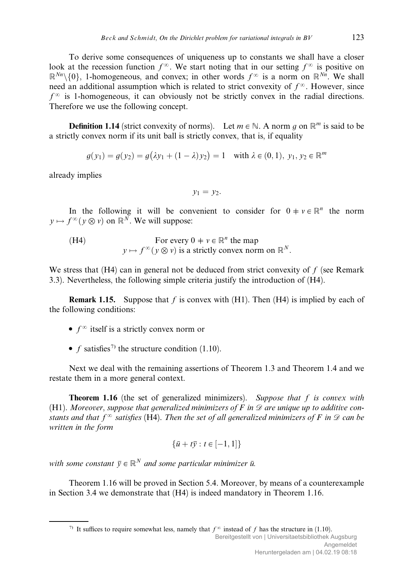To derive some consequences of uniqueness up to constants we shall have a closer look at the recession function  $f^{\infty}$ . We start noting that in our setting  $f^{\infty}$  is positive on  $\mathbb{R}^{Nn}\setminus\{0\}$ , 1-homogeneous, and convex; in other words  $f^{\infty}$  is a norm on  $\mathbb{R}^{Nn}$ . We shall need an additional assumption which is related to strict convexity of  $f^{\infty}$ . However, since  $f^{\infty}$  is 1-homogeneous, it can obviously not be strictly convex in the radial directions. Therefore we use the following concept.

**Definition 1.14** (strict convexity of norms). Let  $m \in \mathbb{N}$ . A norm q on  $\mathbb{R}^m$  is said to be a strictly convex norm if its unit ball is strictly convex, that is, if equality

$$
g(y_1) = g(y_2) = g(\lambda y_1 + (1 - \lambda) y_2) = 1 \quad \text{with } \lambda \in (0, 1), y_1, y_2 \in \mathbb{R}^m
$$

already implies

$$
y_1=y_2.
$$

In the following it will be convenient to consider for  $0 \neq v \in \mathbb{R}^n$  the norm  $y \mapsto f^{\infty}(y \otimes v)$  on  $\mathbb{R}^N$ . We will suppose:

(H4) For every 
$$
0 \neq v \in \mathbb{R}^n
$$
 the map  
\n $y \mapsto f^{\infty}(y \otimes v)$  is a strictly convex norm on  $\mathbb{R}^N$ .

We stress that  $(H4)$  can in general not be deduced from strict convexity of f (see Remark 3.3). Nevertheless, the following simple criteria justify the introduction of (H4).

**Remark 1.15.** Suppose that f is convex with  $(H1)$ . Then  $(H4)$  is implied by each of the following conditions:

- $f^{\infty}$  itself is a strictly convex norm or
- $f$  satisfies<sup>7)</sup> the structure condition (1.10).

Next we deal with the remaining assertions of Theorem 1.3 and Theorem 1.4 and we restate them in a more general context.

**Theorem 1.16** (the set of generalized minimizers). Suppose that  $f$  is convex with (H1). Moreover, suppose that generalized minimizers of F in  $\mathscr D$  are unique up to additive constants and that  $f^{\infty}$  satisfies (H4). Then the set of all generalized minimizers of F in  $\mathscr D$  can be written in the form

$$
\{\bar{u} + t\bar{y} : t \in [-1, 1]\}
$$

with some constant  $\bar{v} \in \mathbb{R}^N$  and some particular minimizer  $\bar{u}$ .

Theorem 1.16 will be proved in Section 5.4. Moreover, by means of a counterexample in Section 3.4 we demonstrate that (H4) is indeed mandatory in Theorem 1.16.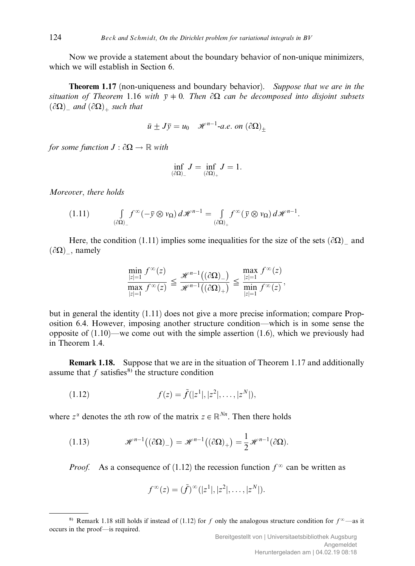Now we provide a statement about the boundary behavior of non-unique minimizers, which we will establish in Section 6.

**Theorem 1.17** (non-uniqueness and boundary behavior). Suppose that we are in the situation of Theorem 1.16 with  $\bar{y} \neq 0$ . Then  $\partial\Omega$  can be decomposed into disjoint subsets  $(\partial \Omega)$  and  $(\partial \Omega)$  such that

$$
\bar{u} \pm J\bar{y} = u_0 \mathcal{H}^{n-1}
$$
-a.e. on  $(\partial \Omega)_+$ 

for some function  $J : \partial \Omega \to \mathbb{R}$  with

$$
\inf_{(\partial \Omega)_-} J = \inf_{(\partial \Omega)_+} J = 1.
$$

Moreover, there holds

$$
(1.11) \qquad \qquad \int\limits_{(\partial\Omega)_-} f^{\infty}(-\bar{y}\otimes v_{\Omega})\,d\mathscr{H}^{n-1} = \int\limits_{(\partial\Omega)_+} f^{\infty}(\bar{y}\otimes v_{\Omega})\,d\mathscr{H}^{n-1}.
$$

Here, the condition (1.11) implies some inequalities for the size of the sets  $(\partial \Omega)$  and  $(\partial \Omega)$ , namely

$$
\frac{\min\limits_{|z|=1}f^\infty(z)}{\max\limits_{|z|=1}f^\infty(z)}\leq \frac{\mathscr{H}^{n-1}\big((\partial\Omega)_-\big)}{\mathscr{H}^{n-1}\big((\partial\Omega)_+\big)}\leq \frac{\max\limits_{|z|=1}f^\infty(z)}{\min\limits_{|z|=1}f^\infty(z)},
$$

but in general the identity (1.11) does not give a more precise information; compare Proposition 6.4. However, imposing another structure condition—which is in some sense the opposite of  $(1.10)$ —we come out with the simple assertion  $(1.6)$ , which we previously had in Theorem 1.4.

Remark 1.18. Suppose that we are in the situation of Theorem 1.17 and additionally assume that  $f$  satisfies<sup>8)</sup> the structure condition

(1.12) 
$$
f(z) = \tilde{f}(|z^1|, |z^2|, \dots, |z^N|),
$$

where  $z^{\alpha}$  denotes the  $\alpha$ th row of the matrix  $z \in \mathbb{R}^{N_n}$ . Then there holds

(1.13) 
$$
\mathscr{H}^{n-1}((\partial \Omega)_{-}) = \mathscr{H}^{n-1}((\partial \Omega)_{+}) = \frac{1}{2} \mathscr{H}^{n-1}(\partial \Omega).
$$

*Proof.* As a consequence of (1.12) the recession function  $f^{\infty}$  can be written as

$$
f^{\infty}(z) = (\tilde{f})^{\infty}(|z^1|, |z^2|, \ldots, |z^N|).
$$

<sup>&</sup>lt;sup>8)</sup> Remark 1.18 still holds if instead of (1.12) for f only the analogous structure condition for  $f^{\infty}$ —as it occurs in the proof—is required.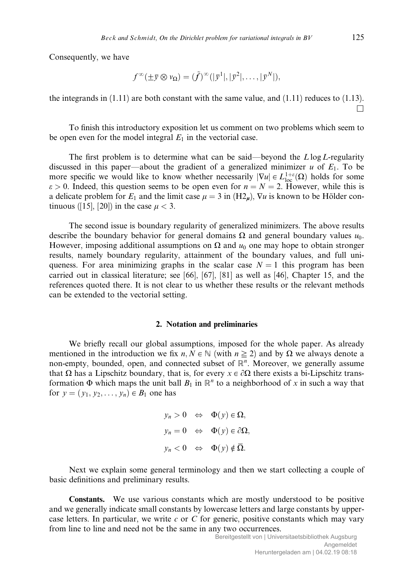Consequently, we have

$$
f^{\infty}(\pm \overline{y}\otimes \nu_{\Omega}) = (\tilde{f})^{\infty}(|\overline{y}^{1}|, |\overline{y}^{2}|, \ldots, |\overline{y}^{N}|),
$$

the integrands in (1.11) are both constant with the same value, and (1.11) reduces to (1.13).  $\Box$ 

To finish this introductory exposition let us comment on two problems which seem to be open even for the model integral  $E_1$  in the vectorial case.

The first problem is to determine what can be said—beyond the  $L \log L$ -regularity discussed in this paper—about the gradient of a generalized minimizer u of  $E_1$ . To be more specific we would like to know whether necessarily  $|\nabla u| \in L^{1+\varepsilon}_{loc}(\Omega)$  holds for some  $\varepsilon > 0$ . Indeed, this question seems to be open even for  $n = N = 2$ . However, while this is a delicate problem for  $E_1$  and the limit case  $\mu = 3$  in (H2<sub>m</sub>),  $\nabla u$  is known to be Hölder continuous ([15], [20]) in the case  $\mu < 3$ .

The second issue is boundary regularity of generalized minimizers. The above results describe the boundary behavior for general domains  $\Omega$  and general boundary values  $u_0$ . However, imposing additional assumptions on  $\Omega$  and  $u_0$  one may hope to obtain stronger results, namely boundary regularity, attainment of the boundary values, and full uniqueness. For area minimizing graphs in the scalar case  $N = 1$  this program has been carried out in classical literature; see [66], [67], [81] as well as [46], Chapter 15, and the references quoted there. It is not clear to us whether these results or the relevant methods can be extended to the vectorial setting.

### 2. Notation and preliminaries

We briefly recall our global assumptions, imposed for the whole paper. As already mentioned in the introduction we fix  $n, N \in \mathbb{N}$  (with  $n \ge 2$ ) and by  $\Omega$  we always denote a non-empty, bounded, open, and connected subset of  $\mathbb{R}^n$ . Moreover, we generally assume that  $\Omega$  has a Lipschitz boundary, that is, for every  $x \in \partial \Omega$  there exists a bi-Lipschitz transformation  $\Phi$  which maps the unit ball  $B_1$  in  $\mathbb{R}^n$  to a neighborhood of x in such a way that for  $y = (y_1, y_2, ..., y_n) \in B_1$  one has

$$
y_n > 0 \Leftrightarrow \Phi(y) \in \Omega,
$$
  

$$
y_n = 0 \Leftrightarrow \Phi(y) \in \partial \Omega,
$$
  

$$
y_n < 0 \Leftrightarrow \Phi(y) \notin \overline{\Omega}.
$$

Next we explain some general terminology and then we start collecting a couple of basic definitions and preliminary results.

Constants. We use various constants which are mostly understood to be positive and we generally indicate small constants by lowercase letters and large constants by uppercase letters. In particular, we write  $c$  or  $C$  for generic, positive constants which may vary from line to line and need not be the same in any two occurrences.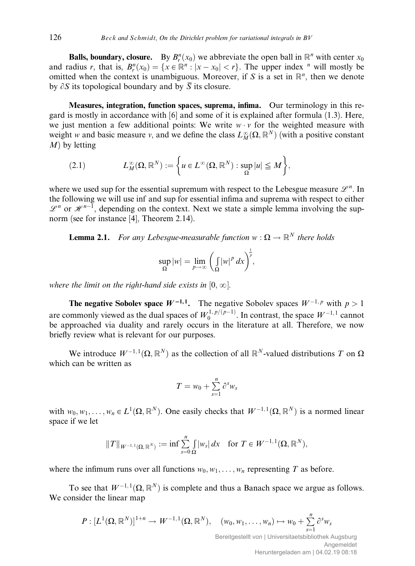**Balls, boundary, closure.** By  $B_r^n(x_0)$  we abbreviate the open ball in  $\mathbb{R}^n$  with center  $x_0$ and radius r, that is,  $B_r^n(x_0) = \{x \in \mathbb{R}^n : |x - x_0| < r\}$ . The upper index <sup>n</sup> will mostly be omitted when the context is unambiguous. Moreover, if S is a set in  $\mathbb{R}^n$ , then we denote by  $\partial S$  its topological boundary and by  $\overline{S}$  its closure.

Measures, integration, function spaces, suprema, infima. Our terminology in this regard is mostly in accordance with [6] and some of it is explained after formula (1.3). Here, we just mention a few additional points: We write  $w \cdot v$  for the weighted measure with weight w and basic measure v, and we define the class  $L_M^{\infty}(\Omega, \mathbb{R}^N)$  (with a positive constant  $M$ ) by letting

(2.1) 
$$
L_M^{\infty}(\Omega, \mathbb{R}^N) := \left\{ u \in L^{\infty}(\Omega, \mathbb{R}^N) : \sup_{\Omega} |u| \leq M \right\},\
$$

where we used sup for the essential supremum with respect to the Lebesgue measure  $\mathscr{L}^n$ . In the following we will use inf and sup for essential infima and suprema with respect to either  $\mathscr{L}^n$  or  $\mathscr{H}^{n-1}$ , depending on the context. Next we state a simple lemma involving the supnorm (see for instance [4], Theorem 2.14).

**Lemma 2.1.** For any Lebesque-measurable function  $w : \Omega \to \mathbb{R}^N$  there holds

$$
\sup_{\Omega}|w|=\lim_{p\to\infty}\left(\int_{\Omega}|w|^{p} dx\right)^{\frac{1}{p}},
$$

where the limit on the right-hand side exists in  $[0, \infty]$ .

**The negative Sobolev space**  $W^{-1,1}$ **.** The negative Sobolev spaces  $W^{-1,p}$  with  $p > 1$ are commonly viewed as the dual spaces of  $W_0^{1,p/(p-1)}$ . In contrast, the space  $W^{-1,1}$  cannot be approached via duality and rarely occurs in the literature at all. Therefore, we now briefly review what is relevant for our purposes.

We introduce  $W^{-1,1}(\Omega,\mathbb{R}^N)$  as the collection of all  $\mathbb{R}^N$ -valued distributions T on  $\Omega$ which can be written as

$$
T = w_0 + \sum_{s=1}^n \partial^s w_s
$$

with  $w_0, w_1, \ldots, w_n \in L^1(\Omega, \mathbb{R}^N)$ . One easily checks that  $W^{-1, 1}(\Omega, \mathbb{R}^N)$  is a normed linear space if we let

$$
||T||_{W^{-1,1}(\Omega,\mathbb{R}^N)} := \inf \sum_{s=0}^n \int_{\Omega} |w_s| \, dx \quad \text{for } T \in W^{-1,1}(\Omega,\mathbb{R}^N),
$$

where the infimum runs over all functions  $w_0, w_1, \ldots, w_n$  representing T as before.

To see that  $W^{-1,1}(\Omega,\mathbb{R}^N)$  is complete and thus a Banach space we argue as follows. We consider the linear map

$$
P: [L^1(\Omega, \mathbb{R}^N)]^{1+n} \to W^{-1,1}(\Omega, \mathbb{R}^N), \quad (w_0, w_1, \ldots, w_n) \mapsto w_0 + \sum_{s=1}^n \partial^s w_s
$$

Bereitgestellt von | Universitaetsbibliothek Augsburg Angemeldet Heruntergeladen am | 04.02.19 08:18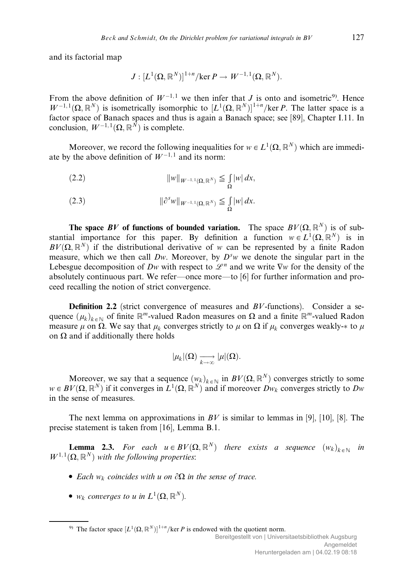and its factorial map

$$
J:[L^1(\Omega,\mathbb{R}^N)]^{1+n}/\text{ker}\,P\rightarrow W^{-1,\,1}(\Omega,\mathbb{R}^N).
$$

From the above definition of  $W^{-1,1}$  we then infer that J is onto and isometric<sup>9</sup>. Hence  $W^{-1,1}(\Omega,\mathbb{R}^N)$  is isometrically isomorphic to  $[L^1(\Omega,\mathbb{R}^N)]^{1+n}/\text{ker }P$ . The latter space is a factor space of Banach spaces and thus is again a Banach space; see [89], Chapter I.11. In conclusion,  $W^{-1,1}(\Omega,\mathbb{R}^N)$  is complete.

Moreover, we record the following inequalities for  $w \in L^1(\Omega, \mathbb{R}^N)$  which are immediate by the above definition of  $W^{-1,1}$  and its norm:

(2.2) 
$$
||w||_{W^{-1,1}(\Omega, \mathbb{R}^N)} \leq \int_{\Omega} |w| dx,
$$

(2.3) 
$$
\|\partial^s w\|_{W^{-1,1}(\Omega,\mathbb{R}^N)} \leq \int_{\Omega} |w| dx.
$$

The space BV of functions of bounded variation. The space  $BV(\Omega, \mathbb{R}^N)$  is of substantial importance for this paper. By definition a function  $w \in L^1(\Omega, \mathbb{R}^N)$  is in  $BV(\Omega, \mathbb{R}^N)$  if the distributional derivative of w can be represented by a finite Radon measure, which we then call  $Dw$ . Moreover, by  $D<sup>s</sup>w$  we denote the singular part in the Lebesgue decomposition of Dw with respect to  $\mathcal{L}^n$  and we write  $\nabla w$  for the density of the absolutely continuous part. We refer—once more—to [6] for further information and proceed recalling the notion of strict convergence.

**Definition 2.2** (strict convergence of measures and  $BV$ -functions). Consider a sequence  $(\mu_k)_{k \in \mathbb{N}}$  of finite  $\mathbb{R}^m$ -valued Radon measures on  $\Omega$  and a finite  $\mathbb{R}^m$ -valued Radon measure  $\mu$  on  $\Omega$ . We say that  $\mu_k$  converges strictly to  $\mu$  on  $\Omega$  if  $\mu_k$  converges weakly- $*$  to  $\mu$ on  $\Omega$  and if additionally there holds

$$
|\mu_k|(\Omega)\xrightarrow[k\to\infty]{}\mu|(\Omega).
$$

Moreover, we say that a sequence  $(w_k)_{k \in \mathbb{N}}$  in  $BV(\Omega, \mathbb{R}^N)$  converges strictly to some  $w \in BV(\Omega, \mathbb{R}^N)$  if it converges in  $L^1(\Omega, \mathbb{R}^N)$  and if moreover  $Dw_k$  converges strictly to  $Dw$ in the sense of measures.

The next lemma on approximations in  $BV$  is similar to lemmas in [9], [10], [8]. The precise statement is taken from [16], Lemma B.1.

**Lemma 2.3.** For each  $u \in BV(\Omega, \mathbb{R}^N)$  there exists a sequence  $(w_k)_{k \in \mathbb{N}}$  in  $W^{1,1}(\Omega,\mathbb{R}^N)$  with the following properties:

- Each  $w_k$  coincides with u on  $\partial\Omega$  in the sense of trace.
- $w_k$  converges to u in  $L^1(\Omega,\mathbb{R}^N)$ .

<sup>9)</sup> The factor space  $[L^1(\Omega, \mathbb{R}^N)]^{1+n}/\text{ker } P$  is endowed with the quotient norm.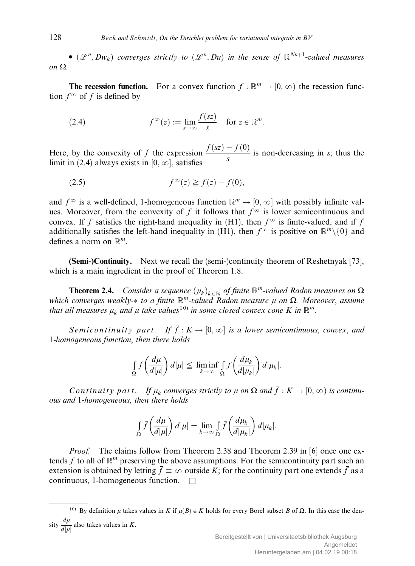•  $(\mathscr{L}^n, Dw_k)$  converges strictly to  $(\mathscr{L}^n, Du)$  in the sense of  $\mathbb{R}^{Nn+1}$ -valued measures on  $\Omega$ .

**The recession function.** For a convex function  $f : \mathbb{R}^m \to [0, \infty)$  the recession function  $f^{\infty}$  of f is defined by

(2.4) 
$$
f^{\infty}(z) := \lim_{s \to \infty} \frac{f(sz)}{s} \quad \text{for } z \in \mathbb{R}^m.
$$

Here, by the convexity of f the expression  $\frac{f(sz)-f(0)}{s}$  is non-decreasing in s; thus the limit in  $(2.4)$  always exists in  $[0, \infty]$ , satisfies

$$
(2.5) \t f^{\infty}(z) \geqq f(z) - f(0),
$$

and  $f^{\infty}$  is a well-defined, 1-homogeneous function  $\mathbb{R}^m \to [0, \infty]$  with possibly infinite values. Moreover, from the convexity of f it follows that  $f^{\infty}$  is lower semicontinuous and convex. If f satisfies the right-hand inequality in (H1), then  $f^{\infty}$  is finite-valued, and if f additionally satisfies the left-hand inequality in (H1), then  $f^{\infty}$  is positive on  $\mathbb{R}^m \setminus \{0\}$  and defines a norm on  $\mathbb{R}^m$ .

(Semi-)Continuity. Next we recall the (semi-)continuity theorem of Reshetnyak [73], which is a main ingredient in the proof of Theorem 1.8.

**Theorem 2.4.** Consider a sequence  $(\mu_k)_{k \in \mathbb{N}}$  of finite  $\mathbb{R}^m$ -valued Radon measures on  $\Omega$ which converges weakly- $*$  to a finite  $\mathbb{R}^m$ -valued Radon measure  $\mu$  on  $\Omega$ . Moreover, assume that all measures  $\mu_k$  and  $\mu$  take values<sup>10)</sup> in some closed convex cone K in  $\mathbb{R}^m$ .

Semicontinuity part. If  $\bar{f}: K \to [0, \infty]$  is a lower semicontinuous, convex, and 1-homogeneous function, then there holds

$$
\int_{\Omega} \bar{f}\left(\frac{d\mu}{d|\mu|}\right) d|\mu| \leqq \liminf_{k \to \infty} \int_{\Omega} \bar{f}\left(\frac{d\mu_k}{d|\mu_k|}\right) d|\mu_k|.
$$

Continuity part. If  $\mu_k$  converges strictly to  $\mu$  on  $\Omega$  and  $\bar{f}:K\to [0,\infty)$  is continuous and 1-homogeneous, then there holds

$$
\int_{\Omega} \overline{f}\left(\frac{d\mu}{d|\mu|}\right) d|\mu| = \lim_{k \to \infty} \int_{\Omega} \overline{f}\left(\frac{d\mu_k}{d|\mu_k|}\right) d|\mu_k|.
$$

*Proof.* The claims follow from Theorem 2.38 and Theorem 2.39 in [6] once one extends f to all of  $\mathbb{R}^m$  preserving the above assumptions. For the semicontinuity part such an extension is obtained by letting  $\bar{f} \equiv \infty$  outside K; for the continuity part one extends  $\bar{f}$  as a continuous, 1-homogeneous function.  $\Box$ 

<sup>&</sup>lt;sup>10)</sup> By definition  $\mu$  takes values in K if  $\mu(B) \in K$  holds for every Borel subset B of  $\Omega$ . In this case the density  $\frac{d\mu}{d|\mu|}$  also takes values in K.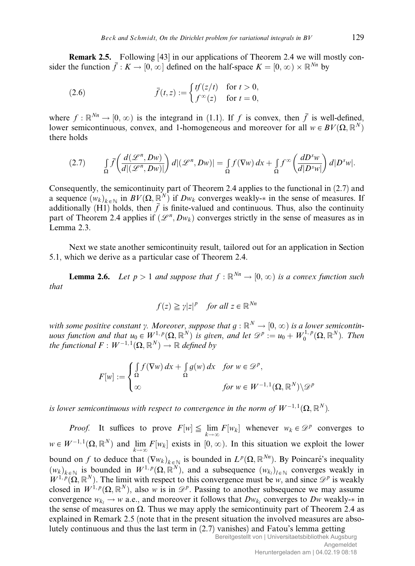Remark 2.5. Following [43] in our applications of Theorem 2.4 we will mostly consider the function  $\bar{f}: K \to [0, \infty]$  defined on the half-space  $K = [0, \infty) \times \mathbb{R}^{Nn}$  by

(2.6) 
$$
\bar{f}(t,z) := \begin{cases} tf(z/t) & \text{for } t > 0, \\ f^{\infty}(z) & \text{for } t = 0, \end{cases}
$$

where  $f : \mathbb{R}^{N_n} \to [0, \infty)$  is the integrand in (1.1). If f is convex, then  $\bar{f}$  is well-defined, lower semicontinuous, convex, and 1-homogeneous and moreover for all  $w \in BV(\Omega, \mathbb{R}^N)$ there holds

$$
(2.7) \qquad \int_{\Omega} \overline{f}\left(\frac{d(\mathcal{L}^n, Dw)}{d|(\mathcal{L}^n, Dw)|}\right) d|(\mathcal{L}^n, Dw)| = \int_{\Omega} f(\nabla w) \, dx + \int_{\Omega} f^{\infty}\left(\frac{dD^s w}{d|D^s w|}\right) d|D^s w|.
$$

Consequently, the semicontinuity part of Theorem 2.4 applies to the functional in (2.7) and a sequence  $(w_k)_{k \in \mathbb{N}}$  in  $BV(\Omega, \mathbb{R}^N)$  if  $Dw_k$  converges weakly- $*$  in the sense of measures. If additionally (H1) holds, then f is finite-valued and continuous. Thus, also the continuity part of Theorem 2.4 applies if  $(\mathcal{L}^n, Dw_k)$  converges strictly in the sense of measures as in Lemma 2.3.

Next we state another semicontinuity result, tailored out for an application in Section 5.1, which we derive as a particular case of Theorem 2.4.

**Lemma 2.6.** Let  $p > 1$  and suppose that  $f : \mathbb{R}^{Nn} \to [0, \infty)$  is a convex function such that

$$
f(z) \geqq \gamma |z|^p \quad \text{for all } z \in \mathbb{R}^{Nn}
$$

with some positive constant y. Moreover, suppose that  $g : \mathbb{R}^N \to [0,\infty)$  is a lower semicontinuous function and that  $u_0 \in W^{1,p}(\Omega,\mathbb{R}^N)$  is given, and let  $\mathscr{D}^p := u_0 + W_0^{1,p}(\Omega,\mathbb{R}^N)$ . Then the functional  $F: W^{-1,1}(\Omega,\mathbb{R}^N) \to \mathbb{R}$  defined by

$$
F[w] := \begin{cases} \int_{\Omega} f(\nabla w) dx + \int_{\Omega} g(w) dx & \text{for } w \in \mathcal{D}^p, \\ \infty & \text{for } w \in W^{-1,1}(\Omega, \mathbb{R}^N) \setminus \mathcal{D}^p \end{cases}
$$

is lower semicontinuous with respect to convergence in the norm of  $W^{-1,1}(\Omega,\mathbb{R}^N)$ .

*Proof.* It suffices to prove  $F[w] \leqq \lim_{k \to \infty} F[w_k]$  whenever  $w_k \in \mathcal{D}^p$  converges to  $w \in W^{-1,1}(\Omega, \mathbb{R}^N)$  and  $\lim_{k \to \infty} F[w_k]$  exists in  $[0, \infty)$ . In this situation we exploit the lower bound on f to deduce that  $(\nabla w_k)_{k \in \mathbb{N}}$  is bounded in  $L^p(\Omega, \mathbb{R}^{N_n})$ . By Poincaré's inequality  $(w_k)_{k \in \mathbb{N}}$  is bounded in  $W^{1,p}(\Omega,\mathbb{R}^N)$ , and a subsequence  $(w_{k_l})_{l \in \mathbb{N}}$  converges weakly in  $W^{1,p}(\Omega,\mathbb{R}^N)$ . The limit with respect to this convergence must be w, and since  $\mathscr{D}^p$  is weakly closed in  $W^{1,p}(\Omega,\mathbb{R}^N)$ , also w is in  $\mathscr{D}^p$ . Passing to another subsequence we may assume convergence  $w_{ki} \rightarrow w$  a.e., and moreover it follows that  $Dw_{ki}$  converges to Dw weakly- $*$  in the sense of measures on  $\Omega$ . Thus we may apply the semicontinuity part of Theorem 2.4 as explained in Remark 2.5 (note that in the present situation the involved measures are absolutely continuous and thus the last term in (2.7) vanishes) and Fatou's lemma getting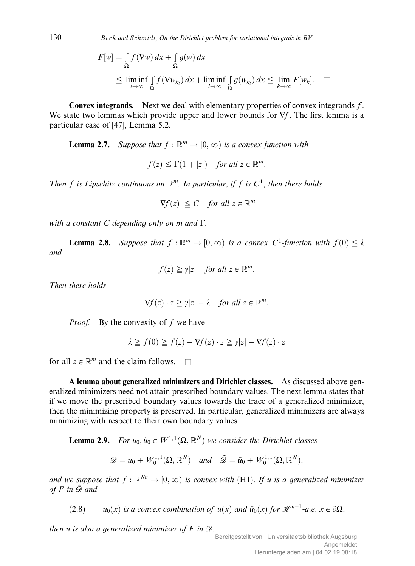130 Beck and Schmidt, On the Dirichlet problem for variational integrals in  $BV$ 

$$
F[w] = \int_{\Omega} f(\nabla w) dx + \int_{\Omega} g(w) dx
$$
  
\n
$$
\leq \liminf_{l \to \infty} \int_{\Omega} f(\nabla w_{k_l}) dx + \liminf_{l \to \infty} \int_{\Omega} g(w_{k_l}) dx \leq \lim_{k \to \infty} F[w_k]. \quad \Box
$$

**Convex integrands.** Next we deal with elementary properties of convex integrands  $f$ . We state two lemmas which provide upper and lower bounds for  $\nabla f$ . The first lemma is a particular case of [47], Lemma 5.2.

**Lemma 2.7.** Suppose that  $f : \mathbb{R}^m \to [0, \infty)$  is a convex function with

 $f(z) \leq \Gamma(1+|z|)$  for all  $z \in \mathbb{R}^m$ .

Then f is Lipschitz continuous on  $\mathbb{R}^m$ . In particular, if f is  $C^1$ , then there holds

 $|\nabla f(z)| \leq C$  for all  $z \in \mathbb{R}^m$ 

with a constant C depending only on  $m$  and  $\Gamma$ .

**Lemma 2.8.** Suppose that  $f : \mathbb{R}^m \to [0,\infty)$  is a convex  $C^1$ -function with  $f(0) \leq \lambda$ and

$$
f(z) \geqq \gamma |z| \quad \text{for all } z \in \mathbb{R}^m.
$$

Then there holds

$$
\nabla f(z) \cdot z \geq \gamma |z| - \lambda \quad \text{for all } z \in \mathbb{R}^m.
$$

*Proof.* By the convexity of f we have

 $\lambda \geq f(0) \geq f(z) - \nabla f(z) \cdot z \geq \gamma |z| - \nabla f(z) \cdot z$ 

for all  $z \in \mathbb{R}^m$  and the claim follows.  $\Box$ 

A lemma about generalized minimizers and Dirichlet classes. As discussed above generalized minimizers need not attain prescribed boundary values. The next lemma states that if we move the prescribed boundary values towards the trace of a generalized minimizer, then the minimizing property is preserved. In particular, generalized minimizers are always minimizing with respect to their own boundary values.

**Lemma 2.9.** For  $u_0, \tilde{u}_0 \in W^{1,1}(\Omega, \mathbb{R}^N)$  we consider the Dirichlet classes

$$
\mathscr{D}=u_0+W_0^{1,1}(\Omega,\mathbb{R}^N) \quad and \quad \tilde{\mathscr{D}}=\tilde{u}_0+W_0^{1,1}(\Omega,\mathbb{R}^N),
$$

and we suppose that  $f : \mathbb{R}^{N_n} \to [0,\infty)$  is convex with (H1). If u is a generalized minimizer of F in  $\tilde{\mathcal{D}}$  and

(2.8)  $u_0(x)$  is a convex combination of  $u(x)$  and  $\tilde{u}_0(x)$  for  $\mathcal{H}^{n-1}$ -a.e.  $x \in \partial\Omega$ ,

then u is also a generalized minimizer of  $F$  in  $\mathcal{D}$ .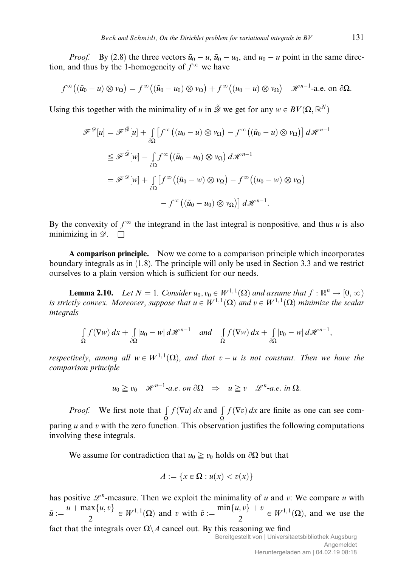*Proof.* By (2.8) the three vectors  $\tilde{u}_0 - u$ ,  $\tilde{u}_0 - u_0$ , and  $u_0 - u$  point in the same direction, and thus by the 1-homogeneity of  $f^{\infty}$  we have

$$
f^{\infty}((\tilde{u}_{0}-u)\otimes v_{\Omega})=f^{\infty}((\tilde{u}_{0}-u_{0})\otimes v_{\Omega})+f^{\infty}((u_{0}-u)\otimes v_{\Omega})\quad \mathscr{H}^{n-1}\text{-a.e. on }\partial\Omega.
$$

Using this together with the minimality of u in  $\tilde{\mathcal{D}}$  we get for any  $w \in BV(\Omega, \mathbb{R}^N)$ 

$$
\mathscr{F}^{\mathscr{D}}[u] = \mathscr{F}^{\tilde{\mathscr{D}}}[u] + \int_{\partial\Omega} \left[ f^{\infty} \left( (u_0 - u) \otimes v_{\Omega} \right) - f^{\infty} \left( (\tilde{u}_0 - u) \otimes v_{\Omega} \right) \right] d\mathscr{H}^{n-1}
$$
  
\n
$$
\leq \mathscr{F}^{\tilde{\mathscr{D}}}[w] - \int_{\partial\Omega} f^{\infty} \left( (\tilde{u}_0 - u_0) \otimes v_{\Omega} \right) d\mathscr{H}^{n-1}
$$
  
\n
$$
= \mathscr{F}^{\mathscr{D}}[w] + \int_{\partial\Omega} \left[ f^{\infty} \left( (\tilde{u}_0 - w) \otimes v_{\Omega} \right) - f^{\infty} \left( (u_0 - w) \otimes v_{\Omega} \right) \right. \newline - f^{\infty} \left( (\tilde{u}_0 - u_0) \otimes v_{\Omega} \right) \right] d\mathscr{H}^{n-1}.
$$

By the convexity of  $f^{\infty}$  the integrand in the last integral is nonpositive, and thus u is also minimizing in  $\mathscr{D}$ .  $\Box$ 

A comparison principle. Now we come to a comparison principle which incorporates boundary integrals as in (1.8). The principle will only be used in Section 3.3 and we restrict ourselves to a plain version which is sufficient for our needs.

**Lemma 2.10.** Let  $N = 1$ . Consider  $u_0, v_0 \in W^{1,1}(\Omega)$  and assume that  $f : \mathbb{R}^n \to [0, \infty)$ is strictly convex. Moreover, suppose that  $u \in W^{1,1}(\Omega)$  and  $v \in W^{1,1}(\Omega)$  minimize the scalar integrals

$$
\int_{\Omega} f(\nabla w) dx + \int_{\partial \Omega} |u_0 - w| d\mathscr{H}^{n-1} \quad and \quad \int_{\Omega} f(\nabla w) dx + \int_{\partial \Omega} |v_0 - w| d\mathscr{H}^{n-1},
$$

respectively, among all  $w \in W^{1,1}(\Omega)$ , and that  $v - u$  is not constant. Then we have the comparison principle

$$
u_0 \geq v_0
$$
  $\mathscr{H}^{n-1}$ -a.e. on  $\partial \Omega \Rightarrow u \geq v$   $\mathscr{L}^n$ -a.e. in  $\Omega$ .

*Proof.* We first note that  $\int f(\nabla u) dx$  and  $\int f(\nabla v) dx$  are finite as one can see comparing *u* and *v* with the zero function. This observation justifies the following computations involving these integrals.

We assume for contradiction that  $u_0 \geq v_0$  holds on  $\partial\Omega$  but that

$$
A := \{x \in \Omega : u(x) < v(x)\}
$$

has positive  $\mathcal{L}^n$ -measure. Then we exploit the minimality of u and v: We compare u with  $\tilde{u} := \frac{u + \max\{u, v\}}{2} \in W^{1,1}(\Omega)$  and v with  $\tilde{v} := \frac{\min\{u, v\} + v}{2} \in W^{1,1}(\Omega)$ , and we use the fact that the integrals over  $\Omega \backslash A$  cancel out. By this reasoning we find Bereitgestellt von | Universitaetsbibliothek Augsburg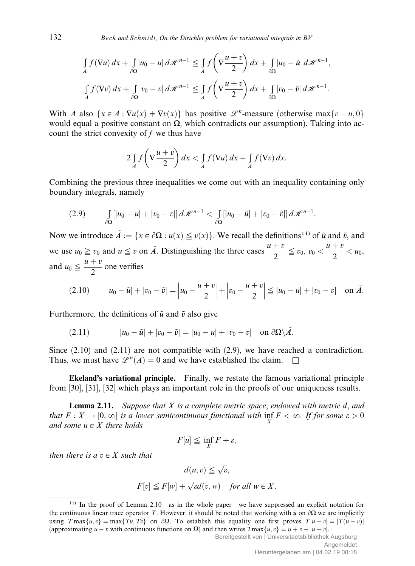$$
\int_{A} f(\nabla u) dx + \int_{\partial \Omega} |u_0 - u| d\mathcal{H}^{n-1} \leq \int_{A} f\left(\nabla \frac{u+v}{2}\right) dx + \int_{\partial \Omega} |u_0 - \tilde{u}| d\mathcal{H}^{n-1},
$$
\n
$$
\int_{A} f(\nabla v) dx + \int_{\partial \Omega} |v_0 - v| d\mathcal{H}^{n-1} \leq \int_{A} f\left(\nabla \frac{u+v}{2}\right) dx + \int_{\partial \Omega} |v_0 - \tilde{v}| d\mathcal{H}^{n-1}.
$$

With A also  $\{x \in A : \nabla u(x) + \nabla v(x)\}$  has positive  $\mathscr{L}^n$ -measure (otherwise max $\{v - u, 0\}$ would equal a positive constant on  $\Omega$ , which contradicts our assumption). Taking into account the strict convexity of  $f$  we thus have

$$
2\int_A f\left(\nabla \frac{u+v}{2}\right) dx < \int_A f(\nabla u) dx + \int_A f(\nabla v) dx.
$$

Combining the previous three inequalities we come out with an inequality containing only boundary integrals, namely

$$
(2.9) \qquad \int\limits_{\partial\Omega}[|u_0-u|+|v_0-v|]\,d\mathscr{H}^{n-1}<\int\limits_{\partial\Omega}[|u_0-\tilde{u}|+|v_0-\tilde{v}|]\,d\mathscr{H}^{n-1}.
$$

Now we introduce  $\tilde{A} := \{x \in \partial \Omega : u(x) \leq v(x)\}\.$  We recall the definitions<sup>11)</sup> of  $\tilde{u}$  and  $\tilde{v}$ , and we use  $u_0 \ge v_0$  and  $u \le v$  on  $\tilde{A}$ . Distinguishing the three cases  $\frac{u+v}{2} \le v_0$ ,  $v_0 < \frac{u+v}{2} < u_0$ , and  $u_0 \leq \frac{u+v}{2}$  one verifies

$$
(2.10) \t |u_0 - \tilde{u}| + |v_0 - \tilde{v}| = |u_0 - \frac{u+v}{2}| + |v_0 - \frac{u+v}{2}| \le |u_0 - u| + |v_0 - v| \quad \text{on } \tilde{A}.
$$

Furthermore, the definitions of  $\tilde{u}$  and  $\tilde{v}$  also give

$$
(2.11) \t |u_0 - \tilde{u}| + |v_0 - \tilde{v}| = |u_0 - u| + |v_0 - v| \t on \partial\Omega \setminus \tilde{A}.
$$

Since  $(2.10)$  and  $(2.11)$  are not compatible with  $(2.9)$ , we have reached a contradiction. Thus, we must have  $\mathscr{L}^n(A) = 0$  and we have established the claim.  $\square$ 

Ekeland's variational principle. Finally, we restate the famous variational principle from [30], [31], [32] which plays an important role in the proofs of our uniqueness results.

**Lemma 2.11.** Suppose that X is a complete metric space, endowed with metric d, and that  $F: X \to [0, \infty]$  is a lower semicontinuous functional with  $\inf_{X} F < \infty$ . If for some  $\varepsilon > 0$ and some  $u \in X$  there holds

$$
F[u] \le \inf_X F + \varepsilon,
$$

then there is a  $v \in X$  such that

$$
d(u, v) \leq \sqrt{\varepsilon},
$$
  

$$
F[v] \leq F[w] + \sqrt{\varepsilon}d(v, w) \quad \text{for all } w \in X.
$$

<sup>11)</sup> In the proof of Lemma 2.10—as in the whole paper—we have suppressed an explicit notation for the continuous linear trace operator T. However, it should be noted that working with  $\tilde{u}$  on  $\partial\Omega$  we are implicitly using  $T \max\{u, v\} = \max\{Tu, Tv\}$  on  $\partial\Omega$ . To establish this equality one first proves  $T|u - v| = |T(u - v)|$ (approximating  $u - v$  with continuous functions on  $\overline{\Omega}$ ) and then writes  $2 \max\{u, v\} = u + v + |u - v|$ .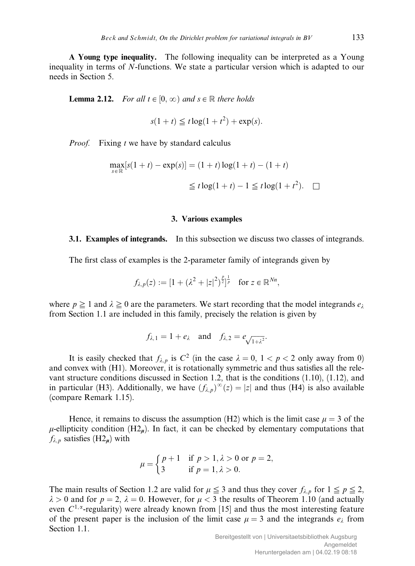A Young type inequality. The following inequality can be interpreted as a Young inequality in terms of N-functions. We state a particular version which is adapted to our needs in Section 5.

**Lemma 2.12.** For all  $t \in [0, \infty)$  and  $s \in \mathbb{R}$  there holds

$$
s(1+t) \leq t \log(1+t^2) + \exp(s).
$$

*Proof.* Fixing *t* we have by standard calculus

$$
\max_{s \in \mathbb{R}} [s(1+t) - \exp(s)] = (1+t) \log(1+t) - (1+t)
$$
  

$$
\leq t \log(1+t) - 1 \leq t \log(1+t^2). \quad \Box
$$

#### 3. Various examples

### 3.1. Examples of integrands. In this subsection we discuss two classes of integrands.

The first class of examples is the 2-parameter family of integrands given by

$$
f_{\lambda,p}(z) := [1 + (\lambda^2 + |z|^2)^{\frac{p}{2}}]^{1/p} \text{ for } z \in \mathbb{R}^{Nn},
$$

where  $p \ge 1$  and  $\lambda \ge 0$  are the parameters. We start recording that the model integrands  $e_{\lambda}$ from Section 1.1 are included in this family, precisely the relation is given by

$$
f_{\lambda,1} = 1 + e_{\lambda}
$$
 and  $f_{\lambda,2} = e_{\sqrt{1 + \lambda^2}}$ .

It is easily checked that  $f_{\lambda, p}$  is  $C^2$  (in the case  $\lambda = 0, 1 < p < 2$  only away from 0) and convex with (H1). Moreover, it is rotationally symmetric and thus satisfies all the relevant structure conditions discussed in Section 1.2, that is the conditions (1.10), (1.12), and in particular (H3). Additionally, we have  $(f_{\lambda,p})^{\infty}(z) = |z|$  and thus (H4) is also available (compare Remark 1.15).

Hence, it remains to discuss the assumption (H2) which is the limit case  $\mu = 3$  of the  $\mu$ -ellipticity condition (H2<sub>m</sub>). In fact, it can be checked by elementary computations that  $f_{\lambda,p}$  satisfies (H2<sub>u</sub>) with

$$
\mu = \begin{cases} p+1 & \text{if } p > 1, \lambda > 0 \text{ or } p = 2, \\ 3 & \text{if } p = 1, \lambda > 0. \end{cases}
$$

The main results of Section 1.2 are valid for  $\mu \leq 3$  and thus they cover  $f_{\lambda,p}$  for  $1 \leq p \leq 2$ ,  $\lambda > 0$  and for  $p = 2$ ,  $\lambda = 0$ . However, for  $\mu < 3$  the results of Theorem 1.10 (and actually even  $C^{1,\alpha}$ -regularity) were already known from [15] and thus the most interesting feature of the present paper is the inclusion of the limit case  $\mu = 3$  and the integrands  $e_{\lambda}$  from Section 1.1.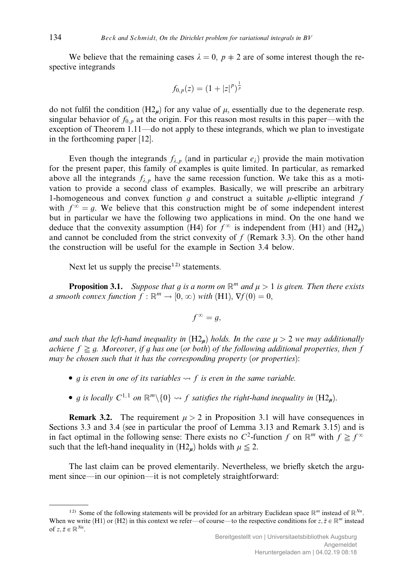We believe that the remaining cases  $\lambda = 0$ ,  $p \neq 2$  are of some interest though the respective integrands

$$
f_{0,p}(z) = (1+|z|^p)^{\frac{1}{p}}
$$

do not fulfil the condition  $(H2<sub>u</sub>)$  for any value of  $\mu$ , essentially due to the degenerate resp. singular behavior of  $f_{0,n}$  at the origin. For this reason most results in this paper—with the exception of Theorem 1.11—do not apply to these integrands, which we plan to investigate in the forthcoming paper [12].

Even though the integrands  $f_{\lambda,p}$  (and in particular  $e_{\lambda}$ ) provide the main motivation for the present paper, this family of examples is quite limited. In particular, as remarked above all the integrands  $f_{\lambda, p}$  have the same recession function. We take this as a motivation to provide a second class of examples. Basically, we will prescribe an arbitrary 1-homogeneous and convex function g and construct a suitable  $\mu$ -elliptic integrand f with  $f^{\infty} = q$ . We believe that this construction might be of some independent interest but in particular we have the following two applications in mind. On the one hand we deduce that the convexity assumption (H4) for  $f^{\infty}$  is independent from (H1) and (H2<sub>m</sub>) and cannot be concluded from the strict convexity of  $f$  (Remark 3.3). On the other hand the construction will be useful for the example in Section 3.4 below.

Next let us supply the precise<sup>12)</sup> statements.

**Proposition 3.1.** Suppose that g is a norm on  $\mathbb{R}^m$  and  $\mu > 1$  is given. Then there exists a smooth convex function  $f : \mathbb{R}^m \to [0, \infty)$  with (H1),  $\nabla f(0) = 0$ ,

$$
f^{\infty}=g,
$$

and such that the left-hand inequality in  $(H2<sub>u</sub>)$  holds. In the case  $\mu > 2$  we may additionally achieve  $f \ge a$ . Moreover, if g has one (or both) of the following additional properties, then f may be chosen such that it has the corresponding property (or properties):

- g is even in one of its variables  $\rightarrow$  f is even in the same variable.
- g is locally  $C^{1,1}$  on  $\mathbb{R}^m\setminus\{0\} \rightsquigarrow f$  satisfies the right-hand inequality in  $(H_2)_n$ .

**Remark 3.2.** The requirement  $\mu > 2$  in Proposition 3.1 will have consequences in Sections 3.3 and 3.4 (see in particular the proof of Lemma 3.13 and Remark 3.15) and is in fact optimal in the following sense: There exists no  $C^2$ -function f on  $\mathbb{R}^m$  with  $f \ge f^{\infty}$ such that the left-hand inequality in  $(H2<sub>u</sub>)$  holds with  $\mu \leq 2$ .

The last claim can be proved elementarily. Nevertheless, we briefly sketch the argument since—in our opinion—it is not completely straightforward:

<sup>&</sup>lt;sup>12)</sup> Some of the following statements will be provided for an arbitrary Euclidean space  $\mathbb{R}^m$  instead of  $\mathbb{R}^{Nn}$ . When we write (H1) or (H2) in this context we refer—of course—to the respective conditions for  $z, \tilde{z} \in \mathbb{R}^m$  instead of  $z, \tilde{z} \in \mathbb{R}^{Nn}$ .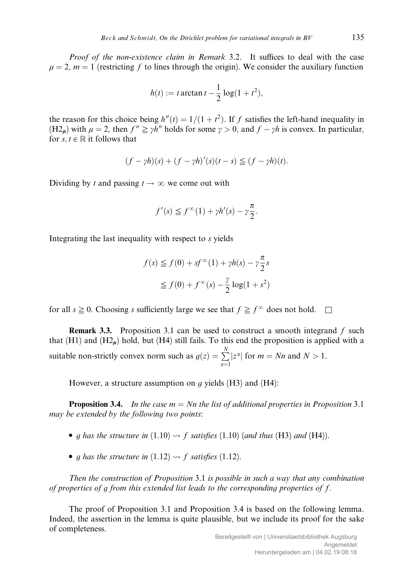Proof of the non-existence claim in Remark 3.2. It suffices to deal with the case  $\mu = 2$ ,  $m = 1$  (restricting f to lines through the origin). We consider the auxiliary function

$$
h(t) := t \arctan t - \frac{1}{2} \log(1 + t^2),
$$

the reason for this choice being  $h''(t) = 1/(1 + t^2)$ . If f satisfies the left-hand inequality in  $(H2<sub>u</sub>)$  with  $\mu = 2$ , then  $f'' \geq \gamma h''$  holds for some  $\gamma > 0$ , and  $f - \gamma h$  is convex. In particular, for  $s, t \in \mathbb{R}$  it follows that

$$
(f - \gamma h)(s) + (f - \gamma h)'(s)(t - s) \leq (f - \gamma h)(t).
$$

Dividing by t and passing  $t \to \infty$  we come out with

$$
f'(s) \leqq f^{\infty}(1) + \gamma h'(s) - \gamma \frac{\pi}{2}.
$$

Integrating the last inequality with respect to s yields

$$
f(s) \le f(0) + sf^{\infty}(1) + \gamma h(s) - \gamma \frac{\pi}{2} s
$$
  

$$
\le f(0) + f^{\infty}(s) - \frac{\gamma}{2} \log(1 + s^2)
$$

for all  $s \geq 0$ . Choosing s sufficiently large we see that  $f \geq f^{\infty}$  does not hold.  $\Box$ 

**Remark 3.3.** Proposition 3.1 can be used to construct a smooth integrand  $f$  such that  $(H1)$  and  $(H2<sub>n</sub>)$  hold, but  $(H4)$  still fails. To this end the proposition is applied with a suitable non-strictly convex norm such as  $g(z) = \sum_{n=1}^{N}$  $\alpha=1$  $|z^{\alpha}|$  for  $m = Nn$  and  $N > 1$ .

However, a structure assumption on  $g$  yields (H3) and (H4):

**Proposition 3.4.** In the case  $m = Nn$  the list of additional properties in Proposition 3.1 may be extended by the following two points:

- q has the structure in  $(1.10) \rightarrow f$  satisfies  $(1.10)$  (and thus (H3) and (H4)).
- g has the structure in  $(1.12) \rightarrow f$  satisfies  $(1.12)$ .

Then the construction of Proposition 3.1 is possible in such a way that any combination of properties of  $q$  from this extended list leads to the corresponding properties of  $f$ .

The proof of Proposition 3.1 and Proposition 3.4 is based on the following lemma. Indeed, the assertion in the lemma is quite plausible, but we include its proof for the sake of completeness.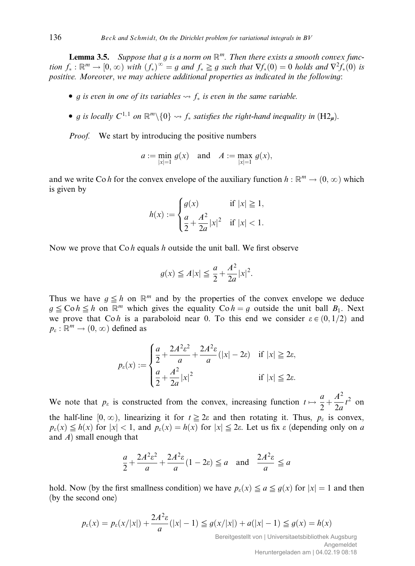**Lemma 3.5.** Suppose that g is a norm on  $\mathbb{R}^m$ . Then there exists a smooth convex function  $f_* : \mathbb{R}^m \to [0, \infty)$  with  $(f_*)^{\infty} = g$  and  $f_* \geq g$  such that  $\nabla f_*(0) = 0$  holds and  $\nabla^2 f_*(0)$  is positive. Moreover, we may achieve additional properties as indicated in the following:

- g is even in one of its variables  $\rightarrow$  f<sub>\*</sub> is even in the same variable.
- g is locally  $C^{1,1}$  on  $\mathbb{R}^m\setminus\{0\} \leadsto f_*$  satisfies the right-hand inequality in  $(H_2\mathbf{u})$ .

*Proof.* We start by introducing the positive numbers

$$
a := \min_{|x|=1} g(x)
$$
 and  $A := \max_{|x|=1} g(x)$ ,

and we write Co h for the convex envelope of the auxiliary function  $h : \mathbb{R}^m \to (0, \infty)$  which is given by

$$
h(x) := \begin{cases} g(x) & \text{if } |x| \ge 1, \\ \frac{a}{2} + \frac{A^2}{2a}|x|^2 & \text{if } |x| < 1. \end{cases}
$$

Now we prove that  $\text{Co } h$  equals h outside the unit ball. We first observe

$$
g(x) \le A|x| \le \frac{a}{2} + \frac{A^2}{2a}|x|^2.
$$

Thus we have  $g \leq h$  on  $\mathbb{R}^m$  and by the properties of the convex envelope we deduce  $g \leq \text{Co} h \leq h$  on  $\mathbb{R}^m$  which gives the equality  $\text{Co} h = g$  outside the unit ball  $B_1$ . Next we prove that Coh is a paraboloid near 0. To this end we consider  $\varepsilon \in (0, 1/2)$  and  $p_{\varepsilon}: \mathbb{R}^m \to (0,\infty)$  defined as

$$
p_{\varepsilon}(x) := \begin{cases} \frac{a}{2} + \frac{2A^2\varepsilon^2}{a} + \frac{2A^2\varepsilon}{a}(|x| - 2\varepsilon) & \text{if } |x| \ge 2\varepsilon, \\ \frac{a}{2} + \frac{A^2}{2a}|x|^2 & \text{if } |x| \le 2\varepsilon. \end{cases}
$$

We note that  $p_{\varepsilon}$  is constructed from the convex, increasing function  $t \mapsto \frac{a}{2} + \frac{b}{2}$  $A^2$  $rac{A}{2a}t^2$  on the half-line  $[0, \infty)$ , linearizing it for  $t \geq 2\varepsilon$  and then rotating it. Thus,  $p_{\varepsilon}$  is convex,  $p_{\varepsilon}(x) \leq h(x)$  for  $|x| < 1$ , and  $p_{\varepsilon}(x) = h(x)$  for  $|x| \leq 2\varepsilon$ . Let us fix  $\varepsilon$  (depending only on a and  $A$ ) small enough that

$$
\frac{a}{2} + \frac{2A^2\varepsilon^2}{a} + \frac{2A^2\varepsilon}{a}(1 - 2\varepsilon) \le a \quad \text{and} \quad \frac{2A^2\varepsilon}{a} \le a
$$

hold. Now (by the first smallness condition) we have  $p_{\varepsilon}(x) \le a \le g(x)$  for  $|x| = 1$  and then (by the second one)

$$
p_{\varepsilon}(x) = p_{\varepsilon}(x/|x|) + \frac{2A^2 \varepsilon}{a}(|x| - 1) \le g(x/|x|) + a(|x| - 1) \le g(x) = h(x)
$$

Bereitgestellt von | Universitaetsbibliothek Augsburg Angemeldet Heruntergeladen am | 04.02.19 08:18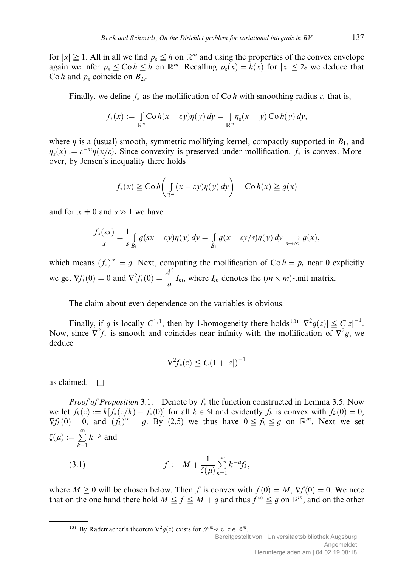for  $|x| \ge 1$ . All in all we find  $p_{\varepsilon} \le h$  on  $\mathbb{R}^m$  and using the properties of the convex envelope again we infer  $p_{\varepsilon} \leq \text{Co} h \leq h$  on  $\mathbb{R}^m$ . Recalling  $p_{\varepsilon}(x) = h(x)$  for  $|x| \leq 2\varepsilon$  we deduce that Co h and  $p_e$  coincide on  $B_{2e}$ .

Finally, we define  $f_*$  as the mollification of Co h with smoothing radius  $\varepsilon$ , that is,

$$
f_*(x) := \int_{\mathbb{R}^m} \mathcal{C} \circ h(x - \varepsilon y) \eta(y) \, dy = \int_{\mathbb{R}^m} \eta_{\varepsilon}(x - y) \, \mathcal{C} \circ h(y) \, dy,
$$

where  $\eta$  is a (usual) smooth, symmetric mollifying kernel, compactly supported in  $B_1$ , and  $\eta_{\varepsilon}(x) := \varepsilon^{-m}\eta(x/\varepsilon)$ . Since convexity is preserved under mollification,  $f_*$  is convex. Moreover, by Jensen's inequality there holds

$$
f_*(x) \ge \text{Co } h\left(\int_{\mathbb{R}^m} (x - \varepsilon y) \eta(y) \, dy\right) = \text{Co } h(x) \ge g(x)
$$

and for  $x \neq 0$  and  $s \gg 1$  we have

$$
\frac{f_*(sx)}{s} = \frac{1}{s} \int_{B_1} g(sx - \varepsilon y) \eta(y) dy = \int_{B_1} g(x - \varepsilon y/s) \eta(y) dy \xrightarrow[s \to \infty]{} g(x),
$$

which means  $(f_*)^{\infty} = g$ . Next, computing the mollification of Co  $h = p_{\varepsilon}$  near 0 explicitly we get  $\nabla f_*(0) = 0$  and  $\nabla^2 f_*(0) = \frac{A^2}{a} I_m$ , where  $I_m$  denotes the  $(m \times m)$ -unit matrix.

The claim about even dependence on the variables is obvious.

Finally, if g is locally  $C^{1,1}$ , then by 1-homogeneity there holds<sup>13)</sup>  $|\nabla^2 g(z)| \leq C|z|^{-1}$ . Now, since  $\nabla^2 f_*$  is smooth and coincides near infinity with the mollification of  $\nabla^2 g$ , we deduce

$$
\nabla^2 f_*(z) \leq C(1+|z|)^{-1}
$$

as claimed.  $\square$ 

*Proof of Proposition* 3.1. Denote by  $f_*$  the function constructed in Lemma 3.5. Now we let  $f_k(z) := k[f_*(z/k) - f_*(0)]$  for all  $k \in \mathbb{N}$  and evidently  $f_k$  is convex with  $f_k(0) = 0$ ,  $\nabla f_k(0) = 0$ , and  $(f_k)^\infty = g$ . By (2.5) we thus have  $0 \leq f_k \leq g$  on  $\mathbb{R}^m$ . Next we set  $\zeta(\mu) := \sum^{\infty}$  $k=1$  $k^{-\mu}$  and

(3.1) 
$$
f := M + \frac{1}{\zeta(\mu)} \sum_{k=1}^{\infty} k^{-\mu} f_k,
$$

where  $M \ge 0$  will be chosen below. Then f is convex with  $f(0) = M$ ,  $\nabla f(0) = 0$ . We note that on the one hand there hold  $M \le f \le M + g$  and thus  $f^{\infty} \le g$  on  $\mathbb{R}^m$ , and on the other

<sup>13)</sup> By Rademacher's theorem  $\nabla^2 g(z)$  exists for  $\mathscr{L}^m$ -a.e.  $z \in \mathbb{R}^m$ .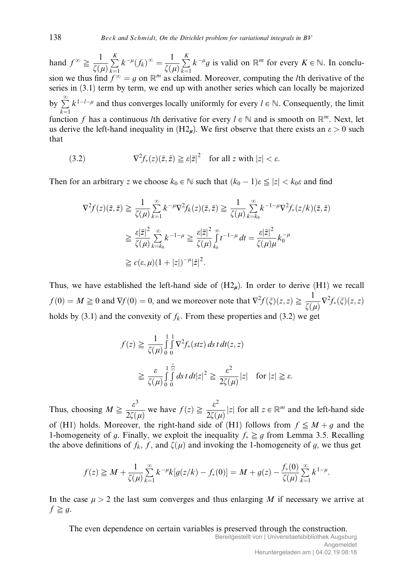hand  $f^{\infty} \ge \frac{1}{f}$  $\zeta(\mu)$  $\stackrel{K}{\longleftarrow}$  $k=1$  $k^{-\mu}(f_k)^\infty = \frac{1}{\zeta(\mu)}$  $\stackrel{K}{\longleftarrow}$  $k=1$  $k^{-\mu}g$  is valid on  $\mathbb{R}^m$  for every  $K \in \mathbb{N}$ . In conclusion we thus find  $f^{\infty} = g$  on  $\mathbb{R}^m$  as claimed. Moreover, computing the *l*th derivative of the series in (3.1) term by term, we end up with another series which can locally be majorized by  $\sum^{\infty}$  $k=1$  $k^{1-l-\mu}$  and thus converges locally uniformly for every  $l \in \mathbb{N}$ . Consequently, the limit function f has a continuous lth derivative for every  $l \in \mathbb{N}$  and is smooth on  $\mathbb{R}^m$ . Next, let us derive the left-hand inequality in  $(H2<sub>u</sub>)$ . We first observe that there exists an  $\varepsilon > 0$  such that

(3.2) 
$$
\nabla^2 f_*(z)(\tilde{z}, \tilde{z}) \ge \varepsilon |\tilde{z}|^2 \quad \text{for all } z \text{ with } |z| < \varepsilon.
$$

Then for an arbitrary z we choose  $k_0 \in \mathbb{N}$  such that  $(k_0 - 1)\varepsilon \leq |z| < k_0\varepsilon$  and find

$$
\nabla^2 f(z)(\tilde{z}, \tilde{z}) \geq \frac{1}{\zeta(\mu)} \sum_{k=1}^{\infty} k^{-\mu} \nabla^2 f_k(z)(\tilde{z}, \tilde{z}) \geq \frac{1}{\zeta(\mu)} \sum_{k=k_0}^{\infty} k^{-1-\mu} \nabla^2 f_*(z/k)(\tilde{z}, \tilde{z})
$$
  

$$
\geq \frac{\varepsilon |\tilde{z}|^2}{\zeta(\mu)} \sum_{k=k_0}^{\infty} k^{-1-\mu} \geq \frac{\varepsilon |\tilde{z}|^2}{\zeta(\mu)} \sum_{k_0}^{\infty} t^{-1-\mu} dt = \frac{\varepsilon |\tilde{z}|^2}{\zeta(\mu)\mu} k_0^{-\mu}
$$
  

$$
\geq c(\varepsilon, \mu) (1 + |z|)^{-\mu} |\tilde{z}|^2.
$$

Thus, we have established the left-hand side of  $(H2<sub>n</sub>)$ . In order to derive (H1) we recall  $f(0) = M \ge 0$  and  $\nabla f(0) = 0$ , and we moreover note that  $\nabla^2 f(\xi)(z, z) \ge \frac{1}{\tau}$  $\frac{1}{\zeta(\mu)}\nabla^2 f_*(\xi)(z,z)$ holds by (3.1) and the convexity of  $f_k$ . From these properties and (3.2) we get

$$
f(z) \ge \frac{1}{\zeta(\mu)} \int_0^1 \int_0^1 \nabla^2 f_*(stz) \, ds \, t \, dt(z, z)
$$
  

$$
\ge \frac{\varepsilon}{\zeta(\mu)} \int_0^1 \int_0^{\frac{\varepsilon}{|\pi|}} ds \, t \, dt |z|^2 \ge \frac{\varepsilon^2}{2\zeta(\mu)} |z| \quad \text{for } |z| \ge \varepsilon.
$$

Thus, choosing  $M \geq \frac{\varepsilon^3}{2\pi\sqrt{3}}$  $\frac{\partial}{\partial \zeta(\mu)}$  we have  $f(z) \ge$  $\varepsilon^2$  $\frac{\varepsilon}{2\zeta(\mu)}|z|$  for all  $z \in \mathbb{R}^m$  and the left-hand side of (H1) holds. Moreover, the right-hand side of (H1) follows from  $f \leq M + g$  and the 1-homogeneity of g. Finally, we exploit the inequality  $f_* \geq g$  from Lemma 3.5. Recalling the above definitions of  $f_k$ , f, and  $\zeta(\mu)$  and invoking the 1-homogeneity of g, we thus get

$$
f(z) \geq M + \frac{1}{\zeta(\mu)} \sum_{k=1}^{\infty} k^{-\mu} k [g(z/k) - f_*(0)] = M + g(z) - \frac{f_*(0)}{\zeta(\mu)} \sum_{k=1}^{\infty} k^{1-\mu}.
$$

In the case  $\mu > 2$  the last sum converges and thus enlarging M if necessary we arrive at  $f \geq g$ .

The even dependence on certain variables is preserved through the construction.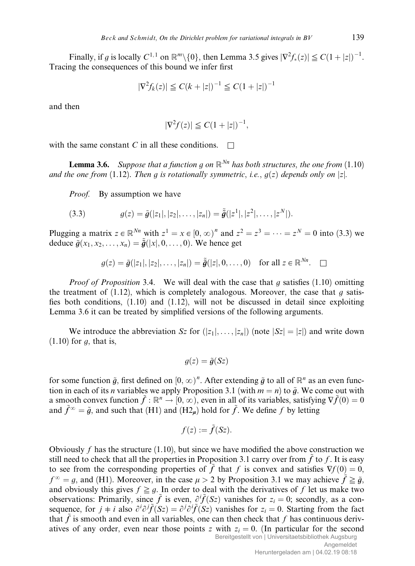Finally, if g is locally  $C^{1,1}$  on  $\mathbb{R}^m \setminus \{0\}$ , then Lemma 3.5 gives  $|\nabla^2 f_*(z)| \leq C(1+|z|)^{-1}$ . Tracing the consequences of this bound we infer first

$$
|\nabla^2 f_k(z)| \le C(k+|z|)^{-1} \le C(1+|z|)^{-1}
$$

and then

$$
|\nabla^2 f(z)| \leq C(1+|z|)^{-1},
$$

with the same constant C in all these conditions.  $\Box$ 

**Lemma 3.6.** Suppose that a function g on  $\mathbb{R}^{Nn}$  has both structures, the one from (1.10) and the one from (1.12). Then q is rotationally symmetric, i.e.,  $q(z)$  depends only on |z|.

Proof. By assumption we have

(3.3) 
$$
g(z) = \tilde{g}(|z_1|, |z_2|, \ldots, |z_n|) = \tilde{\tilde{g}}(|z^1|, |z^2|, \ldots, |z^N|).
$$

Plugging a matrix  $z \in \mathbb{R}^{Nn}$  with  $z^1 = x \in [0, \infty)^n$  and  $z^2 = z^3 = \cdots = z^N = 0$  into (3.3) we deduce  $\tilde{g}(x_1, x_2, \ldots, x_n) = \tilde{g}(|x|, 0, \ldots, 0)$ . We hence get

$$
g(z) = \tilde{g}(|z_1|, |z_2|, \dots, |z_n|) = \tilde{\tilde{g}}(|z|, 0, \dots, 0) \text{ for all } z \in \mathbb{R}^{Nn}.
$$

*Proof of Proposition* 3.4. We will deal with the case that q satisfies  $(1.10)$  omitting the treatment of  $(1.12)$ , which is completely analogous. Moreover, the case that q satisfies both conditions, (1.10) and (1.12), will not be discussed in detail since exploiting Lemma 3.6 it can be treated by simplified versions of the following arguments.

We introduce the abbreviation  $Sz$  for  $(|z_1|, \ldots, |z_n|)$  (note  $|Sz| = |z|$ ) and write down  $(1.10)$  for g, that is,

$$
g(z) = \tilde{g}(Sz)
$$

for some function  $\tilde{g}$ , first defined on  $[0, \infty)^n$ . After extending  $\tilde{g}$  to all of  $\mathbb{R}^n$  as an even function in each of its *n* variables we apply Proposition 3.1 (with  $m = n$ ) to  $\tilde{g}$ . We come out with a smooth convex function  $\tilde{f} : \mathbb{R}^n \to [0, \infty)$ , even in all of its variables, satisfying  $\nabla \tilde{f}(0) = 0$ and  $\tilde{f}^{\infty} = \tilde{g}$ , and such that (H1) and (H2m) hold for  $\tilde{f}$ . We define f by letting

$$
f(z) := \tilde{f}(Sz).
$$

Obviously f has the structure  $(1.10)$ , but since we have modified the above construction we still need to check that all the properties in Proposition 3.1 carry over from  $\hat{f}$  to f. It is easy to see from the corresponding properties of  $\tilde{f}$  that f is convex and satisfies  $\nabla f(0) = 0$ ,  $f^{\infty} = q$ , and (H1). Moreover, in the case  $\mu > 2$  by Proposition 3.1 we may achieve  $\tilde{f} \geq \tilde{q}$ , and obviously this gives  $f \geq q$ . In order to deal with the derivatives of f let us make two observations: Primarily, since  $\tilde{f}$  is even,  $\partial^i \tilde{f}(S_z)$  vanishes for  $z_i = 0$ ; secondly, as a consequence, for  $j \neq i$  also  $\partial^i \partial^j \tilde{f}(Sz) = \partial^j \partial^i \tilde{f}(Sz)$  vanishes for  $z_i = 0$ . Starting from the fact that  $\tilde{f}$  is smooth and even in all variables, one can then check that f has continuous derivatives of any order, even near those points z with  $z_i = 0$ . (In particular for the second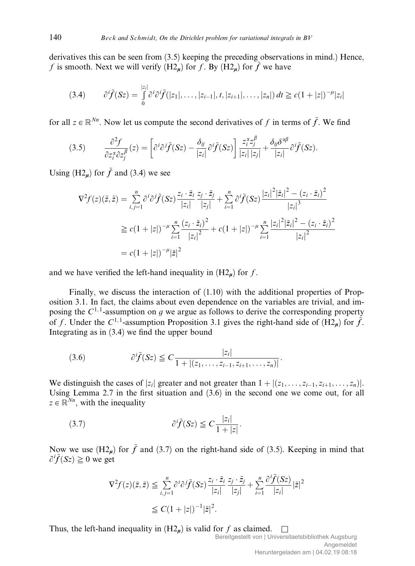derivatives this can be seen from (3.5) keeping the preceding observations in mind.) Hence, f is smooth. Next we will verify  $(H2<sub>n</sub>)$  for f. By  $(H2<sub>n</sub>)$  for  $\tilde{f}$  we have

$$
(3.4) \qquad \partial^i \tilde{f}(Sz) = \int_0^{|z_i|} \partial^i \partial^i \tilde{f}(|z_1|,\ldots,|z_{i-1}|,t,|z_{i+1}|,\ldots,|z_n|) \, dt \ge c(1+|z|)^{-\mu} |z_i|
$$

for all  $z \in \mathbb{R}^{N_n}$ . Now let us compute the second derivatives of f in terms of  $\tilde{f}$ . We find

(3.5) 
$$
\frac{\partial^2 f}{\partial z_i^{\alpha} \partial z_j^{\beta}}(z) = \left[\partial^i \partial^j \tilde{f}(Sz) - \frac{\delta_{ij}}{|z_i|} \partial^i \tilde{f}(Sz)\right] \frac{z_i^{\alpha} z_j^{\beta}}{|z_i| |z_j|} + \frac{\delta_{ij} \delta^{\alpha \beta}}{|z_i|} \partial^i \tilde{f}(Sz).
$$

Using (H2<sub>u</sub>) for  $\tilde{f}$  and (3.4) we see

$$
\nabla^2 f(z)(\tilde{z}, \tilde{z}) = \sum_{i,j=1}^n \frac{\partial^i \partial^j \tilde{f}(Sz)}{|z_i|} \frac{\tilde{z}_i \cdot \tilde{z}_i}{|z_i|} + \sum_{i=1}^n \frac{\partial^i \tilde{f}(Sz)}{|z_i|^2} \frac{|z_i|^2 |z_i|^2 - (z_i \cdot \tilde{z}_i)^2}{|z_i|^3}
$$
  
\n
$$
\geq c(1+|z|)^{-\mu} \sum_{i=1}^n \frac{(z_i \cdot \tilde{z}_i)^2}{|z_i|^2} + c(1+|z|)^{-\mu} \sum_{i=1}^n \frac{|z_i|^2 |z_i|^2 - (z_i \cdot \tilde{z}_i)^2}{|z_i|^2}
$$
  
\n
$$
= c(1+|z|)^{-\mu} |\tilde{z}|^2
$$

and we have verified the left-hand inequality in  $(H2<sub>u</sub>)$  for f.

Finally, we discuss the interaction of (1.10) with the additional properties of Proposition 3.1. In fact, the claims about even dependence on the variables are trivial, and imposing the  $C^{1,1}$ -assumption on g we argue as follows to derive the corresponding property of f. Under the  $C^{1,1}$ -assumption Proposition 3.1 gives the right-hand side of  $(H2<sub>u</sub>)$  for  $\tilde{f}$ . Integrating as in (3.4) we find the upper bound

(3.6) 
$$
\partial^i \tilde{f}(Sz) \leq C \frac{|z_i|}{1 + |(z_1, \ldots, z_{i-1}, z_{i+1}, \ldots, z_n)|}.
$$

We distinguish the cases of  $|z_i|$  greater and not greater than  $1 + |(z_1, \ldots, z_{i-1}, z_{i+1}, \ldots, z_n)|$ . Using Lemma 2.7 in the first situation and (3.6) in the second one we come out, for all  $z \in \mathbb{R}^{N_n}$ , with the inequality

$$
(3.7) \t\t \partial^i \tilde{f}(Sz) \leq C \frac{|z_i|}{1+|z|}.
$$

Now we use  $(H2_n)$  for  $\tilde{f}$  and (3.7) on the right-hand side of (3.5). Keeping in mind that  $\partial^i \tilde{f}(S_z) \geq 0$  we get

$$
\nabla^2 f(z)(\tilde{z}, \tilde{z}) \leq \sum_{i,j=1}^n \partial^i \partial^j \tilde{f}(Sz) \frac{z_i \cdot \tilde{z}_i}{|z_i|} \frac{z_j \cdot \tilde{z}_j}{|z_j|} + \sum_{i=1}^n \frac{\partial^i \tilde{f}(Sz)}{|z_i|} |\tilde{z}|^2
$$
  

$$
\leq C(1+|z|)^{-1} |\tilde{z}|^2.
$$

Thus, the left-hand inequality in  $(H2<sub>u</sub>)$  is valid for f as claimed.  $\square$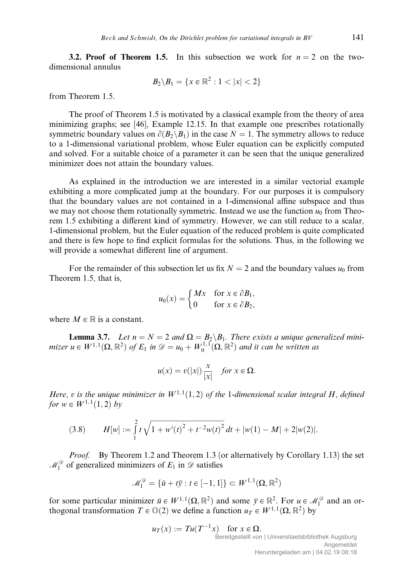**3.2. Proof of Theorem 1.5.** In this subsection we work for  $n = 2$  on the twodimensional annulus

$$
B_2 \backslash B_1 = \{x \in \mathbb{R}^2 : 1 < |x| < 2\}
$$

from Theorem 1.5.

The proof of Theorem 1.5 is motivated by a classical example from the theory of area minimizing graphs; see [46], Example 12.15. In that example one prescribes rotationally symmetric boundary values on  $\partial(B_2 \backslash B_1)$  in the case  $N = 1$ . The symmetry allows to reduce to a 1-dimensional variational problem, whose Euler equation can be explicitly computed and solved. For a suitable choice of a parameter it can be seen that the unique generalized minimizer does not attain the boundary values.

As explained in the introduction we are interested in a similar vectorial example exhibiting a more complicated jump at the boundary. For our purposes it is compulsory that the boundary values are not contained in a 1-dimensional affine subspace and thus we may not choose them rotationally symmetric. Instead we use the function  $u_0$  from Theorem 1.5 exhibiting a different kind of symmetry. However, we can still reduce to a scalar, 1-dimensional problem, but the Euler equation of the reduced problem is quite complicated and there is few hope to find explicit formulas for the solutions. Thus, in the following we will provide a somewhat different line of argument.

For the remainder of this subsection let us fix  $N = 2$  and the boundary values  $u_0$  from Theorem 1.5, that is,

$$
u_0(x) = \begin{cases} Mx & \text{for } x \in \partial B_1, \\ 0 & \text{for } x \in \partial B_2, \end{cases}
$$

where  $M \in \mathbb{R}$  is a constant.

**Lemma 3.7.** Let  $n = N = 2$  and  $\Omega = B_2 \backslash B_1$ . There exists a unique generalized minimizer  $u \in W^{1,1}(\Omega, \mathbb{R}^2)$  of  $E_1$  in  $\mathscr{D} = u_0 + W_0^{1,1}(\Omega, \mathbb{R}^2)$  and it can be written as

$$
u(x) = v(|x|) \frac{x}{|x|} \quad \text{for } x \in \Omega.
$$

Here, v is the unique minimizer in  $W^{1,1}(1,2)$  of the 1-dimensional scalar integral H, defined for  $w \in W^{1,1}(1, 2)$  by

(3.8) 
$$
H[w] := \int_{1}^{2} t \sqrt{1 + w'(t)^{2} + t^{-2}w(t)^{2}} dt + |w(1) - M| + 2|w(2)|.
$$

*Proof.* By Theorem 1.2 and Theorem 1.3 (or alternatively by Corollary 1.13) the set  $\mathcal{M}_1^{\mathcal{D}}$  of generalized minimizers of  $E_1$  in  $\mathcal D$  satisfies

$$
\mathcal{M}_1^{\mathcal{D}} = \{ \bar{u} + t \bar{y} : t \in [-1, 1] \} \subset W^{1,1}(\Omega, \mathbb{R}^2)
$$

for some particular minimizer  $\bar{u} \in W^{1,1}(\Omega,\mathbb{R}^2)$  and some  $\bar{y} \in \mathbb{R}^2$ . For  $u \in \mathcal{M}_1^{\mathcal{D}}$  and an orthogonal transformation  $T \in \mathbb{O}(2)$  we define a function  $u_T \in W^{1,1}(\Omega, \mathbb{R}^2)$  by

$$
u_T(x) := Tu(T^{-1}x) \text{ for } x \in \Omega.
$$
  
Bereitgestellt von | Universitaetsbibliothek Augsburg  
Angemeldet  
Heruntergeladen am | 04.02.19 08:18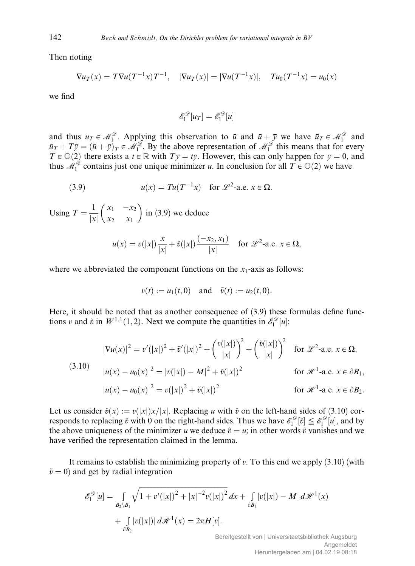Then noting

$$
\nabla u_T(x) = T \nabla u(T^{-1}x) T^{-1}, \quad |\nabla u_T(x)| = |\nabla u(T^{-1}x)|, \quad Tu_0(T^{-1}x) = u_0(x)
$$

we find

$$
\mathscr{E}_1^{\mathscr{D}}[u_T] = \mathscr{E}_1^{\mathscr{D}}[u]
$$

and thus  $u_T \in \mathcal{M}_1^{\mathcal{D}}$ . Applying this observation to  $\bar{u}$  and  $\bar{u} + \bar{y}$  we have  $\bar{u}_T \in \mathcal{M}_1^{\mathcal{D}}$  and  $\bar{u}_T + T\bar{y} = (\bar{u} + \bar{y})_T \in \mathcal{M}_1^{\mathcal{D}}$ . By the above representation of  $\mathcal{M}_1^{\mathcal{D}}$  this means that for every  $T \in \mathbb{O}(2)$  there exists a  $t \in \mathbb{R}$  with  $T\bar{y} = t\bar{y}$ . However, this can only happen for  $\bar{y} = 0$ , and thus  $M_1^{\mathcal{D}}$  contains just one unique minimizer u. In conclusion for all  $T \in \mathbb{O}(2)$  we have

(3.9) 
$$
u(x) = Tu(T^{-1}x) \text{ for } \mathcal{L}^2\text{-a.e. } x \in \Omega.
$$

Using  $T = \frac{1}{|x|}$  $x_1 - x_2$  $x_2$   $x_1$  $\left(\begin{array}{ccc} x & x \end{array}\right)$ in (3.9) we deduce

$$
u(x) = v(|x|) \frac{x}{|x|} + \tilde{v}(|x|) \frac{(-x_2, x_1)}{|x|} \quad \text{for } \mathscr{L}^2\text{-a.e. } x \in \Omega,
$$

where we abbreviated the component functions on the  $x_1$ -axis as follows:

$$
v(t) := u_1(t, 0)
$$
 and  $\tilde{v}(t) := u_2(t, 0)$ .

Here, it should be noted that as another consequence of (3.9) these formulas define functions v and  $\tilde{v}$  in  $W^{1,1}(1, 2)$ . Next we compute the quantities in  $\mathscr{E}_1^{\mathscr{D}}[u]$ :

$$
|\nabla u(x)|^2 = v'(|x|)^2 + \tilde{v}'(|x|)^2 + \left(\frac{v(|x|)}{|x|}\right)^2 + \left(\frac{\tilde{v}(|x|)}{|x|}\right)^2 \quad \text{for } \mathscr{L}^2\text{-a.e. } x \in \Omega,
$$
  
(3.10)  

$$
|u(x) - u_0(x)|^2 = |v(|x|) - M|^2 + \tilde{v}(|x|)^2 \qquad \text{for } \mathscr{H}^1\text{-a.e. } x \in \partial B_1,
$$

$$
|u(x) - u_0(x)|^2 = v(|x|)^2 + \tilde{v}(|x|)^2 \qquad \text{for } \mathscr{H}^1\text{-a.e. } x \in \partial B_2.
$$

Let us consider  $\hat{v}(x) := v(|x|)x/|x|$ . Replacing u with  $\hat{v}$  on the left-hand sides of (3.10) corresponds to replacing  $\tilde{v}$  with 0 on the right-hand sides. Thus we have  $\mathscr{E}_1^{\mathscr{D}}[\hat{v}] \leq \mathscr{E}_1^{\mathscr{D}}[u]$ , and by the above uniqueness of the minimizer u we deduce  $\hat{v} = u$ ; in other words  $\tilde{v}$  vanishes and we have verified the representation claimed in the lemma.

It remains to establish the minimizing property of  $v$ . To this end we apply  $(3.10)$  (with  $\tilde{v} = 0$ ) and get by radial integration

$$
\mathscr{E}_1^{\mathscr{D}}[u] = \int_{B_2 \setminus B_1} \sqrt{1 + v'(|x|)^2 + |x|^{-2}v(|x|)^2} \, dx + \int_{\partial B_1} |v(|x|) - M| \, d\mathscr{H}^1(x) + \int_{\partial B_2} |v(|x|)| \, d\mathscr{H}^1(x) = 2\pi H[v].
$$

Bereitgestellt von | Universitaetsbibliothek Augsburg Angemeldet Heruntergeladen am | 04.02.19 08:18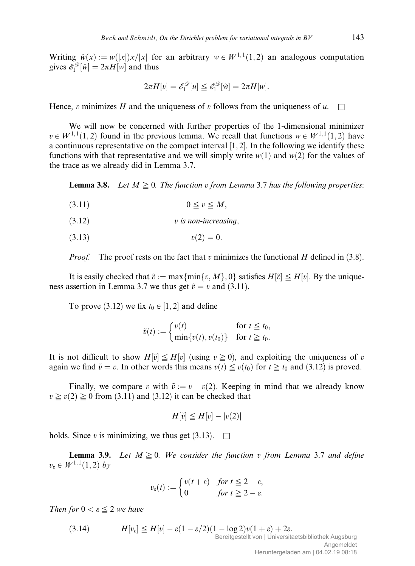Writing  $\hat{w}(x) := w(|x|)x/|x|$  for an arbitrary  $w \in W^{1, 1}(1, 2)$  an analogous computation gives  $\mathscr{E}_1^{\mathscr{D}}[\hat{w}] = 2\pi H[w]$  and thus

$$
2\pi H[v] = \mathscr{E}_1^{\mathscr{D}}[u] \leq \mathscr{E}_1^{\mathscr{D}}[\hat{w}] = 2\pi H[w].
$$

Hence, v minimizes H and the uniqueness of v follows from the uniqueness of u.  $\Box$ 

We will now be concerned with further properties of the 1-dimensional minimizer  $v \in W^{1,1}(1,2)$  found in the previous lemma. We recall that functions  $w \in W^{1,1}(1,2)$  have a continuous representative on the compact interval  $[1, 2]$ . In the following we identify these functions with that representative and we will simply write  $w(1)$  and  $w(2)$  for the values of the trace as we already did in Lemma 3.7.

**Lemma 3.8.** Let  $M \geq 0$ . The function v from Lemma 3.7 has the following properties:

- $(3.11)$   $0 \le v \le M$ ,
- $(3.12)$  v is non-increasing,
- $v(2) = 0.$

*Proof.* The proof rests on the fact that v minimizes the functional H defined in  $(3.8)$ .

It is easily checked that  $\tilde{v} := \max\{\min\{v, M\}, 0\}$  satisfies  $H[\tilde{v}] \leq H[v]$ . By the uniqueness assertion in Lemma 3.7 we thus get  $\tilde{v} = v$  and (3.11).

To prove (3.12) we fix  $t_0 \in [1, 2]$  and define

$$
\tilde{v}(t) := \begin{cases} v(t) & \text{for } t \leq t_0, \\ \min\{v(t), v(t_0)\} & \text{for } t \geq t_0. \end{cases}
$$

It is not difficult to show  $H[\tilde{v}] \leq H[v]$  (using  $v \geq 0$ ), and exploiting the uniqueness of v again we find  $\tilde{v} = v$ . In other words this means  $v(t) \leq v(t_0)$  for  $t \geq t_0$  and (3.12) is proved.

Finally, we compare v with  $\tilde{v} := v - v(2)$ . Keeping in mind that we already know  $v \ge v(2) \ge 0$  from (3.11) and (3.12) it can be checked that

$$
H[\tilde{v}] \leq H[v] - |v(2)|
$$

holds. Since v is minimizing, we thus get  $(3.13)$ .

**Lemma 3.9.** Let  $M \geq 0$ . We consider the function v from Lemma 3.7 and define  $v_{\varepsilon} \in W^{1,1}(1,2)$  by

$$
v_{\varepsilon}(t) := \begin{cases} v(t+\varepsilon) & \text{for } t \leq 2-\varepsilon, \\ 0 & \text{for } t \geq 2-\varepsilon. \end{cases}
$$

Then for  $0 < \varepsilon \leq 2$  we have

(3.14)  $H[v_{\varepsilon}] \leq H[v] - \varepsilon (1 - \varepsilon/2)(1 - \log 2)v(1 + \varepsilon) + 2\varepsilon.$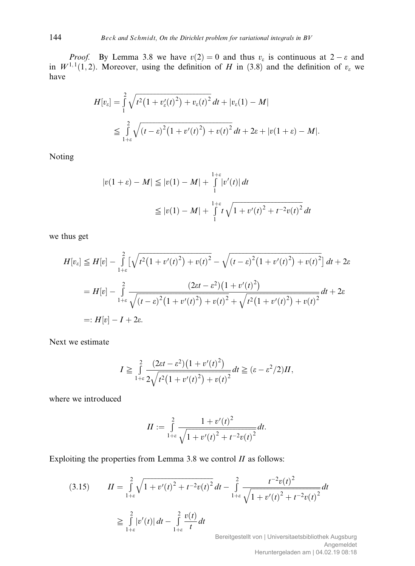*Proof.* By Lemma 3.8 we have  $v(2) = 0$  and thus  $v_{\varepsilon}$  is continuous at  $2 - \varepsilon$  and in  $W^{1,1}(1,2)$ . Moreover, using the definition of H in (3.8) and the definition of  $v_{\varepsilon}$  we have

$$
H[v_{\varepsilon}] = \int_{1}^{2} \sqrt{t^2 (1 + v_{\varepsilon}'(t)^2) + v_{\varepsilon}(t)^2} dt + |v_{\varepsilon}(1) - M|
$$
  
\n
$$
\leq \int_{1+\varepsilon}^{2} \sqrt{(t - \varepsilon)^2 (1 + v'(t)^2) + v(t)^2} dt + 2\varepsilon + |v(1 + \varepsilon) - M|.
$$

Noting

$$
|v(1+\varepsilon) - M| \le |v(1) - M| + \int_{1}^{1+\varepsilon} |v'(t)| dt
$$
  

$$
\le |v(1) - M| + \int_{1}^{1+\varepsilon} t \sqrt{1 + v'(t)^2 + t^{-2}v(t)^2} dt
$$

we thus get

$$
H[v_{\varepsilon}] \leq H[v] - \int_{1+\varepsilon}^{2} \left[ \sqrt{t^2 (1 + v'(t)^2) + v(t)^2} - \sqrt{(t - \varepsilon)^2 (1 + v'(t)^2) + v(t)^2} \right] dt + 2\varepsilon
$$
  
= 
$$
H[v] - \int_{1+\varepsilon}^{2} \frac{(2\varepsilon t - \varepsilon^2)(1 + v'(t)^2)}{\sqrt{(t - \varepsilon)^2 (1 + v'(t)^2) + v(t)^2} + \sqrt{t^2 (1 + v'(t)^2) + v(t)^2}} dt + 2\varepsilon
$$
  
=: 
$$
H[v] - I + 2\varepsilon.
$$

Next we estimate

$$
I \geq \int_{1+\varepsilon}^{2} \frac{(2\varepsilon t - \varepsilon^2)(1 + v'(t)^2)}{2\sqrt{t^2(1 + v'(t)^2) + v(t)^2}} dt \geq (\varepsilon - \varepsilon^2/2)II,
$$

where we introduced

$$
II := \int_{1+\varepsilon}^{2} \frac{1 + v'(t)^2}{\sqrt{1 + v'(t)^2 + t^{-2}v(t)^2}} dt.
$$

Exploiting the properties from Lemma 3.8 we control  $II$  as follows:

$$
(3.15) \qquad II = \int_{1+\varepsilon}^{2} \sqrt{1 + v'(t)^2 + t^{-2}v(t)^2} \, dt - \int_{1+\varepsilon}^{2} \frac{t^{-2}v(t)^2}{\sqrt{1 + v'(t)^2 + t^{-2}v(t)^2}} \, dt
$$
\n
$$
\geq \int_{1+\varepsilon}^{2} |v'(t)| \, dt - \int_{1+\varepsilon}^{2} \frac{v(t)}{t} \, dt
$$

Bereitgestellt von | Universitaetsbibliothek Augsburg Angemeldet Heruntergeladen am | 04.02.19 08:18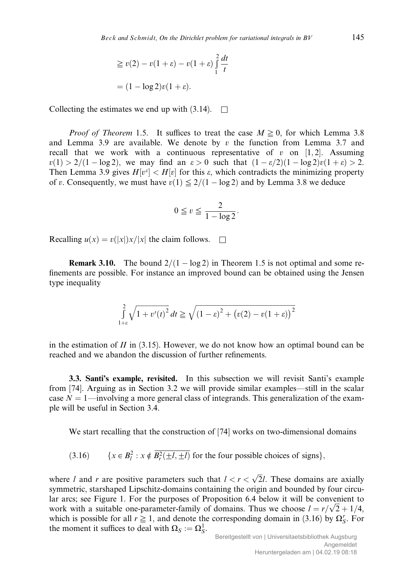$$
\geq v(2) - v(1+\varepsilon) - v(1+\varepsilon) \int_{1}^{2} \frac{dt}{t}
$$

$$
= (1 - \log 2)v(1+\varepsilon).
$$

Collecting the estimates we end up with  $(3.14)$ .  $\Box$ 

*Proof of Theorem* 1.5. It suffices to treat the case  $M \ge 0$ , for which Lemma 3.8 and Lemma 3.9 are available. We denote by  $v$  the function from Lemma 3.7 and recall that we work with a continuous representative of v on  $[1,2]$ . Assuming  $v(1) > 2/(1 - \log 2)$ , we may find an  $\varepsilon > 0$  such that  $(1 - \varepsilon/2)(1 - \log 2)v(1 + \varepsilon) > 2$ . Then Lemma 3.9 gives  $H[v^{\varepsilon}] < H[v]$  for this  $\varepsilon$ , which contradicts the minimizing property of v. Consequently, we must have  $v(1) \leq 2/(1 - \log 2)$  and by Lemma 3.8 we deduce

$$
0 \leqq v \leqq \frac{2}{1 - \log 2}.
$$

Recalling  $u(x) = v(|x|)x/|x|$  the claim follows.  $\square$ 

**Remark 3.10.** The bound  $2/(1 - \log 2)$  in Theorem 1.5 is not optimal and some refinements are possible. For instance an improved bound can be obtained using the Jensen type inequality

$$
\int_{1+\varepsilon}^{2} \sqrt{1 + v'(t)^2} dt \ge \sqrt{\left(1 - \varepsilon\right)^2 + \left(v(2) - v(1 + \varepsilon)\right)^2}
$$

in the estimation of  $II$  in (3.15). However, we do not know how an optimal bound can be reached and we abandon the discussion of further refinements.

3.3. Santi's example, revisited. In this subsection we will revisit Santi's example from [74]. Arguing as in Section 3.2 we will provide similar examples—still in the scalar case  $N = 1$ —involving a more general class of integrands. This generalization of the example will be useful in Section 3.4.

We start recalling that the construction of [74] works on two-dimensional domains

(3.16)  $\{x \in B_l^2 : x \notin \overline{B_r^2(\pm l, \pm l)}\}$  for the four possible choices of signs},

where l and r are positive parameters such that  $l < r < \sqrt{2}l$ . These domains are axially symmetric, starshaped Lipschitz-domains containing the origin and bounded by four circular arcs; see Figure 1. For the purposes of Proposition 6.4 below it will be convenient to ar arcs; see Figure 1. For the purposes of Proposition 6.4 below it will be convenient to work with a suitable one-parameter-family of domains. Thus we choose  $l = r/\sqrt{2} + 1/4$ , which is possible for all  $r \ge 1$ , and denote the corresponding domain in (3.16) by  $\Omega_S^r$ . For the moment it suffices to deal with  $\Omega_S := \Omega_S^1$ .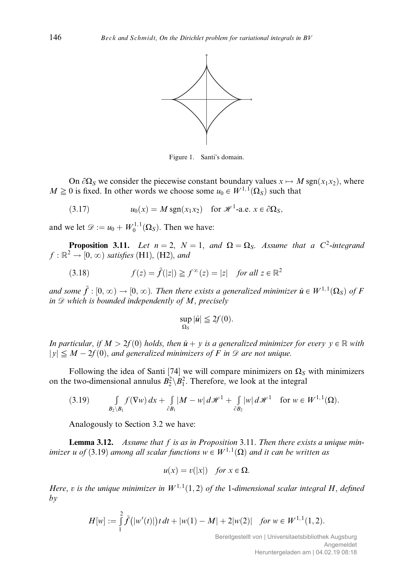

Figure 1. Santi's domain.

On  $\partial\Omega_S$  we consider the piecewise constant boundary values  $x \mapsto M \text{ sgn}(x_1x_2)$ , where  $M \geq 0$  is fixed. In other words we choose some  $u_0 \in W^{1,1}(\Omega_S)$  such that

(3.17)  $u_0(x) = M \operatorname{sgn}(x_1x_2)$  for  $\mathcal{H}^1$ -a.e.  $x \in \partial \Omega_S$ ;

and we let  $\mathscr{D} := u_0 + W_0^{1,1}(\Omega_S)$ . Then we have:

**Proposition 3.11.** Let  $n = 2$ ,  $N = 1$ , and  $\Omega = \Omega_S$ . Assume that a C<sup>2</sup>-integrand  $f : \mathbb{R}^2 \to [0, \infty)$  satisfies (H1), (H2), and

(3.18) 
$$
f(z) = \tilde{f}(|z|) \geq f^{\infty}(z) = |z| \text{ for all } z \in \mathbb{R}^2
$$

and some  $\tilde{f}$  :  $[0,\infty) \to [0,\infty)$ . Then there exists a generalized minimizer  $\hat{u} \in W^{1,1}(\Omega_S)$  of F in  $\mathscr D$  which is bounded independently of M, precisely

$$
\sup_{\Omega_S} |\hat{u}| \leq 2f(0).
$$

In particular, if  $M > 2f(0)$  holds, then  $\hat{u} + y$  is a generalized minimizer for every  $y \in \mathbb{R}$  with  $|y| \leq M - 2f(0)$ , and generalized minimizers of F in  $\mathcal{D}$  are not unique.

Following the idea of Santi [74] we will compare minimizers on  $\Omega_S$  with minimizers on the two-dimensional annulus  $B_2^2 \setminus B_1^2$ . Therefore, we look at the integral

$$
(3.19) \qquad \int\limits_{B_2\setminus B_1} f(\nabla w) \, dx + \int\limits_{\partial B_1} |M - w| \, d\mathscr{H}^1 + \int\limits_{\partial B_2} |w| \, d\mathscr{H}^1 \quad \text{for } w \in W^{1,1}(\Omega).
$$

Analogously to Section 3.2 we have:

**Lemma 3.12.** Assume that  $f$  is as in Proposition 3.11. Then there exists a unique minimizer u of (3.19) among all scalar functions  $w \in W^{1,1}(\Omega)$  and it can be written as

$$
u(x) = v(|x|) \quad \text{for } x \in \Omega.
$$

Here, v is the unique minimizer in  $W^{1,1}(1,2)$  of the 1-dimensional scalar integral H, defined by

$$
H[w] := \int_{1}^{2} \tilde{f}(|w'(t)|) t dt + |w(1) - M| + 2|w(2)| \text{ for } w \in W^{1,1}(1,2).
$$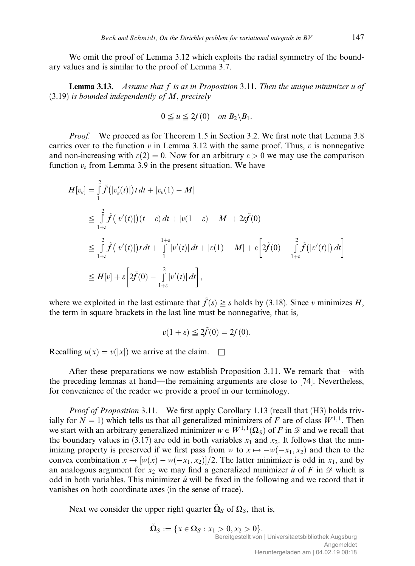We omit the proof of Lemma 3.12 which exploits the radial symmetry of the boundary values and is similar to the proof of Lemma 3.7.

**Lemma 3.13.** Assume that  $f$  is as in Proposition 3.11. Then the unique minimizer  $u$  of  $(3.19)$  is bounded independently of M, precisely

$$
0 \leqq u \leqq 2f(0) \quad on \ B_2 \backslash B_1.
$$

*Proof.* We proceed as for Theorem 1.5 in Section 3.2. We first note that Lemma 3.8 carries over to the function v in Lemma 3.12 with the same proof. Thus, v is nonnegative and non-increasing with  $v(2) = 0$ . Now for an arbitrary  $\varepsilon > 0$  we may use the comparison function  $v_{\varepsilon}$  from Lemma 3.9 in the present situation. We have

$$
H[v_{\varepsilon}] = \int_{1}^{2} \tilde{f}(|v_{\varepsilon}'(t)|) t dt + |v_{\varepsilon}(1) - M|
$$
  
\n
$$
\leq \int_{1+\varepsilon}^{2} \tilde{f}(|v'(t)|) (t - \varepsilon) dt + |v(1 + \varepsilon) - M| + 2\varepsilon \tilde{f}(0)
$$
  
\n
$$
\leq \int_{1+\varepsilon}^{2} \tilde{f}(|v'(t)|) t dt + \int_{1}^{1+\varepsilon} |v'(t)| dt + |v(1) - M| + \varepsilon \left[ 2\tilde{f}(0) - \int_{1+\varepsilon}^{2} \tilde{f}(|v'(t)|) dt \right]
$$
  
\n
$$
\leq H[v] + \varepsilon \left[ 2\tilde{f}(0) - \int_{1+\varepsilon}^{2} |v'(t)| dt \right],
$$

where we exploited in the last estimate that  $\tilde{f}(s) \geq s$  holds by (3.18). Since v minimizes H, the term in square brackets in the last line must be nonnegative, that is,

$$
v(1+\varepsilon) \leqq 2\tilde{f}(0) = 2f(0).
$$

Recalling  $u(x) = v(|x|)$  we arrive at the claim.  $\Box$ 

After these preparations we now establish Proposition 3.11. We remark that—with the preceding lemmas at hand—the remaining arguments are close to [74]. Nevertheless, for convenience of the reader we provide a proof in our terminology.

Proof of Proposition 3.11. We first apply Corollary 1.13 (recall that (H3) holds trivially for  $N = 1$ ) which tells us that all generalized minimizers of F are of class  $W^{1,1}$ . Then we start with an arbitrary generalized minimizer  $w \in W^{1,1}(\Omega_S)$  of F in  $\mathscr D$  and we recall that the boundary values in (3.17) are odd in both variables  $x_1$  and  $x_2$ . It follows that the minimizing property is preserved if we first pass from w to  $x \mapsto -w(-x_1, x_2)$  and then to the convex combination  $x \to [w(x) - w(-x_1, x_2)]/2$ . The latter minimizer is odd in  $x_1$ , and by an analogous argument for  $x_2$  we may find a generalized minimizer  $\hat{u}$  of F in  $\mathscr D$  which is odd in both variables. This minimizer  $\hat{u}$  will be fixed in the following and we record that it vanishes on both coordinate axes (in the sense of trace).

Next we consider the upper right quarter  $\Omega_{S}$  of  $\Omega_{S}$ , that is,

$$
\tilde{\Omega}_S := \{ x \in \Omega_S : x_1 > 0, x_2 > 0 \}.
$$
  
Bereitgestellt von | Universitaetsbibliothek Augsburg  
Angemeldet  
Heruntergeladen am | 04.02.19 08:18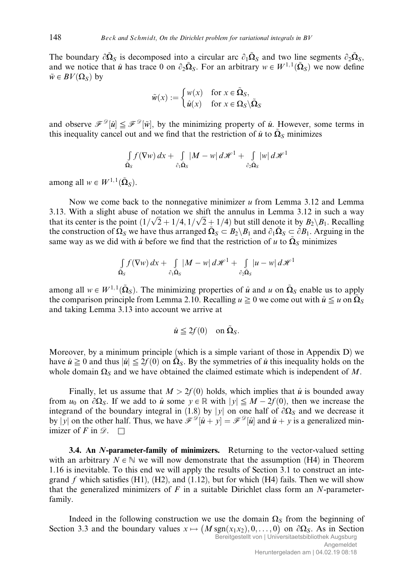The boundary  $\partial \tilde{\Omega}_S$  is decomposed into a circular arc  $\partial_1 \tilde{\Omega}_S$  and two line segments  $\partial_2 \tilde{\Omega}_S$ , and we notice that  $\hat{u}$  has trace 0 on  $\partial_2\tilde{\Omega}_S$ . For an arbitrary  $w \in W^{1, 1}(\tilde{\Omega}_S)$  we now define  $\tilde{w} \in BV(\Omega_S)$  by

$$
\tilde{w}(x) := \begin{cases} w(x) & \text{for } x \in \tilde{\Omega}_S, \\ \hat{u}(x) & \text{for } x \in \Omega_S \backslash \tilde{\Omega}_S \end{cases}
$$

and observe  $\mathscr{F}^{\mathscr{D}}[\hat{u}] \leq \mathscr{F}^{\mathscr{D}}[\tilde{w}]$ , by the minimizing property of  $\hat{u}$ . However, some terms in this inequality cancel out and we find that the restriction of  $\hat{u}$  to  $\tilde{\Omega}_{S}$  minimizes

$$
\int\limits_{\tilde{\Omega}_S} f(\nabla w) \, dx + \int\limits_{\partial_1 \tilde{\Omega}_S} |M - w| \, d\mathcal{H}^1 + \int\limits_{\partial_2 \tilde{\Omega}_S} |w| \, d\mathcal{H}^1
$$

among all  $w \in W^{1,1}(\tilde{\Omega}_S)$ .

Now we come back to the nonnegative minimizer  $u$  from Lemma 3.12 and Lemma 3.13. With a slight abuse of notation we shift the annulus in Lemma 3.12 in such a way 5.15. With a sught abuse of notation we shift the annulus in Lemma 5.12 in such a way that its center is the point  $\left(1/\sqrt{2}+1/4, 1/\sqrt{2}+1/4\right)$  but still denote it by  $B_2\setminus B_1$ . Recalling the construction of  $\Omega_S$  we have thus arranged  $\tilde{\Omega}_S \subset B_2 \backslash B_1$  and  $\partial_1 \tilde{\Omega}_S \subset \partial B_1$ . Arguing in the same way as we did with  $\hat{u}$  before we find that the restriction of u to  $\tilde{\Omega}_{S}$  minimizes

$$
\int_{\tilde{\Omega}_S} f(\nabla w) \, dx + \int_{\partial_1 \tilde{\Omega}_S} |M - w| \, d\mathcal{H}^1 + \int_{\partial_2 \tilde{\Omega}_S} |u - w| \, d\mathcal{H}^1
$$

among all  $w \in W^{1,1}(\tilde{\Omega}_S)$ . The minimizing properties of  $\hat{u}$  and u on  $\tilde{\Omega}_S$  enable us to apply the comparison principle from Lemma 2.10. Recalling  $u \geq 0$  we come out with  $\hat{u} \leq u$  on  $\tilde{\Omega}_{S}$ and taking Lemma 3.13 into account we arrive at

$$
\hat{u} \leqq 2f(0) \quad \text{on } \tilde{\Omega}_S.
$$

Moreover, by a minimum principle (which is a simple variant of those in Appendix D) we have  $\hat{u} \ge 0$  and thus  $|\hat{u}| \le 2f(0)$  on  $\tilde{\Omega}_S$ . By the symmetries of  $\hat{u}$  this inequality holds on the whole domain  $\Omega_S$  and we have obtained the claimed estimate which is independent of M.

Finally, let us assume that  $M > 2f(0)$  holds, which implies that  $\hat{u}$  is bounded away from  $u_0$  on  $\partial\Omega_s$ . If we add to  $\hat{u}$  some  $y \in \mathbb{R}$  with  $|y| \leq M - 2f(0)$ , then we increase the integrand of the boundary integral in (1.8) by |y| on one half of  $\partial\Omega_s$  and we decrease it by |y| on the other half. Thus, we have  $\mathscr{F}^{\mathscr{D}}[\hat{u}+y] = \mathscr{F}^{\mathscr{D}}[\hat{u}]$  and  $\hat{u}+y$  is a generalized minimizer of F in  $\mathscr{D}$ .  $\Box$ 

**3.4. An N-parameter-family of minimizers.** Returning to the vector-valued setting with an arbitrary  $N \in \mathbb{N}$  we will now demonstrate that the assumption (H4) in Theorem 1.16 is inevitable. To this end we will apply the results of Section 3.1 to construct an integrand  $f$  which satisfies (H1), (H2), and (1.12), but for which (H4) fails. Then we will show that the generalized minimizers of  $F$  in a suitable Dirichlet class form an  $N$ -parameterfamily.

Indeed in the following construction we use the domain  $\Omega<sub>S</sub>$  from the beginning of Section 3.3 and the boundary values  $x \mapsto (M \text{sgn}(x_1x_2), 0, \dots, 0)$  on  $\partial \Omega_s$ . As in Section Bereitgestellt von | Universitaetsbibliothek Augsburg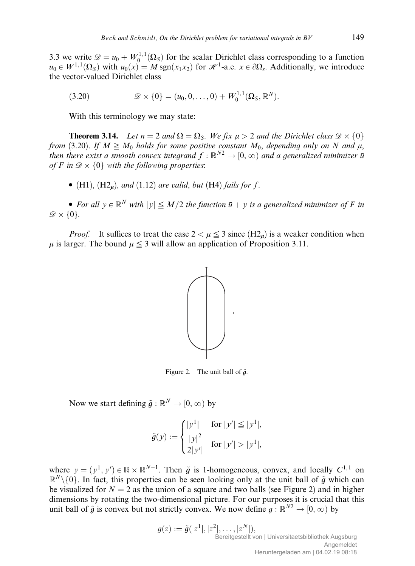3.3 we write  $\mathcal{D} = u_0 + W_0^{1,1}(\Omega_S)$  for the scalar Dirichlet class corresponding to a function  $u_0 \in W^{1,1}(\Omega_S)$  with  $u_0(x) = M \text{sgn}(x_1x_2)$  for  $\mathcal{H}^1$ -a.e.  $x \in \partial \Omega_s$ . Additionally, we introduce the vector-valued Dirichlet class

(3.20) 
$$
\mathscr{D} \times \{0\} = (u_0, 0, \dots, 0) + W_0^{1,1}(\Omega_S, \mathbb{R}^N).
$$

With this terminology we may state:

**Theorem 3.14.** Let  $n = 2$  and  $\Omega = \Omega_S$ . We fix  $\mu > 2$  and the Dirichlet class  $\mathcal{D} \times \{0\}$ from (3.20). If  $M \ge M_0$  holds for some positive constant  $M_0$ , depending only on N and  $\mu$ , then there exist a smooth convex integrand  $f : \mathbb{R}^{N_2} \to [0,\infty)$  and a generalized minimizer  $\overline{u}$ of F in  $\mathcal{D} \times \{0\}$  with the following properties:

• (H1),  $(H2<sub>u</sub>)$ , and (1.12) are valid, but (H4) fails for f.

• For all  $y \in \mathbb{R}^N$  with  $|y| \leq M/2$  the function  $\bar{u} + y$  is a generalized minimizer of F in  $\mathscr{D} \times \{0\}.$ 

*Proof.* It suffices to treat the case  $2 < \mu \leq 3$  since  $(H2<sub>u</sub>)$  is a weaker condition when  $\mu$  is larger. The bound  $\mu \leq 3$  will allow an application of Proposition 3.11.



Figure 2. The unit ball of  $\tilde{q}$ .

Now we start defining  $\tilde{q}: \mathbb{R}^N \to [0, \infty)$  by

$$
\tilde{g}(y) := \begin{cases} |y^1| & \text{for } |y'| \le |y^1|, \\ \frac{|y|^2}{2|y'|} & \text{for } |y'| > |y^1|, \end{cases}
$$

where  $y = (y^1, y') \in \mathbb{R} \times \mathbb{R}^{N-1}$ . Then  $\tilde{g}$  is 1-homogeneous, convex, and locally  $C^{1,1}$  on  $\mathbb{R}^N\setminus\{0\}$ . In fact, this properties can be seen looking only at the unit ball of  $\tilde{g}$  which can be visualized for  $N = 2$  as the union of a square and two balls (see Figure 2) and in higher dimensions by rotating the two-dimensional picture. For our purposes it is crucial that this unit ball of  $\tilde{g}$  is convex but not strictly convex. We now define  $g : \mathbb{R}^{N2} \to [0, \infty)$  by

> $g(z) := \tilde{g}(|z^1|, |z^2|, \ldots, |z^N|),$ Bereitgestellt von | Universitaetsbibliothek Augsburg Angemeldet Heruntergeladen am | 04.02.19 08:18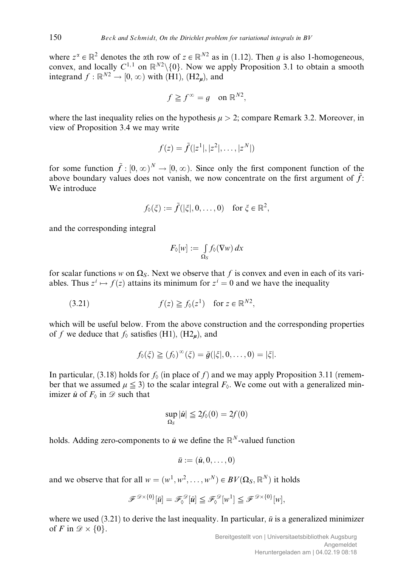where  $z^{\alpha} \in \mathbb{R}^2$  denotes the  $\alpha$ th row of  $z \in \mathbb{R}^{N_2}$  as in (1.12). Then q is also 1-homogeneous, convex, and locally  $C^{1,1}$  on  $\mathbb{R}^{N2}\setminus\{0\}$ . Now we apply Proposition 3.1 to obtain a smooth integrand  $f : \mathbb{R}^{N2} \to [0, \infty)$  with (H1), (H2<sub>u</sub>), and

$$
f \geqq f^{\infty} = g \quad \text{on } \mathbb{R}^{N2},
$$

where the last inequality relies on the hypothesis  $\mu > 2$ ; compare Remark 3.2. Moreover, in view of Proposition 3.4 we may write

$$
f(z) = \tilde{f}(|z^1|, |z^2|, \dots, |z^N|)
$$

for some function  $\tilde{f} : [0, \infty)^N \to [0, \infty)$ . Since only the first component function of the above boundary values does not vanish, we now concentrate on the first argument of  $\tilde{f}$ : We introduce

$$
f_0(\xi) := \tilde{f}(|\xi|, 0, \dots, 0) \quad \text{for } \xi \in \mathbb{R}^2,
$$

and the corresponding integral

$$
F_{\lozenge}[w] := \int_{\Omega_S} f_{\lozenge}(\nabla w) \, dx
$$

for scalar functions w on  $\Omega$ <sub>S</sub>. Next we observe that f is convex and even in each of its variables. Thus  $z^i \mapsto f(z)$  attains its minimum for  $z^i = 0$  and we have the inequality

(3.21) 
$$
f(z) \geqq f_0(z^1) \text{ for } z \in \mathbb{R}^{N2},
$$

which will be useful below. From the above construction and the corresponding properties of f we deduce that  $f_0$  satisfies (H1), (H2<sub>u</sub>), and

$$
f_0(\xi) \geqq (f_0)^{\infty}(\xi) = \tilde{g}(|\xi|, 0, \ldots, 0) = |\xi|.
$$

In particular, (3.18) holds for  $f_0$  (in place of f) and we may apply Proposition 3.11 (remember that we assumed  $\mu \leq 3$ ) to the scalar integral  $F_0$ . We come out with a generalized minimizer  $\hat{u}$  of  $F_{\delta}$  in  $\mathscr{D}$  such that

$$
\sup_{\Omega_S} |\hat{u}| \leq 2f_0(0) = 2f(0)
$$

holds. Adding zero-components to  $\hat{u}$  we define the  $\mathbb{R}^N$ -valued function

$$
\bar{u} := (\hat{u}, 0, \dots, 0)
$$

and we observe that for all  $w = (w^1, w^2, \dots, w^N) \in BV(\Omega_S, \mathbb{R}^N)$  it holds

$$
\mathcal{F}^{\mathscr{D}\times\{0\}}[\bar{u}] = \mathcal{F}_{0}^{\mathscr{D}}[\hat{u}] \leq \mathcal{F}_{0}^{\mathscr{D}}[w^{1}] \leq \mathcal{F}^{\mathscr{D}\times\{0\}}[w]
$$

where we used (3.21) to derive the last inequality. In particular,  $\bar{u}$  is a generalized minimizer of F in  $\mathcal{D} \times \{0\}$ .

;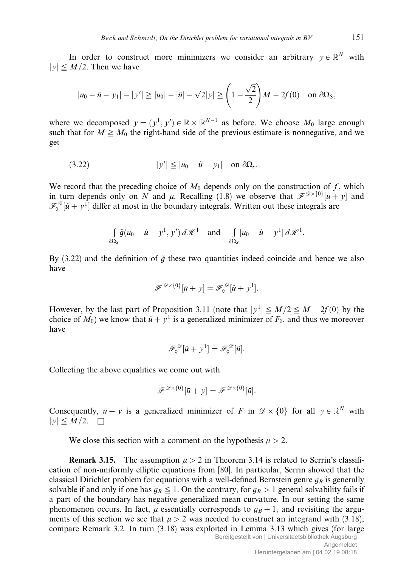In order to construct more minimizers we consider an arbitrary  $y \in \mathbb{R}^N$  with  $|y| \leq M/2$ . Then we have

$$
|u_0 - \hat{u} - y_1| - |y'| \ge |u_0| - |\hat{u}| - \sqrt{2}|y| \ge \left(1 - \frac{\sqrt{2}}{2}\right)M - 2f(0)
$$
 on  $\partial \Omega_S$ ,

where we decomposed  $y = (y^1, y') \in \mathbb{R} \times \mathbb{R}^{N-1}$  as before. We choose  $M_0$  large enough such that for  $M \geq M_0$  the right-hand side of the previous estimate is nonnegative, and we get

$$
(3.22) \t\t |y'| \le |u_0 - \hat{u} - y_1| \quad \text{on } \partial \Omega_s.
$$

We record that the preceding choice of  $M_0$  depends only on the construction of f, which in turn depends only on N and  $\mu$ . Recalling (1.8) we observe that  $\mathscr{F}^{\mathscr{D}\times\{0\}}[\bar{u}+y]$  and  $\mathscr{F}_{\delta}^{\mathscr{D}}[\hat{u} + y^1]$  differ at most in the boundary integrals. Written out these integrals are

$$
\int_{\partial\Omega_S} \tilde{g}(u_0 - \hat{u} - y^1, y') d\mathscr{H}^1 \quad \text{and} \quad \int_{\partial\Omega_S} |u_0 - \hat{u} - y^1| d\mathscr{H}^1.
$$

By  $(3.22)$  and the definition of  $\tilde{q}$  these two quantities indeed coincide and hence we also have

$$
\mathscr{F}^{\mathscr{D}\times\{0\}}[\bar{u}+y]=\mathscr{F}^{\mathscr{D}}_{\lozenge}[\hat{u}+y^1].
$$

However, by the last part of Proposition 3.11 (note that  $|y^1| \le M/2 \le M - 2f(0)$  by the choice of  $M_0$ ) we know that  $\hat{u} + y^1$  is a generalized minimizer of  $F_0$ , and thus we moreover have

$$
\mathscr{F}_{\Diamond}^{\mathscr{D}}[\hat{u}+y^1]=\mathscr{F}_{\Diamond}^{\mathscr{D}}[\hat{u}].
$$

Collecting the above equalities we come out with

$$
\mathscr{F}^{\mathscr{D}\times\{0\}}[\bar{u}+y] = \mathscr{F}^{\mathscr{D}\times\{0\}}[\bar{u}].
$$

Consequently,  $\bar{u} + y$  is a generalized minimizer of F in  $\mathscr{D} \times \{0\}$  for all  $y \in \mathbb{R}^N$  with  $|y|\leq M/2.$   $\Box$ 

We close this section with a comment on the hypothesis  $\mu > 2$ .

**Remark 3.15.** The assumption  $\mu > 2$  in Theorem 3.14 is related to Serrin's classification of non-uniformly elliptic equations from [80]. In particular, Serrin showed that the classical Dirichlet problem for equations with a well-defined Bernstein genre  $g_B$  is generally solvable if and only if one has  $g_B \leq 1$ . On the contrary, for  $g_B > 1$  general solvability fails if a part of the boundary has negative generalized mean curvature. In our setting the same phenomenon occurs. In fact,  $\mu$  essentially corresponds to  $g_B + 1$ , and revisiting the arguments of this section we see that  $\mu > 2$  was needed to construct an integrand with (3.18); compare Remark 3.2. In turn (3.18) was exploited in Lemma 3.13 which gives (for large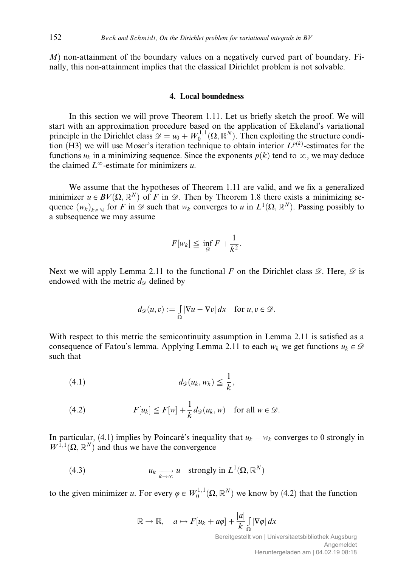$M$ ) non-attainment of the boundary values on a negatively curved part of boundary. Finally, this non-attainment implies that the classical Dirichlet problem is not solvable.

#### 4. Local boundedness

In this section we will prove Theorem 1.11. Let us briefly sketch the proof. We will start with an approximation procedure based on the application of Ekeland's variational principle in the Dirichlet class  $\mathscr{D} = u_0 + W_0^{1,1}(\Omega, \mathbb{R}^N)$ . Then exploiting the structure condition (H3) we will use Moser's iteration technique to obtain interior  $L^{p(k)}$ -estimates for the functions  $u_k$  in a minimizing sequence. Since the exponents  $p(k)$  tend to  $\infty$ , we may deduce the claimed  $L^{\infty}$ -estimate for minimizers u.

We assume that the hypotheses of Theorem 1.11 are valid, and we fix a generalized minimizer  $u \in BV(\Omega, \mathbb{R}^N)$  of F in  $\mathscr{D}$ . Then by Theorem 1.8 there exists a minimizing sequence  $(w_k)_{k \in \mathbb{N}}$  for F in  $\mathscr{D}$  such that  $w_k$  converges to u in  $L^1(\Omega,\mathbb{R}^N)$ . Passing possibly to a subsequence we may assume

$$
F[w_k] \leq \inf_{\mathscr{D}} F + \frac{1}{k^2}.
$$

Next we will apply Lemma 2.11 to the functional  $F$  on the Dirichlet class  $\mathscr{D}$ . Here,  $\mathscr{D}$  is endowed with the metric  $d_{\mathscr{D}}$  defined by

$$
d_{\mathscr{D}}(u,v) := \int_{\Omega} |\nabla u - \nabla v| \, dx \quad \text{for } u, v \in \mathscr{D}.
$$

With respect to this metric the semicontinuity assumption in Lemma 2.11 is satisfied as a consequence of Fatou's lemma. Applying Lemma 2.11 to each  $w_k$  we get functions  $u_k \in \mathcal{D}$ such that

$$
(4.1) \t\t d_{\mathscr{D}}(u_k, w_k) \leqq \frac{1}{k},
$$

(4.2) 
$$
F[u_k] \leq F[w] + \frac{1}{k} d_{\mathscr{D}}(u_k, w) \text{ for all } w \in \mathscr{D}.
$$

In particular, (4.1) implies by Poincaré's inequality that  $u_k - w_k$  converges to 0 strongly in  $W^{1,1}(\Omega,\mathbb{R}^N)$  and thus we have the convergence

(4.3) 
$$
u_k \underset{k \to \infty}{\longrightarrow} u \quad \text{strongly in } L^1(\Omega, \mathbb{R}^N)
$$

to the given minimizer u. For every  $\varphi \in W_0^{1,1}(\Omega, \mathbb{R}^N)$  we know by (4.2) that the function

$$
\mathbb{R} \to \mathbb{R}, \quad a \mapsto F[u_k + a\varphi] + \frac{|a|}{k} \int_{\Omega} |\nabla \varphi| \, dx
$$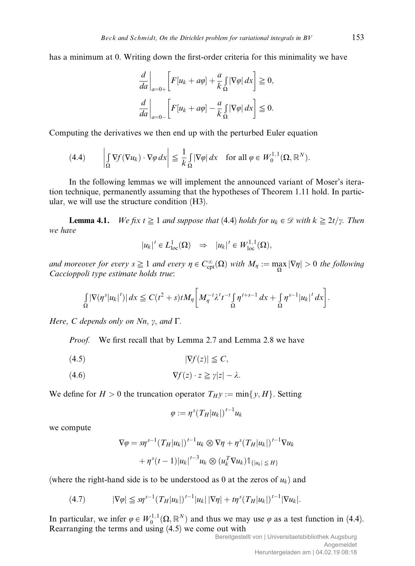has a minimum at 0. Writing down the first-order criteria for this minimality we have

$$
\frac{d}{da}\bigg|_{a=0+}\bigg[F[u_k + a\varphi] + \frac{a}{k}\int_{\Omega} |\nabla \varphi| \, dx\bigg] \ge 0,
$$
  

$$
\frac{d}{da}\bigg|_{a=0-}\bigg[F[u_k + a\varphi] - \frac{a}{k}\int_{\Omega} |\nabla \varphi| \, dx\bigg] \le 0.
$$

Computing the derivatives we then end up with the perturbed Euler equation

(4.4) 
$$
\left| \int_{\Omega} \nabla f(\nabla u_k) \cdot \nabla \varphi \, dx \right| \leq \frac{1}{k} \int_{\Omega} |\nabla \varphi| \, dx \quad \text{for all } \varphi \in W_0^{1,1}(\Omega, \mathbb{R}^N).
$$

In the following lemmas we will implement the announced variant of Moser's iteration technique, permanently assuming that the hypotheses of Theorem 1.11 hold. In particular, we will use the structure condition (H3).

**Lemma 4.1.** We fix  $t \geq 1$  and suppose that (4.4) holds for  $u_k \in \mathcal{D}$  with  $k \geq 2t/\gamma$ . Then we have

$$
|u_k|^t \in L^1_{loc}(\Omega) \quad \Rightarrow \quad |u_k|^t \in W^{1,1}_{loc}(\Omega),
$$

and moreover for every  $s \geq 1$  and every  $\eta \in C_{\text{cpt}}^{\infty}(\Omega)$  with  $M_{\eta} := \max_{\Omega} |\nabla \eta| > 0$  the following Caccioppoli type estimate holds true:

$$
\int_{\Omega} |\nabla(\eta^s|u_k|^t)| dx \leq C(t^2+s)t M_{\eta} \bigg[M_{\eta}^{-t}\lambda^t t^{-t} \int_{\Omega} \eta^{t+s-1} dx + \int_{\Omega} \eta^{s-1} |u_k|^t dx \bigg].
$$

Here, C depends only on  $Nn$ ,  $\gamma$ , and  $\Gamma$ .

Proof. We first recall that by Lemma 2.7 and Lemma 2.8 we have

$$
|\nabla f(z)| \leq C,
$$

$$
\nabla f(z) \cdot z \geq \gamma |z| - \lambda.
$$

We define for  $H > 0$  the truncation operator  $T_H y := min\{y, H\}$ . Setting

$$
\varphi:=\eta^s(T_H|u_k|)^{t-1}u_k
$$

we compute

$$
\nabla \varphi = s \eta^{s-1} (T_H |u_k|)^{t-1} u_k \otimes \nabla \eta + \eta^s (T_H |u_k|)^{t-1} \nabla u_k
$$

$$
+ \eta^s (t-1) |u_k|^{t-3} u_k \otimes (u_k^T \nabla u_k) \mathbb{1}_{\{|u_k| \le H\}}
$$

(where the right-hand side is to be understood as 0 at the zeros of  $u_k$ ) and

(4.7) 
$$
|\nabla \varphi| \leq s \eta^{s-1} (T_H |u_k|)^{t-1} |u_k| |\nabla \eta| + t \eta^{s} (T_H |u_k|)^{t-1} |\nabla u_k|.
$$

In particular, we infer  $\varphi \in W_0^{1,1}(\Omega, \mathbb{R}^N)$  and thus we may use  $\varphi$  as a test function in (4.4). Rearranging the terms and using (4.5) we come out with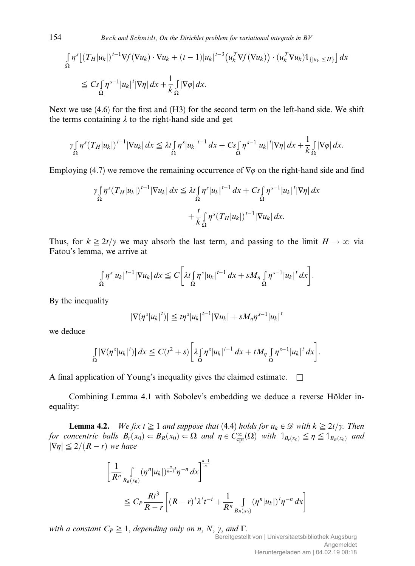154 Beck and Schmidt, On the Dirichlet problem for variational integrals in BV

$$
\int_{\Omega} \eta^{s} \left[ \left( T_{H} |u_{k}| \right)^{t-1} \nabla f(\nabla u_{k}) \cdot \nabla u_{k} + (t-1) |u_{k}|^{t-3} \left( u_{k}^{T} \nabla f(\nabla u_{k}) \right) \cdot \left( u_{k}^{T} \nabla u_{k} \right) \mathbb{1}_{\left\{ |u_{k}| \leq H \right\}} \right] dx
$$
\n
$$
\leq C_{S} \int_{\Omega} \eta^{s-1} |u_{k}|^{t} |\nabla \eta| dx + \frac{1}{k} \int_{\Omega} |\nabla \varphi| dx.
$$

Next we use (4.6) for the first and (H3) for the second term on the left-hand side. We shift the terms containing  $\lambda$  to the right-hand side and get

$$
\gamma\int_{\Omega}\eta^{s}(T_{H}|u_{k}|)^{t-1}|\nabla u_{k}|\,dx\leq \lambda t\int_{\Omega}\eta^{s}|u_{k}|^{t-1}\,dx+C_{S}\int_{\Omega}\eta^{s-1}|u_{k}|^{t}|\nabla \eta|\,dx+\frac{1}{k}\int_{\Omega}|\nabla \varphi|\,dx.
$$

Employing (4.7) we remove the remaining occurrence of  $\nabla\varphi$  on the right-hand side and find

$$
\gamma \int_{\Omega} \eta^{s} (T_{H}|u_{k}|)^{t-1} |\nabla u_{k}| dx \leq \lambda t \int_{\Omega} \eta^{s} |u_{k}|^{t-1} dx + C_{S} \int_{\Omega} \eta^{s-1} |u_{k}|^{t} |\nabla \eta| dx
$$

$$
+ \frac{t}{k} \int_{\Omega} \eta^{s} (T_{H}|u_{k}|)^{t-1} |\nabla u_{k}| dx.
$$

Thus, for  $k \ge 2t/\gamma$  we may absorb the last term, and passing to the limit  $H \to \infty$  via Fatou's lemma, we arrive at

$$
\int_{\Omega} \eta^{s} |u_{k}|^{t-1} |\nabla u_{k}| dx \leq C \left[ \lambda t \int_{\Omega} \eta^{s} |u_{k}|^{t-1} dx + s M_{\eta} \int_{\Omega} \eta^{s-1} |u_{k}|^{t} dx \right].
$$

By the inequality

$$
|\nabla(\eta^s|u_k|^t)| \leqq t\eta^s|u_k|^{t-1}|\nabla u_k| + sM_\eta\eta^{s-1}|u_k|^t
$$

we deduce

$$
\int_{\Omega} |\nabla(\eta^s|u_k|^t)| dx \leq C(t^2+s) \left[ \lambda \int_{\Omega} \eta^s |u_k|^{t-1} dx + t M_\eta \int_{\Omega} \eta^{s-1} |u_k|^t dx \right].
$$

A final application of Young's inequality gives the claimed estimate.  $\square$ 

Combining Lemma 4.1 with Sobolev's embedding we deduce a reverse Hölder inequality:

**Lemma 4.2.** We fix  $t \geq 1$  and suppose that (4.4) holds for  $u_k \in \mathcal{D}$  with  $k \geq 2t/\gamma$ . Then for concentric balls  $B_r(x_0) \subseteq B_R(x_0) \subseteq \Omega$  and  $\eta \in C_{\text{cpt}}^{\infty}(\Omega)$  with  $\mathbb{1}_{B_r(x_0)} \leq \eta \leq \mathbb{1}_{B_R(x_0)}$  and  $|\nabla \eta| \leq 2/(R - r)$  we have

$$
\begin{aligned} & \left[ \frac{1}{R^n} \int\limits_{B_R(x_0)} (\eta^n |u_k|)^{\frac{n}{n-1}t} \eta^{-n} \, dx \right]^{\frac{n-1}{n}} \\ &\leq C_P \frac{Rt^3}{R-r} \left[ (R-r)^t \lambda^t t^{-t} + \frac{1}{R^n} \int\limits_{B_R(x_0)} (\eta^n |u_k|)^t \eta^{-n} \, dx \right] \end{aligned}
$$

with a constant  $C_P \geq 1$ , depending only on n, N,  $\gamma$ , and  $\Gamma$ .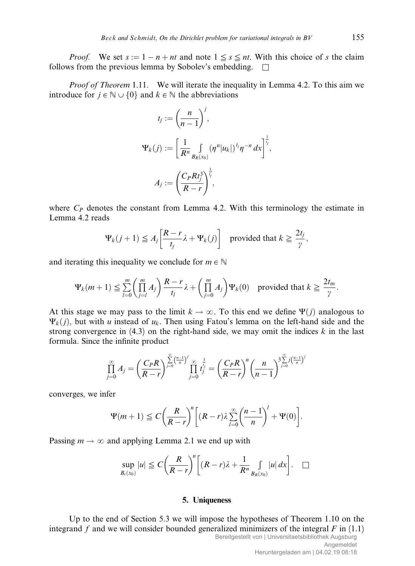*Proof.* We set  $s := 1 - n + nt$  and note  $1 \leq s \leq nt$ . With this choice of s the claim follows from the previous lemma by Sobolev's embedding.  $\square$ 

*Proof of Theorem* 1.11. We will iterate the inequality in Lemma 4.2. To this aim we introduce for  $j \in \mathbb{N} \cup \{0\}$  and  $k \in \mathbb{N}$  the abbreviations

$$
t_j := \left(\frac{n}{n-1}\right)^j,
$$
  

$$
\Psi_k(j) := \left[\frac{1}{R^n} \int_{B_R(x_0)} (\eta^n |u_k|)^{t_j} \eta^{-n} dx\right]^{\frac{1}{t_j}},
$$
  

$$
A_j := \left(\frac{C_P R t_j^3}{R-r}\right)^{\frac{1}{t_j}},
$$

where  $C_P$  denotes the constant from Lemma 4.2. With this terminology the estimate in Lemma 4.2 reads

$$
\Psi_k(j+1) \leq A_j \left[ \frac{R-r}{t_j} \lambda + \Psi_k(j) \right] \text{ provided that } k \geq \frac{2t_j}{\gamma},
$$

and iterating this inequality we conclude for  $m \in \mathbb{N}$ 

$$
\Psi_k(m+1) \leq \sum_{l=0}^m \left(\prod_{j=l}^m A_j\right) \frac{R-r}{t_l} \lambda + \left(\prod_{j=0}^m A_j\right) \Psi_k(0) \text{ provided that } k \geq \frac{2t_m}{\gamma}.
$$

At this stage we may pass to the limit  $k \to \infty$ . To this end we define  $\Psi(j)$  analogous to  $\Psi_k(j)$ , but with u instead of  $u_k$ . Then using Fatou's lemma on the left-hand side and the strong convergence in  $(4.3)$  on the right-hand side, we may omit the indices k in the last formula. Since the infinite product

$$
\prod_{j=0}^{\infty} A_j = \left(\frac{C_P R}{R-r}\right)^{\sum_{j=0}^{\infty} \left(\frac{n-1}{n}\right)^j} \prod_{j=0}^{\infty} t_j^{\frac{3}{t_j}} = \left(\frac{C_P R}{R-r}\right)^n \left(\frac{n}{n-1}\right)^3 \sum_{j=0}^{\infty} \frac{j \left(\frac{n-1}{n}\right)^j}{r}
$$

converges, we infer

$$
\Psi(m+1) \leq C \bigg(\frac{R}{R-r}\bigg)^n \bigg[ (R-r)\lambda \sum_{l=0}^{\infty} \bigg(\frac{n-1}{n}\bigg)^l + \Psi(0) \bigg].
$$

Passing  $m \to \infty$  and applying Lemma 2.1 we end up with

$$
\sup_{B_r(x_0)}|u|\leq C\bigg(\frac{R}{R-r}\bigg)^n\bigg[(R-r)\lambda+\frac{1}{R^n}\int_{B_R(x_0)}|u|\,dx\bigg].\quad \Box
$$

# 5. Uniqueness

Up to the end of Section 5.3 we will impose the hypotheses of Theorem 1.10 on the integrand f and we will consider bounded generalized minimizers of the integral  $F$  in (1.1) Bereitgestellt von | Universitaetsbibliothek Augsburg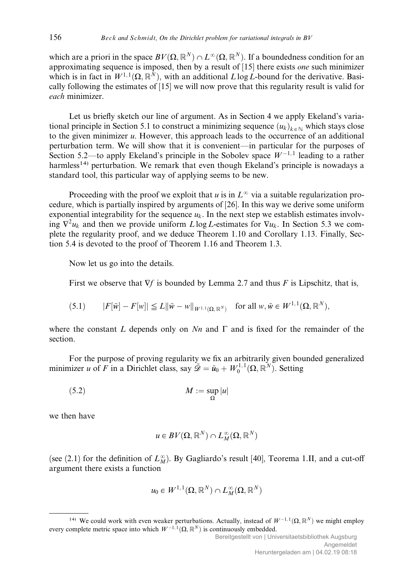which are a priori in the space  $BV(\Omega, \mathbb{R}^N) \cap L^{\infty}(\Omega, \mathbb{R}^N)$ . If a boundedness condition for an approximating sequence is imposed, then by a result of [15] there exists *one* such minimizer which is in fact in  $W^{1,1}(\Omega, \mathbb{R}^N)$ , with an additional L log L-bound for the derivative. Basically following the estimates of [15] we will now prove that this regularity result is valid for each minimizer.

Let us briefly sketch our line of argument. As in Section 4 we apply Ekeland's variational principle in Section 5.1 to construct a minimizing sequence  $(u_k)_{k \in \mathbb{N}}$  which stays close to the given minimizer  $u$ . However, this approach leads to the occurrence of an additional perturbation term. We will show that it is convenient—in particular for the purposes of Section 5.2—to apply Ekeland's principle in the Sobolev space  $W^{-1,1}$  leading to a rather harmless<sup>14)</sup> perturbation. We remark that even though Ekeland's principle is nowadays a standard tool, this particular way of applying seems to be new.

Proceeding with the proof we exploit that u is in  $L^{\infty}$  via a suitable regularization procedure, which is partially inspired by arguments of [26]. In this way we derive some uniform exponential integrability for the sequence  $u_k$ . In the next step we establish estimates involving  $\nabla^2 u_k$  and then we provide uniform  $L \log L$ -estimates for  $\nabla u_k$ . In Section 5.3 we complete the regularity proof, and we deduce Theorem 1.10 and Corollary 1.13. Finally, Section 5.4 is devoted to the proof of Theorem 1.16 and Theorem 1.3.

Now let us go into the details.

First we observe that  $\nabla f$  is bounded by Lemma 2.7 and thus F is Lipschitz, that is,

$$
(5.1) \t\t |F[\tilde{w}] - F[w]| \leq L \|\tilde{w} - w\|_{W^{1,1}(\Omega, \mathbb{R}^N)} \t \text{ for all } w, \tilde{w} \in W^{1,1}(\Omega, \mathbb{R}^N),
$$

where the constant L depends only on  $Nn$  and  $\Gamma$  and is fixed for the remainder of the section.

For the purpose of proving regularity we fix an arbitrarily given bounded generalized minimizer u of F in a Dirichlet class, say  $\tilde{\mathcal{D}} = \tilde{u}_0 + W_0^{1,1}(\Omega, \mathbb{R}^N)$ . Setting

$$
(5.2) \t\t\t M := \sup_{\Omega} |u|
$$

we then have

$$
u\in BV(\Omega,\mathbb R^N)\cap L^\infty_M(\Omega,\mathbb R^N)
$$

(see (2.1) for the definition of  $L_M^{\infty}$ ). By Gagliardo's result [40], Teorema 1.II, and a cut-off argument there exists a function

$$
u_0 \in W^{1,1}(\Omega,\mathbb{R}^N) \cap L^\infty_M(\Omega,\mathbb{R}^N)
$$

<sup>&</sup>lt;sup>14)</sup> We could work with even weaker perturbations. Actually, instead of  $W^{-1,1}(\Omega,\mathbb{R}^N)$  we might employ every complete metric space into which  $W^{-1,1}(\Omega,\mathbb{R}^N)$  is continuously embedded.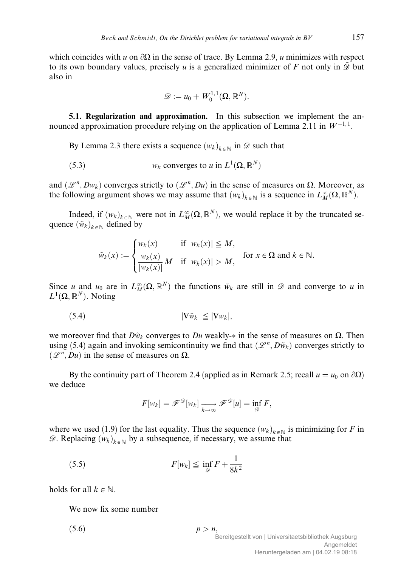which coincides with u on  $\partial\Omega$  in the sense of trace. By Lemma 2.9, u minimizes with respect to its own boundary values, precisely u is a generalized minimizer of F not only in  $\tilde{\mathscr{D}}$  but also in

$$
\mathscr{D}:=u_0+W^{1,1}_0(\Omega,\mathbb{R}^N).
$$

5.1. Regularization and approximation. In this subsection we implement the announced approximation procedure relying on the application of Lemma 2.11 in  $W^{-1,1}$ .

By Lemma 2.3 there exists a sequence  $(w_k)_{k \in \mathbb{N}}$  in  $\mathscr{D}$  such that

(5.3) 
$$
w_k
$$
 converges to  $u$  in  $L^1(\Omega, \mathbb{R}^N)$ 

and  $(\mathcal{L}^n, Dw_k)$  converges strictly to  $(\mathcal{L}^n, Du)$  in the sense of measures on  $\Omega$ . Moreover, as the following argument shows we may assume that  $(w_k)_{k \in \mathbb{N}}$  is a sequence in  $L_M^{\infty}(\Omega, \mathbb{R}^N)$ .

Indeed, if  $(w_k)_{k \in \mathbb{N}}$  were not in  $L_M^{\infty}(\Omega, \mathbb{R}^N)$ , we would replace it by the truncated sequence  $(\tilde{w}_k)_{k \in \mathbb{N}}$  defined by

$$
\tilde{w}_k(x) := \begin{cases} w_k(x) & \text{if } |w_k(x)| \leq M, \\ \frac{w_k(x)}{|w_k(x)|} M & \text{if } |w_k(x)| > M, \end{cases} \text{ for } x \in \Omega \text{ and } k \in \mathbb{N}.
$$

Since u and  $u_0$  are in  $L_M^{\infty}(\Omega, \mathbb{R}^N)$  the functions  $\tilde{w}_k$  are still in  $\mathscr D$  and converge to u in  $L^1(\Omega,\mathbb{R}^N)$ . Noting

$$
(5.4) \t\t |\nabla \tilde{w}_k| \leq |\nabla w_k|,
$$

we moreover find that  $D\tilde{w}_k$  converges to Du weakly- $*$  in the sense of measures on  $\Omega$ . Then using (5.4) again and invoking semicontinuity we find that  $(\mathcal{L}^n, D\tilde{w}_k)$  converges strictly to  $(\mathscr{L}^n, Du)$  in the sense of measures on  $\Omega$ .

By the continuity part of Theorem 2.4 (applied as in Remark 2.5; recall  $u = u_0$  on  $\partial\Omega$ ) we deduce

$$
F[w_k] = \mathscr{F}^{\mathscr{D}}[w_k] \xrightarrow[k \to \infty]{} \mathscr{F}^{\mathscr{D}}[u] = \inf_{\mathscr{D}} F,
$$

where we used (1.9) for the last equality. Thus the sequence  $(w_k)_{k \in \mathbb{N}}$  is minimizing for F in  $\mathscr{D}$ . Replacing  $(w_k)_{k \in \mathbb{N}}$  by a subsequence, if necessary, we assume that

$$
(5.5) \tF[w_k] \le \inf_{\mathscr{D}} F + \frac{1}{8k^2}
$$

holds for all  $k \in \mathbb{N}$ .

We now fix some number

 $(5.6)$   $p > n$ ,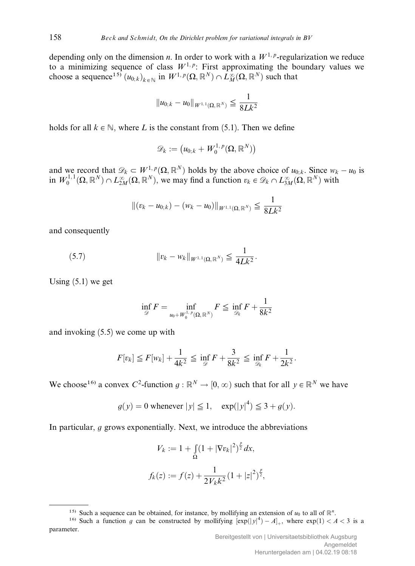depending only on the dimension *n*. In order to work with a  $W^{1,p}$ -regularization we reduce to a minimizing sequence of class  $W^{1,p}$ : First approximating the boundary values we choose a sequence<sup>15)</sup>  $(u_{0,k})_{k \in \mathbb{N}}$  in  $W^{1,p}(\Omega,\mathbb{R}^N) \cap \tilde{L}_M^{\infty}(\Omega,\mathbb{R}^N)$  such that

$$
||u_{0;k}-u_0||_{W^{1,1}(\Omega,\mathbb{R}^N)}\leq \frac{1}{8Lk^2}
$$

holds for all  $k \in \mathbb{N}$ , where L is the constant from (5.1). Then we define

$$
\mathscr{D}_k := \big( u_{0;k} + W^{1,\,p}_0(\Omega,\mathbb{R}^N) \big)
$$

and we record that  $\mathscr{D}_k \subset W^{1,p}(\Omega,\mathbb{R}^N)$  holds by the above choice of  $u_{0,k}$ . Since  $w_k - u_0$  is in  $W_0^{1,1}(\Omega,\mathbb{R}^N) \cap L_{2M}^{\infty}(\Omega,\mathbb{R}^N)$ , we may find a function  $v_k \in \mathscr{D}_k \cap L_{3M}^{\infty}(\Omega,\mathbb{R}^N)$  with

$$
\|(v_k - u_{0;k}) - (w_k - u_0)\|_{W^{1,1}(\Omega, \mathbb{R}^N)} \leq \frac{1}{8Lk^2}
$$

and consequently

(5.7) 
$$
\|v_k - w_k\|_{W^{1,1}(\Omega, \mathbb{R}^N)} \leq \frac{1}{4Lk^2}.
$$

Using  $(5.1)$  we get

$$
\inf_{\mathscr{D}} F = \inf_{u_0 + W_0^{1,P}(\Omega, \mathbb{R}^N)} F \leqq \inf_{\mathscr{D}_k} F + \frac{1}{8k^2}
$$

and invoking (5.5) we come up with

$$
F[v_k] \leq F[w_k] + \frac{1}{4k^2} \leq \inf_{\mathscr{D}} F + \frac{3}{8k^2} \leq \inf_{\mathscr{D}_k} F + \frac{1}{2k^2}.
$$

We choose<sup>16)</sup> a convex C<sup>2</sup>-function  $g : \mathbb{R}^N \to [0, \infty)$  such that for all  $y \in \mathbb{R}^N$  we have

$$
g(y) = 0
$$
 whenever  $|y| \le 1$ ,  $exp(|y|^4) \le 3 + g(y)$ .

In particular,  $q$  grows exponentially. Next, we introduce the abbreviations

$$
V_k := 1 + \int_{\Omega} (1 + |\nabla v_k|^2)^{\frac{p}{2}} dx,
$$
  

$$
f_k(z) := f(z) + \frac{1}{2V_k k^2} (1 + |z|^2)^{\frac{p}{2}},
$$

<sup>&</sup>lt;sup>15)</sup> Such a sequence can be obtained, for instance, by mollifying an extension of  $u_0$  to all of  $\mathbb{R}^n$ .

<sup>&</sup>lt;sup>16)</sup> Such a function g can be constructed by mollifying  $[\exp(|y|^4) - A]_+$ , where  $\exp(1) < A < 3$  is a parameter.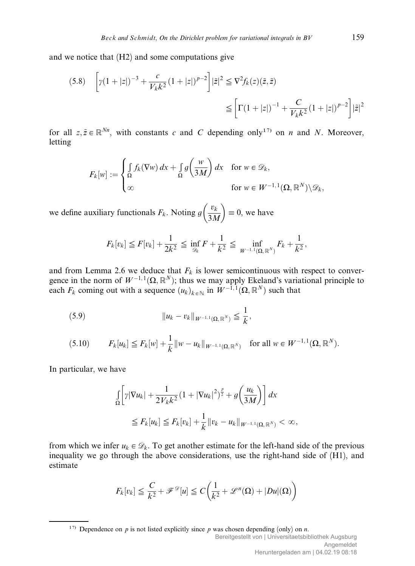and we notice that (H2) and some computations give

$$
(5.8) \quad \left[ \gamma (1+|z|)^{-3} + \frac{c}{V_k k^2} (1+|z|)^{p-2} \right] |\tilde{z}|^2 \leq \nabla^2 f_k(z) (\tilde{z}, \tilde{z})
$$
\n
$$
\leq \left[ \Gamma (1+|z|)^{-1} + \frac{C}{V_k k^2} (1+|z|)^{p-2} \right] |\tilde{z}|^2
$$

for all  $z, \tilde{z} \in \mathbb{R}^{Nn}$ , with constants c and C depending only<sup>17)</sup> on n and N. Moreover, letting

$$
F_k[w] := \begin{cases} \int_{\Omega} f_k(\nabla w) dx + \int_{\Omega} g\left(\frac{w}{3M}\right) dx & \text{for } w \in \mathcal{D}_k, \\ \infty & \text{for } w \in W^{-1,1}(\Omega, \mathbb{R}^N) \setminus \mathcal{D}_k, \end{cases}
$$

we define auxiliary functionals  $F_k$ . Noting  $g\left(\frac{v_k}{2\lambda}\right)$  $\left(\frac{v_k}{3M}\right) \equiv 0$ , we have

$$
F_k[v_k] \leq F[v_k] + \frac{1}{2k^2} \leq \inf_{\mathscr{D}_k} F + \frac{1}{k^2} \leq \inf_{W^{-1,1}(\Omega, \mathbb{R}^N)} F_k + \frac{1}{k^2},
$$

and from Lemma 2.6 we deduce that  $F_k$  is lower semicontinuous with respect to convergence in the norm of  $W^{-1,1}(\Omega,\mathbb{R}^N)$ ; thus we may apply Ekeland's variational principle to each  $F_k$  coming out with a sequence  $(u_k)_{k \in \mathbb{N}}$  in  $W^{-1,1}(\Omega,\mathbb{R}^N)$  such that

(5.9) 
$$
\|u_k - v_k\|_{W^{-1,1}(\Omega, \mathbb{R}^N)} \leq \frac{1}{k},
$$

$$
(5.10) \tF_k[u_k] \leq F_k[w] + \frac{1}{k} ||w - u_k||_{W^{-1,1}(\Omega, \mathbb{R}^N)} \tfor all  $w \in W^{-1,1}(\Omega, \mathbb{R}^N)$ .
$$

In particular, we have

$$
\int_{\Omega} \left[ \gamma |\nabla u_k| + \frac{1}{2V_k k^2} (1 + |\nabla u_k|^2)^{\frac{p}{2}} + g\left(\frac{u_k}{3M}\right) \right] dx
$$
  

$$
\leq F_k[u_k] \leq F_k[v_k] + \frac{1}{k} ||v_k - u_k||_{W^{-1,1}(\Omega, \mathbb{R}^N)} < \infty,
$$

from which we infer  $u_k \in \mathcal{D}_k$ . To get another estimate for the left-hand side of the previous inequality we go through the above considerations, use the right-hand side of (H1), and estimate

$$
F_k[v_k] \leq \frac{C}{k^2} + \mathcal{F}^{\mathcal{D}}[u] \leq C\bigg(\frac{1}{k^2} + \mathcal{L}^n(\Omega) + |Du|(\Omega)\bigg)
$$

<sup>17)</sup> Dependence on p is not listed explicitly since p was chosen depending (only) on n. Bereitgestellt von | Universitaetsbibliothek Augsburg Angemeldet Heruntergeladen am | 04.02.19 08:18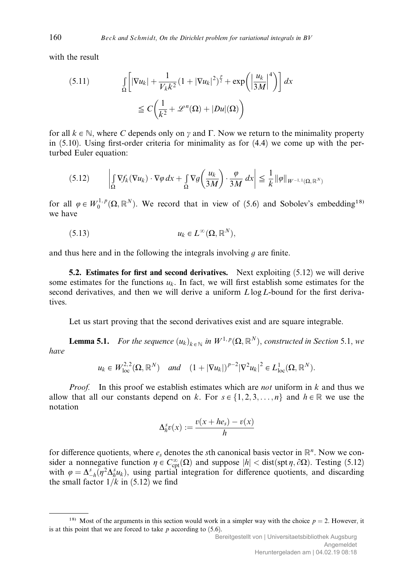with the result

(5.11) 
$$
\int_{\Omega} \left[ |\nabla u_k| + \frac{1}{V_k k^2} (1 + |\nabla u_k|^2)^{\frac{p}{2}} + \exp\left( \left| \frac{u_k}{3M} \right|^4 \right) \right] dx
$$

$$
\leq C \left( \frac{1}{k^2} + \mathcal{L}^n(\Omega) + |Du|(\Omega) \right)
$$

for all  $k \in \mathbb{N}$ , where C depends only on  $\gamma$  and  $\Gamma$ . Now we return to the minimality property in (5.10). Using first-order criteria for minimality as for (4.4) we come up with the perturbed Euler equation:

$$
(5.12) \qquad \left| \int_{\Omega} \nabla f_k(\nabla u_k) \cdot \nabla \varphi \, dx + \int_{\Omega} \nabla g \left( \frac{u_k}{3M} \right) \cdot \frac{\varphi}{3M} \, dx \right| \leq \frac{1}{k} \|\varphi\|_{W^{-1,1}(\Omega, \mathbb{R}^N)}
$$

for all  $\varphi \in W_0^{1,p}(\Omega,\mathbb{R}^N)$ . We record that in view of (5.6) and Sobolev's embedding<sup>18)</sup> we have

$$
(5.13) \t\t u_k \in L^{\infty}(\Omega, \mathbb{R}^N),
$$

and thus here and in the following the integrals involving  $q$  are finite.

**5.2.** Estimates for first and second derivatives. Next exploiting  $(5.12)$  we will derive some estimates for the functions  $u_k$ . In fact, we will first establish some estimates for the second derivatives, and then we will derive a uniform  $L \log L$ -bound for the first derivatives.

Let us start proving that the second derivatives exist and are square integrable.

**Lemma 5.1.** For the sequence  $(u_k)_{k \in \mathbb{N}}$  in  $W^{1,p}(\Omega,\mathbb{R}^N)$ , constructed in Section 5.1, we have

$$
u_k \in W_{loc}^{2,2}(\Omega, \mathbb{R}^N)
$$
 and  $(1 + |\nabla u_k|)^{p-2} |\nabla^2 u_k|^2 \in L_{loc}^1(\Omega, \mathbb{R}^N)$ .

*Proof.* In this proof we establish estimates which are *not* uniform in  $k$  and thus we allow that all our constants depend on k. For  $s \in \{1, 2, 3, ..., n\}$  and  $h \in \mathbb{R}$  we use the notation

$$
\Delta_h^s v(x) := \frac{v(x + he_s) - v(x)}{h}
$$

for difference quotients, where  $e_s$  denotes the sth canonical basis vector in  $\mathbb{R}^n$ . Now we consider a nonnegative function  $\eta \in C_{\text{cpt}}^{\infty}(\Omega)$  and suppose  $|h| < \text{dist}(\text{spt }\eta, \partial \Omega)$ . Testing (5.12) with  $\varphi = \Delta_{-h}^s(\eta^2 \Delta_h^s u_k)$ , using partial integration for difference quotients, and discarding the small factor  $1/k$  in (5.12) we find

<sup>&</sup>lt;sup>18)</sup> Most of the arguments in this section would work in a simpler way with the choice  $p = 2$ . However, it is at this point that we are forced to take  $p$  according to  $(5.6)$ .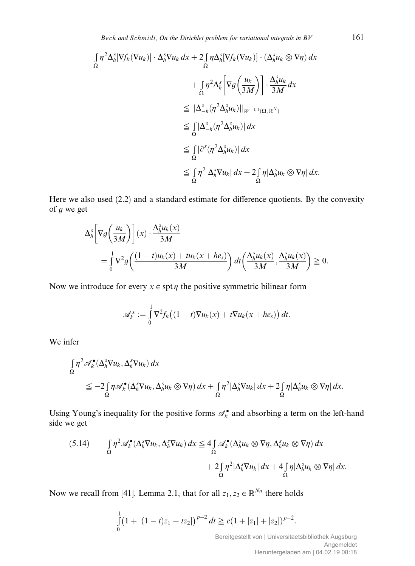Beck and Schmidt, On the Dirichlet problem for variational integrals in  $BV$  161

$$
\int_{\Omega} \eta^{2} \Delta_{h}^{s} [\nabla f_{k} (\nabla u_{k})] \cdot \Delta_{h}^{s} \nabla u_{k} dx + 2 \int_{\Omega} \eta \Delta_{h}^{s} [\nabla f_{k} (\nabla u_{k})] \cdot (\Delta_{h}^{s} u_{k} \otimes \nabla \eta) dx \n+ \int_{\Omega} \eta^{2} \Delta_{h}^{s} \left[ \nabla g \left( \frac{u_{k}}{3M} \right) \right] \cdot \frac{\Delta_{h}^{s} u_{k}}{3M} dx \n\leq ||\Delta_{-h}^{s} (\eta^{2} \Delta_{h}^{s} u_{k})||_{W^{-1,1}(\Omega, \mathbb{R}^{N})} \n\leq \int_{\Omega} |\Delta_{-h}^{s} (\eta^{2} \Delta_{h}^{s} u_{k})| dx \n\leq \int_{\Omega} |\partial^{s} (\eta^{2} \Delta_{h}^{s} u_{k})| dx \n\leq \int_{\Omega} \eta^{2} |\Delta_{h}^{s} \nabla u_{k}| dx + 2 \int_{\Omega} \eta |\Delta_{h}^{s} u_{k} \otimes \nabla \eta| dx.
$$

Here we also used  $(2.2)$  and a standard estimate for difference quotients. By the convexity of  $g$  we get

$$
\Delta_h^s \left[ \nabla g \left( \frac{u_k}{3M} \right) \right] (x) \cdot \frac{\Delta_h^s u_k(x)}{3M}
$$
\n
$$
= \int_0^1 \nabla^2 g \left( \frac{(1-t)u_k(x) + tu_k(x+he_s)}{3M} \right) dt \left( \frac{\Delta_h^s u_k(x)}{3M}, \frac{\Delta_h^s u_k(x)}{3M} \right) \ge 0.
$$

Now we introduce for every  $x \in \text{spt } \eta$  the positive symmetric bilinear form

$$
\mathscr{A}_k^x := \int_0^1 \nabla^2 f_k \big( (1-t) \nabla u_k(x) + t \nabla u_k(x + h e_s) \big) dt.
$$

We infer

$$
\begin{split} \int_{\Omega} \eta^2 \mathscr{A}_{k}^{\bullet}(\Delta_{h}^{s} \nabla u_{k}, \Delta_{h}^{s} \nabla u_{k}) \, dx \\ &\leq -2 \int_{\Omega} \eta \mathscr{A}_{k}^{\bullet}(\Delta_{h}^{s} \nabla u_{k}, \Delta_{h}^{s} u_{k} \otimes \nabla \eta) \, dx + \int_{\Omega} \eta^{2} |\Delta_{h}^{s} \nabla u_{k}| \, dx + 2 \int_{\Omega} \eta |\Delta_{h}^{s} u_{k} \otimes \nabla \eta| \, dx. \end{split}
$$

Using Young's inequality for the positive forms  $\mathcal{A}_k^{\bullet}$  and absorbing a term on the left-hand side we get

$$
(5.14) \qquad \int_{\Omega} \eta^2 \mathscr{A}_{k}^{\bullet}(\Delta_{h}^{s} \nabla u_{k}, \Delta_{h}^{s} \nabla u_{k}) dx \leq 4 \int_{\Omega} \mathscr{A}_{k}^{\bullet}(\Delta_{h}^{s} u_{k} \otimes \nabla \eta, \Delta_{h}^{s} u_{k} \otimes \nabla \eta) dx + 2 \int_{\Omega} \eta^2 |\Delta_{h}^{s} \nabla u_{k}| dx + 4 \int_{\Omega} \eta |\Delta_{h}^{s} u_{k} \otimes \nabla \eta| dx.
$$

Now we recall from [41], Lemma 2.1, that for all  $z_1, z_2 \in \mathbb{R}^{Nn}$  there holds

$$
\int_{0}^{1} (1+|(1-t)z_1+tz_2|)^{p-2} dt \geq c(1+|z_1|+|z_2|)^{p-2}.
$$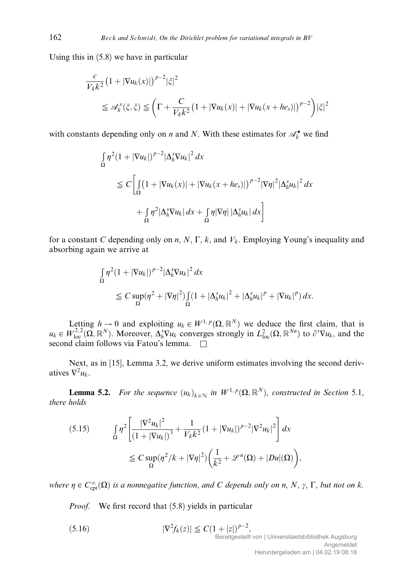Using this in (5.8) we have in particular

$$
\frac{c}{V_k k^2} \left(1 + |\nabla u_k(x)|\right)^{p-2} |\xi|^2
$$
\n
$$
\leq \mathscr{A}_k^x(\xi, \xi) \leq \left(\Gamma + \frac{C}{V_k k^2} \left(1 + |\nabla u_k(x)| + |\nabla u_k(x + h e_s)|\right)^{p-2}\right) |\xi|^2
$$

with constants depending only on *n* and *N*. With these estimates for  $\mathcal{A}_k^{\bullet}$  we find

$$
\int_{\Omega} \eta^{2} (1 + |\nabla u_{k}|)^{p-2} |\Delta_{h}^{s} \nabla u_{k}|^{2} dx
$$
\n
$$
\leq C \left[ \int_{\Omega} (1 + |\nabla u_{k}(x)| + |\nabla u_{k}(x + he_{s})|)^{p-2} |\nabla \eta|^{2} |\Delta_{h}^{s} u_{k}|^{2} dx + \int_{\Omega} \eta^{2} |\Delta_{h}^{s} \nabla u_{k}| dx + \int_{\Omega} \eta |\nabla \eta| |\Delta_{h}^{s} u_{k}| dx \right]
$$

for a constant C depending only on  $n, N, \Gamma, k$ , and  $V_k$ . Employing Young's inequality and absorbing again we arrive at

$$
\int_{\Omega} \eta^2 (1 + |\nabla u_k|)^{p-2} |\Delta_h^s \nabla u_k|^2 dx
$$
\n
$$
\leq C \sup_{\Omega} (\eta^2 + |\nabla \eta|^2) \int_{\Omega} (1 + |\Delta_h^s u_k|^2 + |\Delta_h^s u_k|^p + |\nabla u_k|^p) dx.
$$

Letting  $h \to 0$  and exploiting  $u_k \in W^{1,p}(\Omega, \mathbb{R}^N)$  we deduce the first claim, that is  $u_k \in W_{loc}^{2,2}(\Omega,\mathbb{R}^N)$ . Moreover,  $\Delta_h^s \nabla u_k$  converges strongly in  $L^2_{loc}(\Omega,\mathbb{R}^{Nn})$  to  $\partial^s \nabla u_k$ , and the second claim follows via Fatou's lemma.  $\square$ 

Next, as in [15], Lemma 3.2, we derive uniform estimates involving the second derivatives  $\nabla^2 u_k$ .

**Lemma 5.2.** For the sequence  $(u_k)_{k \in \mathbb{N}}$  in  $W^{1,p}(\Omega, \mathbb{R}^N)$ , constructed in Section 5.1, there holds

$$
(5.15) \qquad \int_{\Omega} \eta^2 \left[ \frac{|\nabla^2 u_k|^2}{(1+|\nabla u_k|)^3} + \frac{1}{V_k k^2} (1+|\nabla u_k|)^{p-2} |\nabla^2 u_k|^2 \right] dx
$$
  

$$
\leq C \sup_{\Omega} (\eta^2 / k + |\nabla \eta|^2) \left( \frac{1}{k^2} + \mathcal{L}^n(\Omega) + |Du|(\Omega) \right),
$$

where  $\eta \in C_{\text{cpt}}^{\infty}(\Omega)$  is a nonnegative function, and C depends only on n, N,  $\gamma$ ,  $\Gamma$ , but not on k.

Proof. We first record that (5.8) yields in particular

(5.16)  $|\nabla^2 f_k(z)| \leq C(1+|z|)^{p-2},$ Bereitgestellt von | Universitaetsbibliothek Augsburg Angemeldet

Heruntergeladen am | 04.02.19 08:18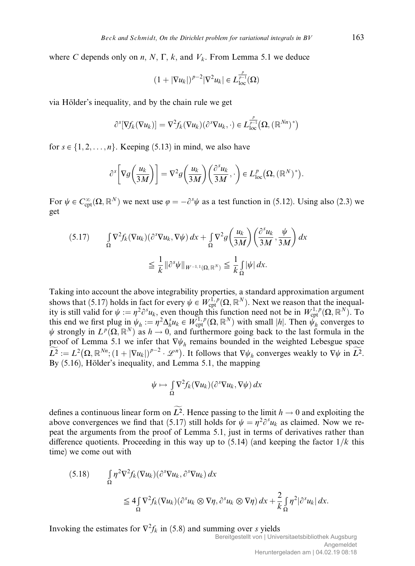where C depends only on n, N,  $\Gamma$ , k, and  $V_k$ . From Lemma 5.1 we deduce

$$
(1+|\nabla u_k|)^{p-2}|\nabla^2 u_k|\in L_{\text{loc}}^{\frac{p}{p-1}}(\Omega)
$$

via Hölder's inequality, and by the chain rule we get

$$
\partial^{s}[\nabla f_{k}(\nabla u_{k})] = \nabla^{2} f_{k}(\nabla u_{k})(\partial^{s} \nabla u_{k}, \cdot) \in L_{\text{loc}}^{\frac{p}{p-1}}(\Omega, (\mathbb{R}^{Nn})^{*})
$$

for  $s \in \{1, 2, \ldots, n\}$ . Keeping (5.13) in mind, we also have

$$
\partial^{s}\bigg[\nabla g\bigg(\frac{u_{k}}{3M}\bigg)\bigg] = \nabla^{2} g\bigg(\frac{u_{k}}{3M}\bigg)\bigg(\frac{\partial^{s} u_{k}}{3M},\cdot\bigg) \in L^{p}_{loc}\big(\Omega,(\mathbb{R}^{N})^{*}\big).
$$

For  $\psi \in C_{\text{cpt}}^{\infty}(\Omega, \mathbb{R}^N)$  we next use  $\varphi = -\partial^s \psi$  as a test function in (5.12). Using also (2.3) we get

$$
(5.17) \qquad \int_{\Omega} \nabla^2 f_k(\nabla u_k)(\partial^s \nabla u_k, \nabla \psi) \, dx + \int_{\Omega} \nabla^2 g\left(\frac{u_k}{3M}\right) \left(\frac{\partial^s u_k}{3M}, \frac{\psi}{3M}\right) dx
$$

$$
\leq \frac{1}{k} \|\partial^s \psi\|_{W^{-1,1}(\Omega, \mathbb{R}^N)} \leq \frac{1}{k} \int_{\Omega} |\psi| \, dx.
$$

Taking into account the above integrability properties, a standard approximation argument shows that (5.17) holds in fact for every  $\psi \in W^{1,p}_{\text{cpt}}(\Omega,\mathbb{R}^N)$ . Next we reason that the inequality is still valid for  $\psi := \eta^2 \partial^s u_k$ , even though this function need not be in  $W_{\text{cpt}}^{1,p}(\Omega, \mathbb{R}^N)$ . To this end we first plug in  $\psi_h := \eta^2 \Delta_h^s u_k \in W_{\mathrm{cpt}}^{1,p}(\Omega, \mathbb{R}^N)$  with small |h|. Then  $\psi_h$  converges to  $\psi$  strongly in  $L^p(\Omega,\mathbb{R}^N)$  as  $h \to 0$ , and furthermore going back to the last formula in the proof of Lemma 5.1 we infer that  $\nabla \psi_h$  remains bounded in the weighted Lebesgue space  $\widetilde{L^2} := L^2(\Omega, \mathbb{R}^{Nn}; (1+|\nabla u_k|)^{p-2} \cdot \mathscr{L}^n)$ . It follows that  $\nabla \psi_h$  converges weakly to  $\nabla \psi$  in  $\widetilde{L^2}$ . By  $(5.16)$ , Hölder's inequality, and Lemma 5.1, the mapping

$$
\psi \mapsto \int\limits_{\Omega} \nabla^2 f_k(\nabla u_k)(\partial^s \nabla u_k, \nabla \psi) \, dx
$$

defines a continuous linear form on  $L^2$ . Hence passing to the limit  $h \to 0$  and exploiting the above convergences we find that (5.17) still holds for  $\psi = \eta^2 \partial^s u_k$  as claimed. Now we repeat the arguments from the proof of Lemma 5.1, just in terms of derivatives rather than difference quotients. Proceeding in this way up to  $(5.14)$  (and keeping the factor  $1/k$  this time) we come out with

$$
(5.18) \qquad \int_{\Omega} \eta^2 \nabla^2 f_k(\nabla u_k)(\partial^s \nabla u_k, \partial^s \nabla u_k) dx
$$
  

$$
\leq 4 \int_{\Omega} \nabla^2 f_k(\nabla u_k)(\partial^s u_k \otimes \nabla \eta, \partial^s u_k \otimes \nabla \eta) dx + \frac{2}{k} \int_{\Omega} \eta^2 |\partial^s u_k| dx.
$$

Invoking the estimates for  $\nabla^2 f_k$  in (5.8) and summing over s yields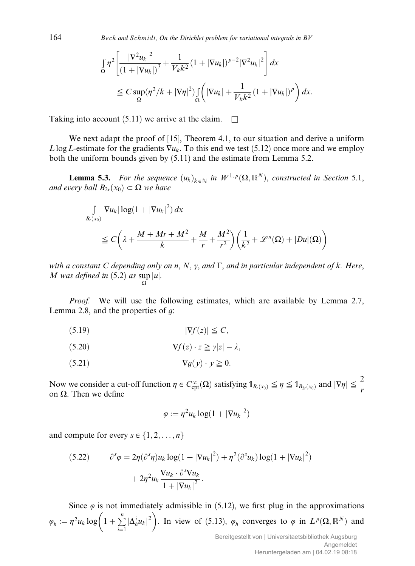$164$  Beck and Schmidt, On the Dirichlet problem for variational integrals in BV

$$
\int_{\Omega} \eta^{2} \left[ \frac{|\nabla^{2} u_{k}|^{2}}{(1 + |\nabla u_{k}|)^{3}} + \frac{1}{V_{k} k^{2}} (1 + |\nabla u_{k}|)^{p-2} |\nabla^{2} u_{k}|^{2} \right] dx
$$
\n
$$
\leq C \sup_{\Omega} (\eta^{2} / k + |\nabla \eta|^{2}) \int_{\Omega} \left( |\nabla u_{k}| + \frac{1}{V_{k} k^{2}} (1 + |\nabla u_{k}|)^{p} \right) dx.
$$

Taking into account (5.11) we arrive at the claim.  $\square$ 

We next adapt the proof of [15], Theorem 4.1, to our situation and derive a uniform L log L-estimate for the gradients  $\nabla u_k$ . To this end we test (5.12) once more and we employ both the uniform bounds given by (5.11) and the estimate from Lemma 5.2.

**Lemma 5.3.** For the sequence  $(u_k)_{k \in \mathbb{N}}$  in  $W^{1,p}(\Omega, \mathbb{R}^N)$ , constructed in Section 5.1, and every ball  $B_{2r}(x_0) \subset \Omega$  we have

$$
\int_{B_r(x_0)} |\nabla u_k| \log(1 + |\nabla u_k|^2) dx
$$
\n
$$
\leq C\left(\lambda + \frac{M + Mr + M^2}{k} + \frac{M}{r} + \frac{M^2}{r^2}\right) \left(\frac{1}{k^2} + \mathcal{L}^n(\Omega) + |Du|(\Omega)\right)
$$

with a constant C depending only on n, N,  $\gamma$ , and  $\Gamma$ , and in particular independent of k. Here, M was defined in  $(5.2)$  as sup |u|.  $\Omega$ 

Proof. We will use the following estimates, which are available by Lemma 2.7, Lemma 2.8, and the properties of  $q$ :

$$
|\nabla f(z)| \leq C,
$$

$$
\nabla f(z) \cdot z \geq \gamma |z| - \lambda,
$$

$$
(5.21) \t\t \nabla g(y) \cdot y \ge 0.
$$

Now we consider a cut-off function  $\eta \in C_{\text{cpt}}^{\infty}(\Omega)$  satisfying  $\mathbb{1}_{B_r(x_0)} \leq \eta \leq \mathbb{1}_{B_{2r}(x_0)}$  and  $|\nabla \eta| \leq \frac{2}{r}$ r on  $\Omega$ . Then we define

$$
\varphi := \eta^2 u_k \log(1 + |\nabla u_k|^2)
$$

and compute for every  $s \in \{1, 2, \ldots, n\}$ 

(5.22) 
$$
\partial^s \varphi = 2\eta (\partial^s \eta) u_k \log(1 + |\nabla u_k|^2) + \eta^2 (\partial^s u_k) \log(1 + |\nabla u_k|^2) + 2\eta^2 u_k \frac{\nabla u_k \cdot \partial^s \nabla u_k}{1 + |\nabla u_k|^2}.
$$

Since  $\varphi$  is not immediately admissible in (5.12), we first plug in the approximations  $\varphi_h := \eta^2 u_k \log \left(1 + \sum_{k=1}^n \frac{1}{k!} \right)$  $i=1$  $\sqrt{\Delta_h^i u_k^2}$ . In view of (5.13),  $\varphi_h$  converges to  $\varphi$  in  $L^p(\Omega,\mathbb{R}^N)$  and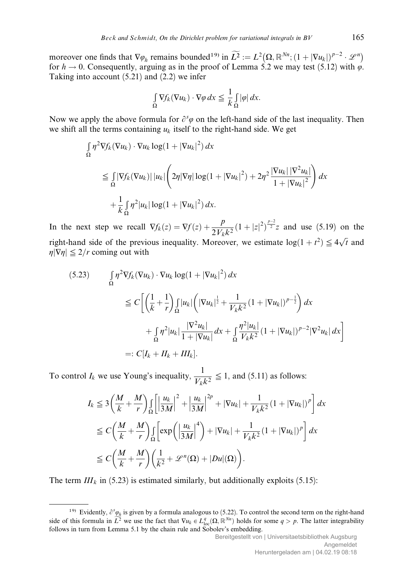moreover one finds that  $\nabla \varphi_h$  remains bounded<sup>19)</sup> in  $\widetilde{L^2} := L^2(\Omega, \mathbb{R}^{Nn}; (1 + |\nabla u_k|)^{p-2} \cdot \mathcal{L}^n)$ for  $h \to 0$ . Consequently, arguing as in the proof of Lemma 5.2 we may test (5.12) with  $\varphi$ . Taking into account (5.21) and (2.2) we infer

$$
\int_{\Omega} \nabla f_k(\nabla u_k) \cdot \nabla \varphi \, dx \leq \frac{1}{k} \int_{\Omega} |\varphi| \, dx.
$$

Now we apply the above formula for  $\partial^s \varphi$  on the left-hand side of the last inequality. Then we shift all the terms containing  $u_k$  itself to the right-hand side. We get

$$
\int_{\Omega} \eta^2 \nabla f_k(\nabla u_k) \cdot \nabla u_k \log(1 + |\nabla u_k|^2) dx
$$
\n
$$
\leq \int_{\Omega} |\nabla f_k(\nabla u_k)| |u_k| \left( 2\eta |\nabla \eta| \log(1 + |\nabla u_k|^2) + 2\eta^2 \frac{|\nabla u_k| |\nabla^2 u_k|}{1 + |\nabla u_k|^2} \right) dx
$$
\n
$$
+ \frac{1}{k} \int_{\Omega} \eta^2 |u_k| \log(1 + |\nabla u_k|^2) dx.
$$

In the next step we recall  $\nabla f_k(z) = \nabla f(z) + \frac{p}{2V_k k^2} (1+|z|^2)^{\frac{p-2}{2}} z$  and use (5.19) on the right-hand side of the previous inequality. Moreover, we estimate  $log(1 + t^2) \le 4\sqrt{t}$  and  $\eta|\nabla\eta|\leq 2/r$  coming out with

$$
(5.23) \qquad \int_{\Omega} \eta^2 \nabla f_k(\nabla u_k) \cdot \nabla u_k \log(1 + |\nabla u_k|^2) \, dx
$$
  
\n
$$
\leq C \bigg[ \bigg( \frac{1}{k} + \frac{1}{r} \bigg) \int_{\Omega} |u_k| \bigg( |\nabla u_k|^{\frac{1}{2}} + \frac{1}{V_k k^2} (1 + |\nabla u_k|)^{p - \frac{1}{2}} \bigg) \, dx
$$
  
\n
$$
+ \int_{\Omega} \eta^2 |u_k| \frac{|\nabla^2 u_k|}{1 + |\nabla u_k|} \, dx + \int_{\Omega} \frac{\eta^2 |u_k|}{V_k k^2} (1 + |\nabla u_k|)^{p - 2} |\nabla^2 u_k| \, dx \bigg]
$$
  
\n=:  $C[I_k + II_k + III_k].$ 

To control  $I_k$  we use Young's inequality,  $\frac{1}{V_k k^2} \leq 1$ , and (5.11) as follows:

$$
I_k \leq 3\left(\frac{M}{k} + \frac{M}{r}\right) \int_{\Omega} \left[\left|\frac{u_k}{3M}\right|^2 + \left|\frac{u_k}{3M}\right|^{2p} + |\nabla u_k| + \frac{1}{V_k k^2} (1 + |\nabla u_k|)^p\right] dx
$$
  
\n
$$
\leq C\left(\frac{M}{k} + \frac{M}{r}\right) \int_{\Omega} \left[\exp\left(\left|\frac{u_k}{3M}\right|^4\right) + |\nabla u_k| + \frac{1}{V_k k^2} (1 + |\nabla u_k|)^p\right] dx
$$
  
\n
$$
\leq C\left(\frac{M}{k} + \frac{M}{r}\right) \left(\frac{1}{k^2} + \mathcal{L}^n(\Omega) + |Du|(\Omega)\right).
$$

The term  $III_k$  in (5.23) is estimated similarly, but additionally exploits (5.15):

<sup>&</sup>lt;sup>19)</sup> Evidently,  $\partial^s \varphi_h$  is given by a formula analogous to (5.22). To control the second term on the right-hand side of this formula in  $\tilde{L}^2$  we use the fact that  $\nabla u_k \in L^q_{loc}(\Omega,\mathbb{R}^{Nn})$  holds for some  $q > p$ . The latter integrability follows in turn from Lemma 5.1 by the chain rule and Sobolev's embedding.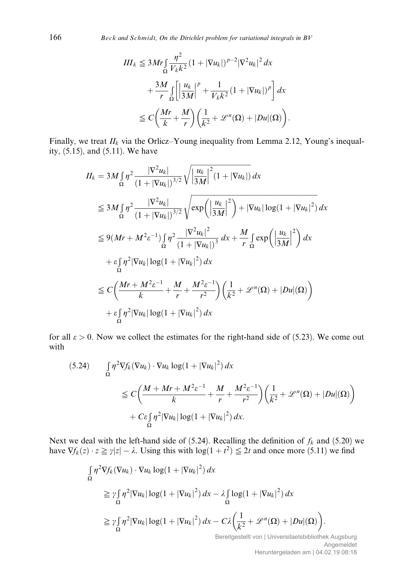166 Beck and Schmidt, On the Dirichlet problem for variational integrals in BV

$$
III_k \le 3Mr \int_{\Omega} \frac{\eta^2}{V_k k^2} (1 + |\nabla u_k|)^{p-2} |\nabla^2 u_k|^2 dx
$$
  
+ 
$$
\frac{3M}{r} \int_{\Omega} \left[ \frac{u_k}{3M} \right]^p + \frac{1}{V_k k^2} (1 + |\nabla u_k|)^p \right] dx
$$
  

$$
\le C \left( \frac{Mr}{k} + \frac{M}{r} \right) \left( \frac{1}{k^2} + \mathcal{L}^n(\Omega) + |Du|(\Omega) \right).
$$

Finally, we treat  $II_k$  via the Orlicz–Young inequality from Lemma 2.12, Young's inequality, (5.15), and (5.11). We have

$$
II_{k} = 3M \int_{\Omega} \eta^{2} \frac{|\nabla^{2} u_{k}|}{(1 + |\nabla u_{k}|)^{3/2}} \sqrt{\left|\frac{u_{k}}{3M}\right|^{2}(1 + |\nabla u_{k}|)} dx
$$
  
\n
$$
\leq 3M \int_{\Omega} \eta^{2} \frac{|\nabla^{2} u_{k}|}{(1 + |\nabla u_{k}|)^{3/2}} \sqrt{\exp\left(\left|\frac{u_{k}}{3M}\right|^{2}\right) + |\nabla u_{k}| \log(1 + |\nabla u_{k}|^{2})} dx
$$
  
\n
$$
\leq 9(Mr + M^{2}\varepsilon^{-1}) \int_{\Omega} \eta^{2} \frac{|\nabla^{2} u_{k}|^{2}}{(1 + |\nabla u_{k}|)^{3}} dx + \frac{M}{r} \int_{\Omega} \exp\left(\left|\frac{u_{k}}{3M}\right|^{2}\right) dx
$$
  
\n
$$
+ \varepsilon \int_{\Omega} \eta^{2} |\nabla u_{k}| \log(1 + |\nabla u_{k}|^{2}) dx
$$
  
\n
$$
\leq C \left(\frac{Mr + M^{2}\varepsilon^{-1}}{k} + \frac{M}{r} + \frac{M^{2}\varepsilon^{-1}}{r^{2}}\right) \left(\frac{1}{k^{2}} + \mathcal{L}^{n}(\Omega) + |Du|(\Omega)\right)
$$
  
\n
$$
+ \varepsilon \int_{\Omega} \eta^{2} |\nabla u_{k}| \log(1 + |\nabla u_{k}|^{2}) dx
$$

for all  $\varepsilon > 0$ . Now we collect the estimates for the right-hand side of (5.23). We come out with

$$
(5.24) \qquad \int_{\Omega} \eta^2 \nabla f_k(\nabla u_k) \cdot \nabla u_k \log(1 + |\nabla u_k|^2) dx
$$
  
\n
$$
\leq C \bigg( \frac{M + Mr + M^2 \varepsilon^{-1}}{k} + \frac{M}{r} + \frac{M^2 \varepsilon^{-1}}{r^2} \bigg) \bigg( \frac{1}{k^2} + \mathcal{L}^n(\Omega) + |Du|(\Omega) \bigg)
$$
  
\n
$$
+ C \varepsilon \int_{\Omega} \eta^2 |\nabla u_k| \log(1 + |\nabla u_k|^2) dx.
$$

Next we deal with the left-hand side of (5.24). Recalling the definition of  $f_k$  and (5.20) we have  $\nabla f_k(z) \cdot z \geq \gamma |z| - \lambda$ . Using this with  $\log(1 + t^2) \leq 2t$  and once more (5.11) we find

$$
\int_{\Omega} \eta^2 \nabla f_k(\nabla u_k) \cdot \nabla u_k \log(1 + |\nabla u_k|^2) dx
$$
\n
$$
\geq \gamma \int_{\Omega} \eta^2 |\nabla u_k| \log(1 + |\nabla u_k|^2) dx - \lambda \int_{\Omega} \log(1 + |\nabla u_k|^2) dx
$$
\n
$$
\geq \gamma \int_{\Omega} \eta^2 |\nabla u_k| \log(1 + |\nabla u_k|^2) dx - C\lambda \left(\frac{1}{k^2} + \mathcal{L}^n(\Omega) + |Du|(\Omega)\right).
$$

Bereitgestellt von | Universitaetsbibliothek Augsburg Angemeldet Heruntergeladen am | 04.02.19 08:18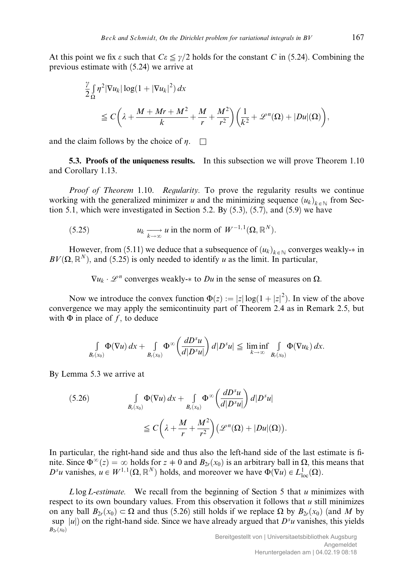At this point we fix  $\varepsilon$  such that  $C\varepsilon \leq \gamma/2$  holds for the constant C in (5.24). Combining the previous estimate with (5.24) we arrive at

$$
\frac{\gamma}{2} \int_{\Omega} \eta^2 |\nabla u_k| \log(1 + |\nabla u_k|^2) dx
$$
\n
$$
\leq C \bigg( \lambda + \frac{M + Mr + M^2}{k} + \frac{M}{r} + \frac{M^2}{r^2} \bigg) \bigg( \frac{1}{k^2} + \mathcal{L}^n(\Omega) + |Du|(\Omega) \bigg),
$$

and the claim follows by the choice of  $n \square$ 

5.3. Proofs of the uniqueness results. In this subsection we will prove Theorem 1.10 and Corollary 1.13.

Proof of Theorem 1.10. Regularity. To prove the regularity results we continue working with the generalized minimizer u and the minimizing sequence  $(u_k)_{k \in \mathbb{N}}$  from Section 5.1, which were investigated in Section 5.2. By  $(5.3)$ ,  $(5.7)$ , and  $(5.9)$  we have

(5.25) 
$$
u_k \xrightarrow[k \to \infty]{} u \text{ in the norm of } W^{-1,1}(\Omega, \mathbb{R}^N).
$$

However, from (5.11) we deduce that a subsequence of  $(u_k)_{k \in \mathbb{N}}$  converges weakly- $*$  in  $BV(\Omega, \mathbb{R}^N)$ , and (5.25) is only needed to identify u as the limit. In particular,

 $\nabla u_k \cdot \mathcal{L}^n$  converges weakly- $*$  to Du in the sense of measures on  $\Omega$ .

Now we introduce the convex function  $\Phi(z) := |z| \log(1 + |z|^2)$ . In view of the above convergence we may apply the semicontinuity part of Theorem 2.4 as in Remark 2.5, but with  $\Phi$  in place of f, to deduce

$$
\int\limits_{B_r(x_0)}\Phi(\nabla u)\,dx+\int\limits_{B_r(x_0)}\Phi^\infty\bigg(\frac{dD^s u}{d|D^s u|}\bigg)\,d|D^s u|\leq \liminf\limits_{k\to\infty}\int\limits_{B_r(x_0)}\Phi(\nabla u_k)\,dx.
$$

By Lemma 5.3 we arrive at

(5.26) 
$$
\int_{B_r(x_0)} \Phi(\nabla u) dx + \int_{B_r(x_0)} \Phi^{\infty} \left( \frac{dD^s u}{d|D^s u|} \right) d|D^s u|
$$

$$
\leq C \left( \lambda + \frac{M}{r} + \frac{M^2}{r^2} \right) \left( \mathcal{L}^n(\Omega) + |Du|(\Omega) \right).
$$

In particular, the right-hand side and thus also the left-hand side of the last estimate is finite. Since  $\Phi^{\infty}(z) = \infty$  holds for  $z \neq 0$  and  $B_{2r}(x_0)$  is an arbitrary ball in  $\Omega$ , this means that  $D^s u$  vanishes,  $u \in W^{1,1}(\Omega, \mathbb{R}^N)$  holds, and moreover we have  $\Phi(\nabla u) \in L^1_{loc}(\Omega)$ .

 $L \log L$ -estimate. We recall from the beginning of Section 5 that u minimizes with respect to its own boundary values. From this observation it follows that  $u$  still minimizes on any ball  $B_{2r}(x_0) \subset \Omega$  and thus (5.26) still holds if we replace  $\Omega$  by  $B_{2r}(x_0)$  (and M by sup |u|) on the right-hand side. Since we have already argued that  $D^s u$  vanishes, this yields  $B_{2r}(x_0)$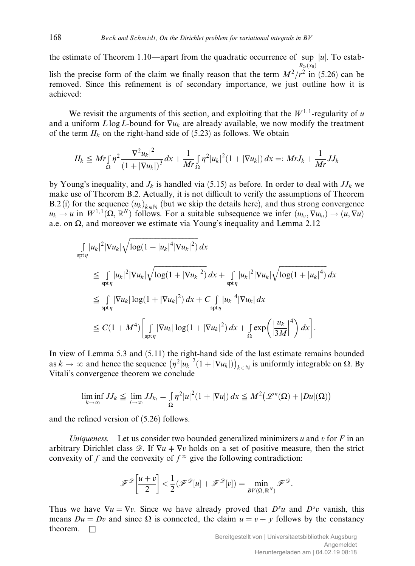the estimate of Theorem 1.10—apart from the quadratic occurrence of sup |u|. To estab- $B_{2r}(x_0)$ lish the precise form of the claim we finally reason that the term  $M^2/r^2$  in (5.26) can be removed. Since this refinement is of secondary importance, we just outline how it is achieved:

We revisit the arguments of this section, and exploiting that the  $W^{1,1}$ -regularity of u and a uniform  $L \log L$ -bound for  $\nabla u_k$  are already available, we now modify the treatment of the term  $II_k$  on the right-hand side of (5.23) as follows. We obtain

$$
II_k \leqq Mr \int_{\Omega} \eta^2 \frac{|\nabla^2 u_k|^2}{(1+|\nabla u_k|)^3} dx + \frac{1}{Mr} \int_{\Omega} \eta^2 |u_k|^2 (1+|\nabla u_k|) dx =: MrJ_k + \frac{1}{Mr} JJ_k
$$

by Young's inequality, and  $J_k$  is handled via (5.15) as before. In order to deal with  $J_j$  we make use of Theorem B.2. Actually, it is not difficult to verify the assumptions of Theorem B.2 (i) for the sequence  $(u_k)_{k \in \mathbb{N}}$  (but we skip the details here), and thus strong convergence  $u_k \to u$  in  $W^{1,1}(\Omega, \mathbb{R}^N)$  follows. For a suitable subsequence we infer  $(u_{k_l}, \nabla u_{k_l}) \to (u, \nabla u)$ a.e. on  $\Omega$ , and moreover we estimate via Young's inequality and Lemma 2.12

$$
\int_{\text{spt}\eta} |u_k|^2 |\nabla u_k| \sqrt{\log(1+|u_k|^4 |\nabla u_k|^2)} dx
$$
\n
$$
\leq \int_{\text{spt}\eta} |u_k|^2 |\nabla u_k| \sqrt{\log(1+|\nabla u_k|^2)} dx + \int_{\text{spt}\eta} |u_k|^2 |\nabla u_k| \sqrt{\log(1+|u_k|^4)} dx
$$
\n
$$
\leq \int_{\text{spt}\eta} |\nabla u_k| \log(1+|\nabla u_k|^2) dx + C \int_{\text{spt}\eta} |u_k|^4 |\nabla u_k| dx
$$
\n
$$
\leq C(1+M^4) \left[ \int_{\text{spt}\eta} |\nabla u_k| \log(1+|\nabla u_k|^2) dx + \int_{\Omega} \exp\left(\left|\frac{u_k}{3M}\right|^4\right) dx \right].
$$

In view of Lemma 5.3 and (5.11) the right-hand side of the last estimate remains bounded as  $k \to \infty$  and hence the sequence  $(\eta^2 |u_k|^2 (1 + |\nabla u_k|))_{k \in \mathbb{N}}$  is uniformly integrable on  $\Omega$ . By Vitali's convergence theorem we conclude

$$
\liminf_{k\to\infty} JJ_k \leqq \lim_{l\to\infty} JJ_{k_l} = \int_{\Omega} \eta^2 |u|^2 (1+|\nabla u|) dx \leqq M^2 \big(\mathcal{L}^n(\Omega) + |Du|(\Omega)\big)
$$

and the refined version of (5.26) follows.

Uniqueness. Let us consider two bounded generalized minimizers u and v for F in an arbitrary Dirichlet class  $\mathcal{D}$ . If  $\nabla u + \nabla v$  holds on a set of positive measure, then the strict convexity of f and the convexity of  $f^{\infty}$  give the following contradiction:

$$
\mathscr{F}^{\mathscr{D}}\left[\frac{u+v}{2}\right] < \frac{1}{2}(\mathscr{F}^{\mathscr{D}}[u] + \mathscr{F}^{\mathscr{D}}[v]) = \min_{\mathcal{B}V(\Omega,\mathbb{R}^N)} \mathscr{F}^{\mathscr{D}}.
$$

Thus we have  $\nabla u = \nabla v$ . Since we have already proved that  $D^s u$  and  $D^s v$  vanish, this means  $Du = Dv$  and since  $\Omega$  is connected, the claim  $u = v + y$  follows by the constancy theorem.  $\Box$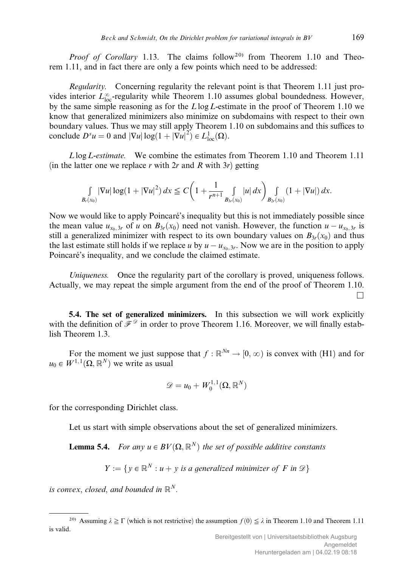*Proof of Corollary* 1.13. The claims follow<sup>20)</sup> from Theorem 1.10 and Theorem 1.11, and in fact there are only a few points which need to be addressed:

Regularity. Concerning regularity the relevant point is that Theorem 1.11 just provides interior  $L^{\infty}_{loc}$ -regularity while Theorem 1.10 assumes global boundedness. However, by the same simple reasoning as for the  $L \log L$ -estimate in the proof of Theorem 1.10 we know that generalized minimizers also minimize on subdomains with respect to their own boundary values. Thus we may still apply Theorem 1.10 on subdomains and this suffices to conclude  $D^s u = 0$  and  $|\nabla u| \log(1 + |\nabla u|^2) \in L^1_{loc}(\Omega)$ .

Llog L-estimate. We combine the estimates from Theorem 1.10 and Theorem 1.11 (in the latter one we replace r with  $2r$  and R with  $3r$ ) getting

$$
\int_{B_r(x_0)} |\nabla u| \log(1+ |\nabla u|^2) \, dx \leq C \bigg( 1+ \frac{1}{r^{n+1}} \int_{B_{3r}(x_0)} |u| \, dx \bigg) \int_{B_{2r}(x_0)} (1+ |\nabla u|) \, dx.
$$

Now we would like to apply Poincaré's inequality but this is not immediately possible since the mean value  $u_{x_0, 3r}$  of u on  $B_{3r}(x_0)$  need not vanish. However, the function  $u - u_{x_0, 3r}$  is still a generalized minimizer with respect to its own boundary values on  $B_{3r}(x_0)$  and thus the last estimate still holds if we replace u by  $u - u_{x_0, 3r}$ . Now we are in the position to apply Poincaré's inequality, and we conclude the claimed estimate.

Uniqueness. Once the regularity part of the corollary is proved, uniqueness follows. Actually, we may repeat the simple argument from the end of the proof of Theorem 1.10.  $\Box$ 

5.4. The set of generalized minimizers. In this subsection we will work explicitly with the definition of  $\bar{\mathcal{F}}^{\mathcal{D}}$  in order to prove Theorem 1.16. Moreover, we will finally establish Theorem 1.3.

For the moment we just suppose that  $f : \mathbb{R}^{N_n} \to [0, \infty)$  is convex with (H1) and for  $u_0 \in W^{1,1}(\Omega,\mathbb{R}^N)$  we write as usual

$$
\mathscr{D}=u_0+W^{1,1}_0(\Omega,\mathbb{R}^N)
$$

for the corresponding Dirichlet class.

Let us start with simple observations about the set of generalized minimizers.

**Lemma 5.4.** For any  $u \in BV(\Omega, \mathbb{R}^N)$  the set of possible additive constants

$$
Y := \{ y \in \mathbb{R}^N : u + y \text{ is a generalized minimizer of } F \text{ in } \mathcal{D} \}
$$

is convex, closed, and bounded in  $\mathbb{R}^N$ .

<sup>&</sup>lt;sup>20)</sup> Assuming  $\lambda \ge \Gamma$  (which is not restrictive) the assumption  $f(0) \le \lambda$  in Theorem 1.10 and Theorem 1.11 is valid.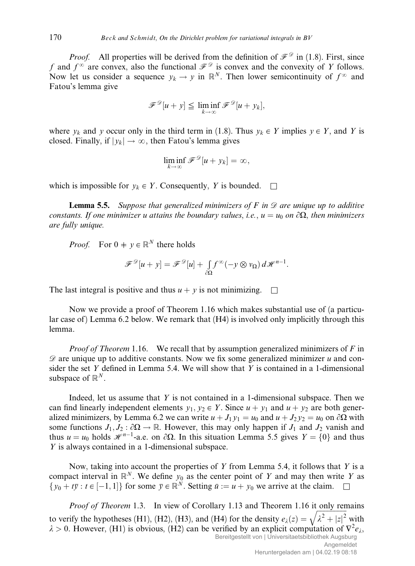*Proof.* All properties will be derived from the definition of  $\mathcal{F}^{\mathcal{D}}$  in (1.8). First, since f and  $f^{\infty}$  are convex, also the functional  $\mathcal{F}^{\mathcal{D}}$  is convex and the convexity of Y follows. Now let us consider a sequence  $y_k \to y$  in  $\mathbb{R}^N$ . Then lower semicontinuity of  $f^{\infty}$  and Fatou's lemma give

$$
\mathscr{F}^{\mathscr{D}}[u+y] \leq \liminf_{k \to \infty} \mathscr{F}^{\mathscr{D}}[u+y_k],
$$

where  $y_k$  and y occur only in the third term in (1.8). Thus  $y_k \in Y$  implies  $y \in Y$ , and Y is closed. Finally, if  $|y_k| \to \infty$ , then Fatou's lemma gives

$$
\liminf_{k\to\infty} \mathscr{F}^{\mathscr{D}}[u+y_k] = \infty,
$$

which is impossible for  $y_k \in Y$ . Consequently, Y is bounded.  $\square$ 

**Lemma 5.5.** Suppose that generalized minimizers of F in  $\mathcal{D}$  are unique up to additive constants. If one minimizer u attains the boundary values, i.e.,  $u = u_0$  on  $\partial\Omega$ , then minimizers are fully unique.

*Proof.* For  $0 \neq y \in \mathbb{R}^N$  there holds

$$
\mathscr{F}^{\mathscr{D}}[u+y] = \mathscr{F}^{\mathscr{D}}[u] + \int_{\partial\Omega} f^{\infty}(-y \otimes v_{\Omega}) d\mathscr{H}^{n-1}.
$$

The last integral is positive and thus  $u + v$  is not minimizing.  $\Box$ 

Now we provide a proof of Theorem 1.16 which makes substantial use of (a particular case of ) Lemma 6.2 below. We remark that  $(H4)$  is involved only implicitly through this lemma.

*Proof of Theorem* 1.16. We recall that by assumption generalized minimizers of  $F$  in  $\mathscr{D}$  are unique up to additive constants. Now we fix some generalized minimizer u and consider the set Y defined in Lemma 5.4. We will show that Y is contained in a 1-dimensional subspace of  $\mathbb{R}^N$ .

Indeed, let us assume that  $Y$  is not contained in a 1-dimensional subspace. Then we can find linearly independent elements  $y_1, y_2 \in Y$ . Since  $u + y_1$  and  $u + y_2$  are both generalized minimizers, by Lemma 6.2 we can write  $u + J_1 y_1 = u_0$  and  $u + J_2 y_2 = u_0$  on  $\partial\Omega$  with some functions  $J_1, J_2 : \partial \Omega \to \mathbb{R}$ . However, this may only happen if  $J_1$  and  $J_2$  vanish and thus  $u = u_0$  holds  $\mathcal{H}^{n-1}$ -a.e. on  $\partial\Omega$ . In this situation Lemma 5.5 gives  $Y = \{0\}$  and thus Y is always contained in a 1-dimensional subspace.

Now, taking into account the properties of Y from Lemma 5.4, it follows that Y is a compact interval in  $\mathbb{R}^N$ . We define  $y_0$  as the center point of Y and may then write Y as  $\{y_0 + t\overline{y} : t \in [-1, 1]\}$  for some  $\overline{y} \in \mathbb{R}^N$ . Setting  $\overline{u} := u + y_0$  we arrive at the claim.  $\square$ 

*Proof of Theorem* 1.3. In view of Corollary 1.13 and Theorem 1.16 it only remains to verify the hypotheses (H1), (H2), (H3), and (H4) for the density  $e_{\lambda}(z) =$  $\frac{6 \text{ m}}{2}$  $\sqrt{\lambda^2 + |z|^2}$ with  $\lambda > 0$ . However, (H1) is obvious, (H2) can be verified by an explicit computation of  $\nabla^2 e_{\lambda}$ , Bereitgestellt von | Universitaetsbibliothek Augsburg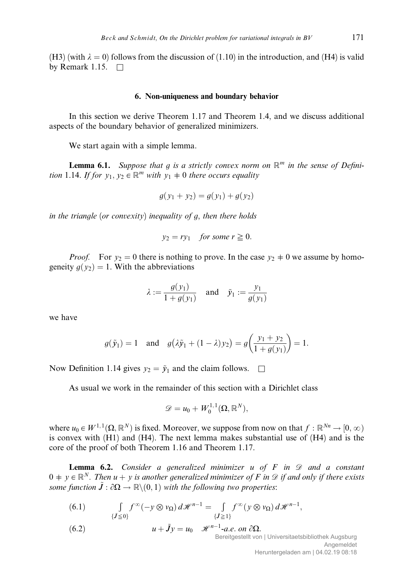(H3) (with  $\lambda = 0$ ) follows from the discussion of (1.10) in the introduction, and (H4) is valid by Remark 1.15.  $\Box$ 

## 6. Non-uniqueness and boundary behavior

In this section we derive Theorem 1.17 and Theorem 1.4, and we discuss additional aspects of the boundary behavior of generalized minimizers.

We start again with a simple lemma.

**Lemma 6.1.** Suppose that g is a strictly convex norm on  $\mathbb{R}^m$  in the sense of Definition 1.14. If for  $y_1, y_2 \in \mathbb{R}^m$  with  $y_1 \neq 0$  there occurs equality

$$
g(y_1 + y_2) = g(y_1) + g(y_2)
$$

in the triangle (or convexity) inequality of g, then there holds

$$
y_2 = ry_1
$$
 for some  $r \ge 0$ .

*Proof.* For  $y_2 = 0$  there is nothing to prove. In the case  $y_2 \neq 0$  we assume by homogeneity  $g(y_2) = 1$ . With the abbreviations

$$
\lambda := \frac{g(y_1)}{1 + g(y_1)}
$$
 and  $\tilde{y}_1 := \frac{y_1}{g(y_1)}$ 

we have

$$
g(\tilde{y}_1) = 1
$$
 and  $g(\lambda \tilde{y}_1 + (1 - \lambda)y_2) = g\left(\frac{y_1 + y_2}{1 + g(y_1)}\right) = 1.$ 

Now Definition 1.14 gives  $y_2 = \tilde{y}_1$  and the claim follows.  $\square$ 

As usual we work in the remainder of this section with a Dirichlet class

$$
\mathscr{D}=u_0+W^{1,1}_0(\Omega,\mathbb{R}^N),
$$

where  $u_0 \in W^{1,1}(\Omega, \mathbb{R}^N)$  is fixed. Moreover, we suppose from now on that  $f : \mathbb{R}^{N_n} \to [0, \infty)$ is convex with (H1) and (H4). The next lemma makes substantial use of (H4) and is the core of the proof of both Theorem 1.16 and Theorem 1.17.

**Lemma 6.2.** Consider a generalized minimizer u of  $F$  in  $\mathscr D$  and a constant  $0 \neq y \in \mathbb{R}^N$ . Then  $u + y$  is another generalized minimizer of F in  $\mathcal D$  if and only if there exists some function  $\tilde{J} : \partial \Omega \to \mathbb{R} \setminus (0, 1)$  with the following two properties:

(6.1) 
$$
\int_{\{\tilde{J}\leq 0\}} f^{\infty}(-y\otimes v_{\Omega}) d\mathscr{H}^{n-1} = \int_{\{\tilde{J}\geq 1\}} f^{\infty}(y\otimes v_{\Omega}) d\mathscr{H}^{n-1},
$$

(6.2) 
$$
u + \tilde{J}y = u_0 \quad \mathcal{H}^{n-1} - a.e. \text{ on } \partial\Omega.
$$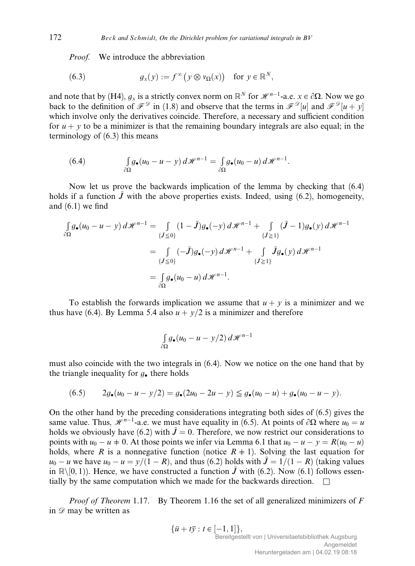Proof. We introduce the abbreviation

(6.3) 
$$
g_x(y) := f^{\infty}(y \otimes v_{\Omega}(x)) \text{ for } y \in \mathbb{R}^N,
$$

and note that by (H4),  $g_x$  is a strictly convex norm on  $\mathbb{R}^N$  for  $\mathcal{H}^{n-1}$ -a.e.  $x \in \partial\Omega$ . Now we go back to the definition of  $\mathcal{F}^{\mathcal{D}}$  in (1.8) and observe that the terms in  $\mathcal{F}^{\mathcal{D}}[u]$  and  $\mathcal{F}^{\mathcal{D}}[u+y]$ which involve only the derivatives coincide. Therefore, a necessary and sufficient condition for  $u + y$  to be a minimizer is that the remaining boundary integrals are also equal; in the terminology of (6.3) this means

(6.4) 
$$
\int_{\partial\Omega} g_{\bullet}(u_0-u-y) d\mathscr{H}^{n-1} = \int_{\partial\Omega} g_{\bullet}(u_0-u) d\mathscr{H}^{n-1}.
$$

Now let us prove the backwards implication of the lemma by checking that (6.4) holds if a function  $\vec{J}$  with the above properties exists. Indeed, using (6.2), homogeneity, and (6.1) we find

$$
\int_{\partial\Omega} g_{\bullet}(u_0 - u - y) d\mathscr{H}^{n-1} = \int_{\{\tilde{J} \le 0\}} (1 - \tilde{J}) g_{\bullet}(-y) d\mathscr{H}^{n-1} + \int_{\{\tilde{J} \ge 1\}} (\tilde{J} - 1) g_{\bullet}(y) d\mathscr{H}^{n-1}
$$

$$
= \int_{\{\tilde{J} \le 0\}} (-\tilde{J}) g_{\bullet}(-y) d\mathscr{H}^{n-1} + \int_{\{\tilde{J} \ge 1\}} \tilde{J} g_{\bullet}(y) d\mathscr{H}^{n-1}
$$

$$
= \int_{\partial\Omega} g_{\bullet}(u_0 - u) d\mathscr{H}^{n-1}.
$$

To establish the forwards implication we assume that  $u + y$  is a minimizer and we thus have (6.4). By Lemma 5.4 also  $u + y/2$  is a minimizer and therefore

$$
\int_{\partial\Omega} g_{\bullet}(u_0 - u - y/2) \, d\mathcal{H}^{n-1}
$$

must also coincide with the two integrals in (6.4). Now we notice on the one hand that by the triangle inequality for  $g_{\bullet}$  there holds

$$
(6.5) \t2g_{\bullet}(u_0-u-y/2)=g_{\bullet}(2u_0-2u-y)\leq g_{\bullet}(u_0-u)+g_{\bullet}(u_0-u-y).
$$

On the other hand by the preceding considerations integrating both sides of (6.5) gives the same value. Thus,  $\mathcal{H}^{n-1}$ -a.e. we must have equality in (6.5). At points of  $\partial\Omega$  where  $u_0 = u$ holds we obviously have (6.2) with  $\tilde{J}=0$ . Therefore, we now restrict our considerations to points with  $u_0 - u + 0$ . At those points we infer via Lemma 6.1 that  $u_0 - u - y = R(u_0 - u)$ holds, where R is a nonnegative function (notice  $R \neq 1$ ). Solving the last equation for  $u_0 - u$  we have  $u_0 - u = y/(1 - R)$ , and thus (6.2) holds with  $\tilde{J} = 1/(1 - R)$  (taking values in  $\mathbb{R}\setminus[0,1)$ . Hence, we have constructed a function  $\tilde{J}$  with (6.2). Now (6.1) follows essentially by the same computation which we made for the backwards direction.  $\square$ 

*Proof of Theorem* 1.17. By Theorem 1.16 the set of all generalized minimizers of  $F$ in  $\mathscr{D}$  may be written as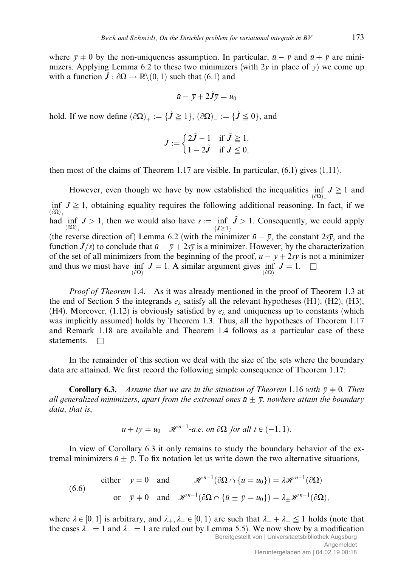where  $\bar{v} \neq 0$  by the non-uniqueness assumption. In particular,  $\bar{u} - \bar{v}$  and  $\bar{u} + \bar{v}$  are minimizers. Applying Lemma 6.2 to these two minimizers (with  $2\bar{v}$  in place of v) we come up with a function  $\tilde{J}$  :  $\partial\Omega \rightarrow \mathbb{R}\backslash(0,1)$  such that (6.1) and

$$
\bar{u}-\bar{y}+2\tilde{J}\bar{y}=u_0
$$

hold. If we now define  $(\partial \Omega)_+ := {\{\tilde{J} \geq 1\}}$ ,  $(\partial \Omega)_- := {\{\tilde{J} \leq 0\}}$ , and

$$
J := \begin{cases} 2\tilde{J} - 1 & \text{if } \tilde{J} \ge 1, \\ 1 - 2\tilde{J} & \text{if } \tilde{J} \le 0, \end{cases}
$$

then most of the claims of Theorem 1.17 are visible. In particular,  $(6.1)$  gives  $(1.11)$ .

However, even though we have by now established the inequalities  $\inf_{(\partial\Omega)_-} J \geq 1$  and inf  $J \geq 1$ , obtaining equality requires the following additional reasoning. In fact, if we  $\left(\partial\Omega\right)$ had inf  $J > 1$ , then we would also have  $s := \inf \tilde{J} > 1$ . Consequently, we could apply  $\left(\partial\Omega\right)$ .  $\{\tilde{J}\geq 1\}$ (the reverse direction of) Lemma 6.2 (with the minimizer  $\bar{u} - \bar{v}$ , the constant  $2s\bar{v}$ , and the function  $\tilde{J}/s$  to conclude that  $\bar{u} - \bar{v} + 2s\bar{v}$  is a minimizer. However, by the characterization of the set of all minimizers from the beginning of the proof,  $\bar{u} - \bar{y} + 2s\bar{y}$  is not a minimizer and thus we must have  $\inf_{(\partial\Omega)_+} J = 1$ . A similar argument gives  $\inf_{(\partial\Omega)_-} J = 1$ .  $\square$  $(\partial\Omega)_+$ 

*Proof of Theorem* 1.4. As it was already mentioned in the proof of Theorem 1.3 at the end of Section 5 the integrands  $e_{\lambda}$  satisfy all the relevant hypotheses (H1), (H2), (H3), (H4). Moreover, (1.12) is obviously satisfied by  $e_{\lambda}$  and uniqueness up to constants (which was implicitly assumed) holds by Theorem 1.3. Thus, all the hypotheses of Theorem 1.17 and Remark 1.18 are available and Theorem 1.4 follows as a particular case of these statements.  $\Box$ 

In the remainder of this section we deal with the size of the sets where the boundary data are attained. We first record the following simple consequence of Theorem 1.17:

**Corollary 6.3.** Assume that we are in the situation of Theorem 1.16 with  $\bar{y} \neq 0$ . Then all generalized minimizers, apart from the extremal ones  $\bar{u}\pm\bar{y}$ , nowhere attain the boundary data, that is,

$$
\bar{u} + t\bar{y} + u_0
$$
  $\mathcal{H}^{n-1}$ -a.e. on  $\partial\Omega$  for all  $t \in (-1, 1)$ .

In view of Corollary 6.3 it only remains to study the boundary behavior of the extremal minimizers  $\bar{u} \pm \bar{v}$ . To fix notation let us write down the two alternative situations,

(6.6)

\n
$$
\text{either } \bar{y} = 0 \quad \text{and} \quad \mathcal{H}^{n-1}(\partial \Omega \cap \{\bar{u} = u_0\}) = \lambda \mathcal{H}^{n-1}(\partial \Omega)
$$
\n
$$
\text{or } \bar{y} \neq 0 \quad \text{and} \quad \mathcal{H}^{n-1}(\partial \Omega \cap \{\bar{u} \pm \bar{y} = u_0\}) = \lambda_{\pm} \mathcal{H}^{n-1}(\partial \Omega),
$$

where  $\lambda \in [0, 1]$  is arbitrary, and  $\lambda_+, \lambda_- \in [0, 1)$  are such that  $\lambda_+ + \lambda_- \leq 1$  holds (note that the cases  $\lambda_{+} = 1$  and  $\lambda_{-} = 1$  are ruled out by Lemma 5.5). We now show by a modification Bereitgestellt von | Universitaetsbibliothek Augsburg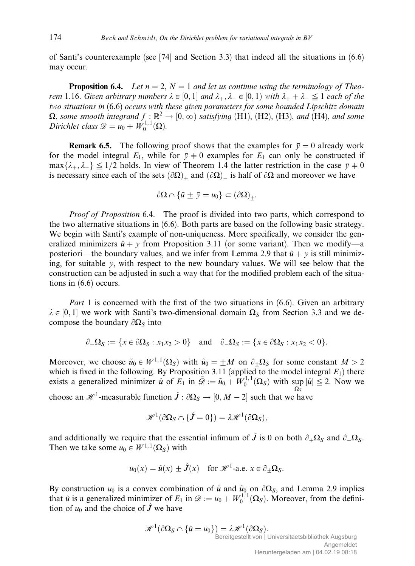of Santi's counterexample (see [74] and Section 3.3) that indeed all the situations in (6.6) may occur.

**Proposition 6.4.** Let  $n = 2$ ,  $N = 1$  and let us continue using the terminology of Theorem 1.16. Given arbitrary numbers  $\lambda \in [0,1]$  and  $\lambda_+$ ,  $\lambda_- \in [0,1)$  with  $\lambda_+ + \lambda_- \leq 1$  each of the two situations in (6.6) occurs with these given parameters for some bounded Lipschitz domain  $\Omega$ , some smooth integrand  $f : \mathbb{R}^2 \to [0,\infty)$  satisfying (H1), (H2), (H3), and (H4), and some Dirichlet class  $\mathscr{D} = u_0 + W_0^{1,1}(\Omega)$ .

**Remark 6.5.** The following proof shows that the examples for  $\bar{y} = 0$  already work for the model integral  $E_1$ , while for  $\bar{y} \neq 0$  examples for  $E_1$  can only be constructed if  $\max\{\lambda_+, \lambda_-\}\leq 1/2$  holds. In view of Theorem 1.4 the latter restriction in the case  $\bar{y}\neq0$ is necessary since each of the sets  $(\partial\Omega)_+$  and  $(\partial\Omega)_-$  is half of  $\partial\Omega$  and moreover we have

$$
\partial\Omega \cap {\bar{u} \pm \bar{y} = u_0} \subset (\partial\Omega)_+.
$$

*Proof of Proposition* 6.4. The proof is divided into two parts, which correspond to the two alternative situations in (6.6). Both parts are based on the following basic strategy. We begin with Santi's example of non-uniqueness. More specifically, we consider the generalized minimizers  $\hat{u} + y$  from Proposition 3.11 (or some variant). Then we modify—a posteriori—the boundary values, and we infer from Lemma 2.9 that  $\hat{u} + v$  is still minimizing, for suitable  $\nu$ , with respect to the new boundary values. We will see below that the construction can be adjusted in such a way that for the modified problem each of the situations in (6.6) occurs.

Part 1 is concerned with the first of the two situations in (6.6). Given an arbitrary  $\lambda \in [0, 1]$  we work with Santi's two-dimensional domain  $\Omega_S$  from Section 3.3 and we decompose the boundary  $\partial \Omega_S$  into

$$
\partial_+\Omega_S:=\{x\in\partial\Omega_S:x_1x_2>0\}\quad\text{and}\quad\partial_-\Omega_S:=\{x\in\partial\Omega_S:x_1x_2<0\}.
$$

Moreover, we choose  $\tilde{u}_0 \in W^{1,1}(\Omega_S)$  with  $\tilde{u}_0 = \pm M$  on  $\partial_{\pm} \Omega_S$  for some constant  $M > 2$ which is fixed in the following. By Proposition 3.11 (applied to the model integral  $E_1$ ) there exists a generalized minimizer  $\hat{u}$  of  $E_1$  in  $\tilde{\mathcal{D}} := \tilde{u}_0 + W_0^{1,1}(\Omega_S)$  with sup  $|\hat{u}| \leq 2$ . Now we choose an  $\mathcal{H}^1$ -measurable function  $\hat{J}$  :  $\partial \Omega_S \to [0, M - 2]$  such that we have

$$
\mathscr{H}^1(\partial\Omega_S\cap\{\hat{J}=0\})=\lambda\mathscr{H}^1(\partial\Omega_S),
$$

and additionally we require that the essential infimum of  $\hat{J}$  is 0 on both  $\partial_{+}\Omega_{S}$  and  $\partial_{-}\Omega_{S}$ . Then we take some  $u_0 \in W^{1,1}(\Omega_S)$  with

$$
u_0(x) = \hat{u}(x) \pm \hat{J}(x)
$$
 for  $\mathscr{H}^1$ -a.e.  $x \in \partial_{\pm}\Omega_S$ .

By construction  $u_0$  is a convex combination of  $\hat{u}$  and  $\tilde{u}_0$  on  $\partial\Omega_s$ , and Lemma 2.9 implies that  $\hat{u}$  is a generalized minimizer of  $E_1$  in  $\mathscr{D} := u_0 + W_0^{1,1}(\Omega_S)$ . Moreover, from the definition of  $u_0$  and the choice of  $\hat{J}$  we have

$$
\mathcal{H}^{1}(\partial\Omega_{S}\cap\{\hat{u}=u_{0}\})=\lambda\mathcal{H}^{1}(\partial\Omega_{S}).
$$
  
Bereitgestellt von | Universitaetsbibliothek Augsburg  
Angemeldet  
Heruntergeladen am | 04.02.19 08:18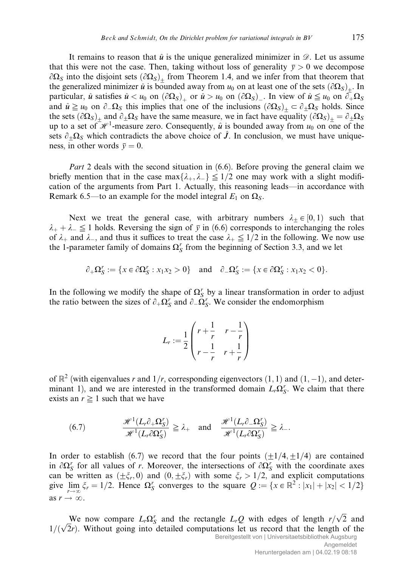It remains to reason that  $\hat{u}$  is the unique generalized minimizer in  $\mathscr{D}$ . Let us assume that this were not the case. Then, taking without loss of generality  $\bar{y} > 0$  we decompose  $\partial\Omega_s$  into the disjoint sets  $(\partial\Omega_s)_+$  from Theorem 1.4, and we infer from that theorem that the generalized minimizer  $\hat{u}$  is bounded away from  $u_0$  on at least one of the sets  $(\partial\Omega_s)_+$ . In particular,  $\hat{u}$  satisfies  $\hat{u} < u_0$  on  $(\partial \Omega_S)_+$  or  $\hat{u} > u_0$  on  $(\partial \Omega_S)_-$ . In view of  $\hat{u} \leq u_0$  on  $\partial_+ \Omega_S$ and  $\hat{u} \ge u_0$  on  $\partial_\mu\Omega_S$  this implies that one of the inclusions  $(\partial \Omega_S)_+ \subset \partial_\pm \Omega_S$  holds. Since the sets  $(\partial\Omega_S)_+$  and  $\partial_{\pm}\Omega_S$  have the same measure, we in fact have equality  $(\partial\Omega_S)_+ = \partial_{\pm}\Omega_S$ up to a set of  $\mathcal{H}^1$ -measure zero. Consequently,  $\hat{u}$  is bounded away from  $u_0$  on one of the sets  $\partial_{\pm}\Omega_{S}$  which contradicts the above choice of  $\tilde{J}$ . In conclusion, we must have uniqueness, in other words  $\bar{y} = 0$ .

*Part* 2 deals with the second situation in (6.6). Before proving the general claim we briefly mention that in the case  $\max\{\lambda_+, \lambda_-\} \leq 1/2$  one may work with a slight modification of the arguments from Part 1. Actually, this reasoning leads—in accordance with Remark 6.5—to an example for the model integral  $E_1$  on  $\Omega$ <sub>S</sub>.

Next we treat the general case, with arbitrary numbers  $\lambda_+ \in [0, 1)$  such that  $\lambda_+ + \lambda_- \leq 1$  holds. Reversing the sign of  $\bar{y}$  in (6.6) corresponds to interchanging the roles of  $\lambda_+$  and  $\lambda_-$ , and thus it suffices to treat the case  $\lambda_+ \leq 1/2$  in the following. We now use the 1-parameter family of domains  $\Omega_S^r$  from the beginning of Section 3.3, and we let

$$
\partial_+\Omega_S^r:=\{x\in\partial\Omega_S^r:x_1x_2>0\}\quad\text{and}\quad\partial_-\Omega_S^r:=\{x\in\partial\Omega_S^r:x_1x_2<0\}.
$$

In the following we modify the shape of  $\Omega_S^r$  by a linear transformation in order to adjust the ratio between the sizes of  $\partial_+\Omega_S^r$  and  $\partial_-\tilde{\Omega}_S^r$ . We consider the endomorphism

$$
L_r := \frac{1}{2} \begin{pmatrix} r + \frac{1}{r} & r - \frac{1}{r} \\ r - \frac{1}{r} & r + \frac{1}{r} \end{pmatrix}
$$

of  $\mathbb{R}^2$  (with eigenvalues r and  $1/r$ , corresponding eigenvectors  $(1, 1)$  and  $(1, -1)$ , and determinant 1), and we are interested in the transformed domain  $L_r\Omega_S^r$ . We claim that there exists an  $r \geq 1$  such that we have

(6.7) 
$$
\frac{\mathcal{H}^1(L_r \partial_+ \Omega_S')}{\mathcal{H}^1(L_r \partial \Omega_S')} \geq \lambda_+ \quad \text{and} \quad \frac{\mathcal{H}^1(L_r \partial_- \Omega_S')}{\mathcal{H}^1(L_r \partial \Omega_S')} \geq \lambda_-.
$$

In order to establish (6.7) we record that the four points  $(\pm 1/4, \pm 1/4)$  are contained in  $\partial \Omega_S^r$  for all values of r. Moreover, the intersections of  $\partial \Omega_S^r$  with the coordinate axes can be written as  $(\pm \xi_r, 0)$  and  $(0, \pm \xi_r)$  with some  $\xi_r > 1/2$ , and explicit computations give  $\lim_{r \to \infty} \xi_r = 1/2$ . Hence  $\Omega_S^r$  converges to the square  $Q := \{x \in \mathbb{R}^2 : |x_1| + |x_2| < 1/2\}$ as  $r \to \infty$ .

We now compare  $L_r \Omega_S^r$  and the rectangle  $L_r Q$  with edges of length  $r/\sqrt{2}$  and We now compare  $L_r\Omega_s$  and the rectangle  $L_rQ$  with edges of length  $r/\sqrt{2}$  and  $1/(\sqrt{2}r)$ . Without going into detailed computations let us record that the length of the Bereitgestellt von | Universitaetsbibliothek Augsburg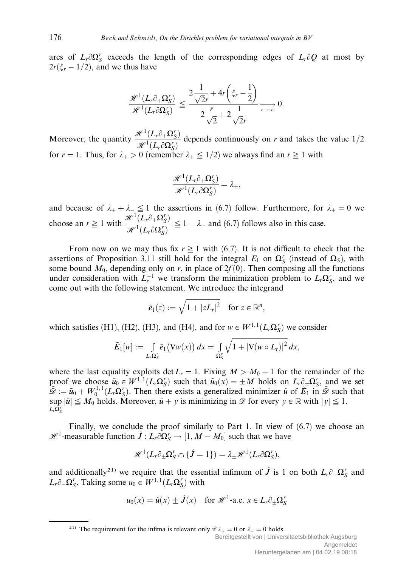arcs of  $L_r \partial \Omega_S^r$  exceeds the length of the corresponding edges of  $L_r \partial Q$  at most by  $2r(\xi_r - 1/2)$ , and we thus have

$$
\frac{\mathcal{H}^1(L_r\partial_+\Omega_S^r)}{\mathcal{H}^1(L_r\partial_+\Omega_S^r)} \leq \frac{2\frac{1}{\sqrt{2}r} + 4r\left(\xi_r - \frac{1}{2}\right)}{2\frac{r}{\sqrt{2}} + 2\frac{1}{\sqrt{2}r}} \xrightarrow[r \to \infty]{} 0.
$$

Moreover, the quantity  $\frac{\mathcal{H}^1(L_r \partial_+\Omega_S^r)}{\mathcal{H}^1(L_r \partial_+\Omega_S^r)}$  $\frac{\partial^2 \vec{F}(\Delta P^2 + 1 - S)}{\partial \vec{F}^1(L_r \partial \Omega_S^r)}$  depends continuously on r and takes the value 1/2 for  $r = 1$ . Thus, for  $\lambda_+ > 0$  (remember  $\lambda_+ \leq 1/2$ ) we always find an  $r \geq 1$  with

$$
\frac{\mathscr{H}^1(L_r\partial_+\Omega_S^r)}{\mathscr{H}^1(L_r\partial\Omega_S^r)}=\lambda_+,
$$

and because of  $\lambda_+ + \lambda_- \leq 1$  the assertions in (6.7) follow. Furthermore, for  $\lambda_+ = 0$  we choose an  $r \geq 1$  with  $\frac{\mathcal{H}^1(L_r \partial_+\Omega_S^r)}{\mathcal{H}^1(L_r \partial_+\Omega_S^r)}$  $\frac{\partial^2 U}{\partial t^2}$   $\frac{(\Delta P c^2 + 2S)}{(\Delta P c^2)} \leq 1 - \lambda$  and (6.7) follows also in this case.

From now on we may thus fix  $r \geq 1$  with (6.7). It is not difficult to check that the assertions of Proposition 3.11 still hold for the integral  $E_1$  on  $\Omega_S^r$  (instead of  $\Omega_S$ ), with some bound  $M_0$ , depending only on r, in place of  $2f(0)$ . Then composing all the functions under consideration with  $L_r^{-1}$  we transform the minimization problem to  $L_r\Omega_S^r$ , and we come out with the following statement. We introduce the integrand

$$
\tilde{e}_1(z) := \sqrt{1 + |zL_r|^2} \quad \text{for } z \in \mathbb{R}^n,
$$

which satisfies (H1), (H2), (H3), and (H4), and for  $w \in W^{1,1}(L_r\Omega_S^r)$  we consider

$$
\tilde{E}_1[w] := \int\limits_{L_r\Omega_S^r} \tilde{e}_1(\nabla w(x))\,dx = \int\limits_{\Omega_S^r} \sqrt{1+|\nabla(w\circ L_r)|^2}\,dx,
$$

where the last equality exploits det  $L_r = 1$ . Fixing  $M > M_0 + 1$  for the remainder of the proof we choose  $\tilde{u}_0 \in W^{1,1}(L_r\Omega_S^r)$  such that  $\tilde{u}_0(x) = \pm M$  holds on  $L_r \partial_{\pm} \Omega_S^r$ , and we set  $\tilde{\mathscr{D}} := \tilde{u}_0 + W_0^{1,1}(L_r\Omega_S^r)$ . Then there exists a generalized minimizer  $\hat{u}$  of  $\tilde{E_1}$  in  $\tilde{\mathscr{D}}$  such that  $\sup |\hat{u}| \leq M_0$  holds. Moreover,  $\hat{u} + y$  is minimizing in  $\mathscr{D}$  for every  $y \in \mathbb{R}$  with  $|y| \leq 1$ .  $L_r\overline{\Omega}_S^r$ 

Finally, we conclude the proof similarly to Part 1. In view of  $(6.7)$  we choose an  $\mathcal{H}^1$ -measurable function  $\hat{J} : L_r \partial \Omega_S^r \to [1, M - M_0]$  such that we have

$$
\mathscr{H}^1(L_r\partial_{\pm}\Omega_S^r \cap \{\hat{J}=1\}) = \lambda_{\pm}\mathscr{H}^1(L_r\partial\Omega_S^r),
$$

and additionally<sup>21)</sup> we require that the essential infimum of  $\hat{J}$  is 1 on both  $L_r \partial_{+} \Omega_S^r$  and  $L_r \partial_- \Omega_S^r$ . Taking some  $u_0 \in W^{1,1}(L_r \Omega_S^r)$  with

$$
u_0(x) = \hat{u}(x) \pm \hat{J}(x)
$$
 for  $\mathcal{H}^1$ -a.e.  $x \in L_r \partial_{\pm} \Omega_S^r$ 

<sup>21)</sup> The requirement for the infima is relevant only if  $\lambda_+ = 0$  or  $\lambda_- = 0$  holds.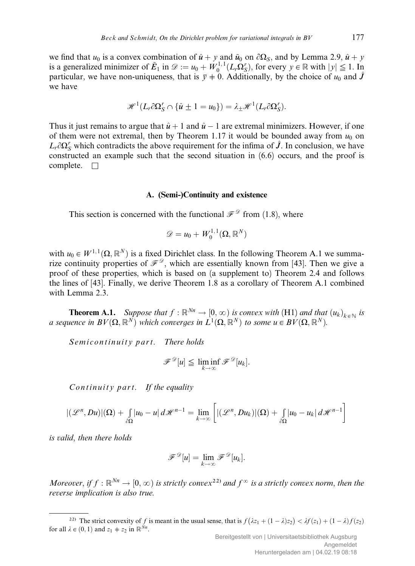we find that  $u_0$  is a convex combination of  $\hat{u} + y$  and  $\tilde{u}_0$  on  $\partial\Omega_s$ , and by Lemma 2.9,  $\hat{u} + y$ is a generalized minimizer of  $\tilde{E}_1$  in  $\mathscr{D} := u_0 + W_0^{1,1}(L_r\Omega_S^r)$ , for every  $y \in \mathbb{R}$  with  $|y| \leq 1$ . In particular, we have non-uniqueness, that is  $\overline{y}+0$ . Additionally, by the choice of  $u_0$  and  $\hat{J}$ we have

$$
\mathscr{H}^1(L_r\partial\Omega_S^r\cap\{\hat{u}\pm 1=u_0\})=\lambda_{\pm}\mathscr{H}^1(L_r\partial\Omega_S^r).
$$

Thus it just remains to argue that  $\hat{u} + 1$  and  $\hat{u} - 1$  are extremal minimizers. However, if one of them were not extremal, then by Theorem 1.17 it would be bounded away from  $u_0$  on  $L_r \partial \Omega_S^r$  which contradicts the above requirement for the infima of  $\hat{J}$ . In conclusion, we have constructed an example such that the second situation in (6.6) occurs, and the proof is complete.  $\square$ 

## A. (Semi-)Continuity and existence

This section is concerned with the functional  $\mathscr{F}^{\mathscr{D}}$  from (1.8), where

$$
\mathscr{D}=u_0+W^{1,1}_0(\Omega,\mathbb{R}^N)
$$

with  $u_0 \in W^{1,1}(\Omega, \mathbb{R}^N)$  is a fixed Dirichlet class. In the following Theorem A.1 we summarize continuity properties of  $\mathcal{F}^{\mathcal{D}}$ , which are essentially known from [43]. Then we give a proof of these properties, which is based on (a supplement to) Theorem 2.4 and follows the lines of [43]. Finally, we derive Theorem 1.8 as a corollary of Theorem A.1 combined with Lemma 2.3.

**Theorem A.1.** Suppose that  $f : \mathbb{R}^{N_n} \to [0, \infty)$  is convex with (H1) and that  $(u_k)_{k \in \mathbb{N}}$  is a sequence in  $BV(\Omega, \mathbb{R}^N)$  which converges in  $L^1(\Omega, \mathbb{R}^N)$  to some  $u \in BV(\Omega, \mathbb{R}^N)$ .

Semicontinuity part. There holds

$$
\mathscr{F}^{\mathscr{D}}[u] \leq \liminf_{k \to \infty} \mathscr{F}^{\mathscr{D}}[u_k].
$$

Continuity part. If the equality

$$
|(\mathcal{L}^n, Du)|(\Omega) + \int_{\partial\Omega} |u_0 - u| \, d\mathcal{H}^{n-1} = \lim_{k \to \infty} \left[ |(\mathcal{L}^n, Du_k)|(\Omega) + \int_{\partial\Omega} |u_0 - u_k| \, d\mathcal{H}^{n-1} \right]
$$

is valid, then there holds

$$
\mathscr{F}^{\mathscr{D}}[u] = \lim_{k \to \infty} \mathscr{F}^{\mathscr{D}}[u_k].
$$

Moreover, if  $f : \mathbb{R}^{N_n} \to [0,\infty)$  is strictly convex<sup>22)</sup> and  $f^{\infty}$  is a strictly convex norm, then the reverse implication is also true.

<sup>&</sup>lt;sup>22)</sup> The strict convexity of f is meant in the usual sense, that is  $f(\lambda z_1 + (1 - \lambda)z_2) < \lambda f(z_1) + (1 - \lambda)f(z_2)$ for all  $\lambda \in (0, 1)$  and  $z_1 \neq z_2$  in  $\mathbb{R}^{N_n}$ .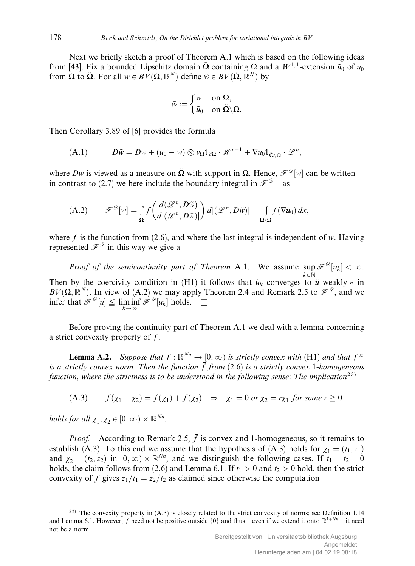Next we briefly sketch a proof of Theorem A.1 which is based on the following ideas from [43]. Fix a bounded Lipschitz domain  $\tilde{\Omega}$  containing  $\overline{\Omega}$  and a  $W^{1,1}$ -extension  $\tilde{u}_0$  of  $u_0$ from  $\Omega$  to  $\tilde{\Omega}$ . For all  $w \in BV(\Omega, \mathbb{R}^N)$  define  $\tilde{w} \in BV(\tilde{\Omega}, \tilde{\mathbb{R}}^N)$  by

$$
\tilde{w} := \begin{cases} w & \text{on } \Omega, \\ \tilde{u}_0 & \text{on } \tilde{\Omega} \backslash \Omega. \end{cases}
$$

Then Corollary 3.89 of [6] provides the formula

(A.1) 
$$
D\tilde{w} = Dw + (u_0 - w) \otimes v_{\Omega} \mathbb{1}_{\partial \Omega} \cdot \mathscr{H}^{n-1} + \nabla u_0 \mathbb{1}_{\tilde{\Omega} \setminus \Omega} \cdot \mathscr{L}^n,
$$

where Dw is viewed as a measure on  $\tilde{\Omega}$  with support in  $\Omega$ . Hence,  $\mathscr{F}^{\mathscr{D}}[w]$  can be written in contrast to (2.7) we here include the boundary integral in  $\mathcal{F}^{\mathcal{D}}$ —as

(A.2) 
$$
\mathscr{F}^{\mathscr{D}}[w] = \int_{\tilde{\Omega}} \bar{f}\left(\frac{d(\mathscr{L}^n, D\tilde{w})}{d|(\mathscr{L}^n, D\tilde{w})|}\right) d|(\mathscr{L}^n, D\tilde{w})| - \int_{\tilde{\Omega}\backslash\Omega} f(\nabla \tilde{u}_0) dx,
$$

where  $\bar{f}$  is the function from (2.6), and where the last integral is independent of w. Having represented  $\mathcal{F}^{\mathcal{D}}$  in this way we give a

*Proof of the semicontinuity part of Theorem A.1.* We assume  $\sup \mathcal{F}^{\mathcal{D}}[u_k] < \infty$ .  $k \in \mathbb{N}$ Then by the coercivity condition in (H1) it follows that  $\tilde{u}_k$  converges to  $\tilde{u}$  weakly- $*$  in  $BV(\Omega, \mathbb{R}^N)$ . In view of (A.2) we may apply Theorem 2.4 and Remark 2.5 to  $\mathcal{F}^{\mathcal{D}}$ , and we infer that  $\mathscr{F}^{\mathscr{D}}[u] \leq \liminf_{k \to \infty} \mathscr{F}^{\mathscr{D}}[u_k]$  holds.  $\square$ 

Before proving the continuity part of Theorem A.1 we deal with a lemma concerning a strict convexity property of  $\overline{f}$ .

**Lemma A.2.** Suppose that  $f : \mathbb{R}^{N_n} \to [0, \infty)$  is strictly convex with (H1) and that  $f^{\infty}$ is a strictly convex norm. Then the function  $\bar{f}$  from (2.6) is a strictly convex 1-homogeneous function, where the strictness is to be understood in the following sense: The implication<sup>23)</sup>

(A.3) 
$$
\overline{f}(\chi_1 + \chi_2) = \overline{f}(\chi_1) + \overline{f}(\chi_2) \Rightarrow \chi_1 = 0 \text{ or } \chi_2 = r\chi_1 \text{ for some } r \ge 0
$$

holds for all  $\chi_1, \chi_2 \in [0, \infty) \times \mathbb{R}^{Nn}$ .

*Proof.* According to Remark 2.5,  $\overline{f}$  is convex and 1-homogeneous, so it remains to establish (A.3). To this end we assume that the hypothesis of (A.3) holds for  $\chi_1 = (t_1, z_1)$ and  $\chi_2 = (t_2, z_2)$  in  $[0, \infty) \times \mathbb{R}^{N_n}$ , and we distinguish the following cases. If  $t_1 = t_2 = 0$ holds, the claim follows from (2.6) and Lemma 6.1. If  $t_1 > 0$  and  $t_2 > 0$  hold, then the strict convexity of f gives  $z_1/t_1 = z_2/t_2$  as claimed since otherwise the computation

 $^{23)}$  The convexity property in (A.3) is closely related to the strict convexity of norms; see Definition 1.14 and Lemma 6.1. However,  $\bar{f}$  need not be positive outside  $\{0\}$  and thus—even if we extend it onto  $\mathbb{R}^{1+Nm}$ —it need not be a norm.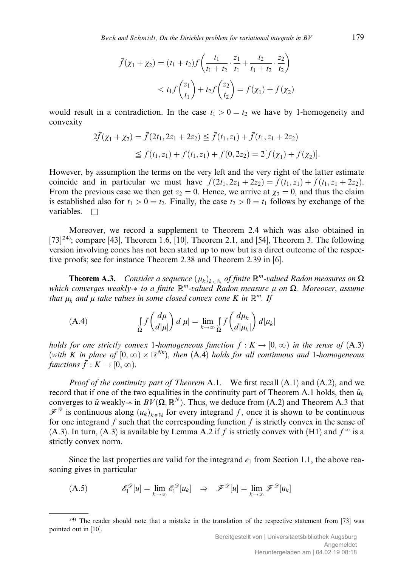$$
\bar{f}(\chi_1 + \chi_2) = (t_1 + t_2) f\left(\frac{t_1}{t_1 + t_2} \cdot \frac{z_1}{t_1} + \frac{t_2}{t_1 + t_2} \cdot \frac{z_2}{t_2}\right) \n< t_1 f\left(\frac{z_1}{t_1}\right) + t_2 f\left(\frac{z_2}{t_2}\right) = \bar{f}(\chi_1) + \bar{f}(\chi_2)
$$

would result in a contradiction. In the case  $t_1 > 0 = t_2$  we have by 1-homogeneity and convexity

$$
2\bar{f}(\chi_1 + \chi_2) = \bar{f}(2t_1, 2z_1 + 2z_2) \leq \bar{f}(t_1, z_1) + \bar{f}(t_1, z_1 + 2z_2)
$$
  

$$
\leq \bar{f}(t_1, z_1) + \bar{f}(t_1, z_1) + \bar{f}(0, 2z_2) = 2[\bar{f}(\chi_1) + \bar{f}(\chi_2)].
$$

However, by assumption the terms on the very left and the very right of the latter estimate coincide and in particular we must have  $\bar{f}(2t_1, 2z_1 + 2z_2) = \bar{f}(t_1, z_1) + \bar{f}(t_1, z_1 + 2z_2)$ . From the previous case we then get  $z_2 = 0$ . Hence, we arrive at  $\chi_2 = 0$ , and thus the claim is established also for  $t_1 > 0 = t_2$ . Finally, the case  $t_2 > 0 = t_1$  follows by exchange of the variables.  $\Box$ 

Moreover, we record a supplement to Theorem 2.4 which was also obtained in [73]<sup>24)</sup>; compare [43], Theorem 1.6, [10], Theorem 2.1, and [54], Theorem 3. The following version involving cones has not been stated up to now but is a direct outcome of the respective proofs; see for instance Theorem 2.38 and Theorem 2.39 in [6].

**Theorem A.3.** Consider a sequence  $(\mu_k)_{k \in \mathbb{N}}$  of finite  $\mathbb{R}^m$ -valued Radon measures on  $\Omega$ which converges weakly- $*$  to a finite  $\mathbb{R}^m$ -valued Radon measure  $\mu$  on  $\Omega$ . Moreover, assume that  $\mu_k$  and  $\mu$  take values in some closed convex cone K in  $\mathbb{R}^m$ . If

(A.4) 
$$
\int_{\Omega} \bar{f}\left(\frac{d\mu}{d|\mu|}\right) d|\mu| = \lim_{k \to \infty} \int_{\Omega} \bar{f}\left(\frac{d\mu_k}{d|\mu_k|}\right) d|\mu_k|
$$

holds for one strictly convex 1-homogeneous function  $\bar{f} : K \to [0, \infty)$  in the sense of (A.3) (with K in place of  $[0,\infty)\times\mathbb{R}^{Nn}$ ), then (A.4) holds for all continuous and 1-homogeneous functions  $\bar{f}: K \to [0, \infty)$ .

*Proof of the continuity part of Theorem A.1.* We first recall  $(A.1)$  and  $(A.2)$ , and we record that if one of the two equalities in the continuity part of Theorem A.1 holds, then  $\tilde{u}_k$ converges to  $\tilde{u}$  weakly- $*$  in  $BV(\Omega, \mathbb{R}^N)$ . Thus, we deduce from (A.2) and Theorem A.3 that  $\mathscr{F}^{\mathscr{D}}$  is continuous along  $(u_k)_{k \in \mathbb{N}}$  for every integrand f, once it is shown to be continuous for one integrand f such that the corresponding function  $\overline{f}$  is strictly convex in the sense of (A.3). In turn, (A.3) is available by Lemma A.2 if f is strictly convex with (H1) and  $f^{\infty}$  is a strictly convex norm.

Since the last properties are valid for the integrand  $e_1$  from Section 1.1, the above reasoning gives in particular

(A.5) 
$$
\mathscr{E}_1^{\mathscr{D}}[u] = \lim_{k \to \infty} \mathscr{E}_1^{\mathscr{D}}[u_k] \Rightarrow \mathscr{F}^{\mathscr{D}}[u] = \lim_{k \to \infty} \mathscr{F}^{\mathscr{D}}[u_k]
$$

<sup>&</sup>lt;sup>24)</sup> The reader should note that a mistake in the translation of the respective statement from [73] was pointed out in [10].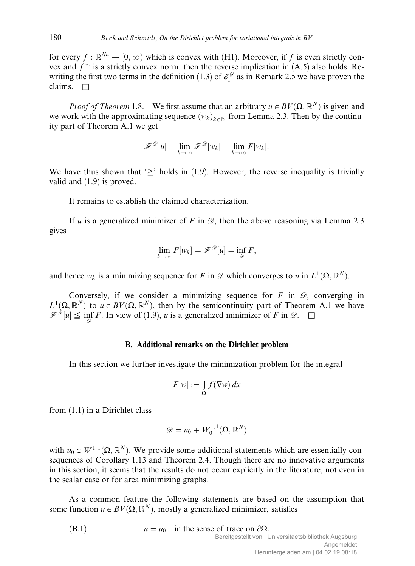for every  $f : \mathbb{R}^{N_n} \to [0, \infty)$  which is convex with (H1). Moreover, if f is even strictly convex and  $f^{\infty}$  is a strictly convex norm, then the reverse implication in (A.5) also holds. Rewriting the first two terms in the definition (1.3) of  $\mathscr{E}_1^{\mathscr{D}}$  as in Remark 2.5 we have proven the claims.  $\Box$ 

*Proof of Theorem* 1.8. We first assume that an arbitrary  $u \in BV(\Omega, \mathbb{R}^N)$  is given and we work with the approximating sequence  $(w_k)_{k \in \mathbb{N}}$  from Lemma 2.3. Then by the continuity part of Theorem A.1 we get

$$
\mathscr{F}^{\mathscr{D}}[u] = \lim_{k \to \infty} \mathscr{F}^{\mathscr{D}}[w_k] = \lim_{k \to \infty} F[w_k].
$$

We have thus shown that  $\geq$  holds in (1.9). However, the reverse inequality is trivially valid and (1.9) is proved.

It remains to establish the claimed characterization.

If u is a generalized minimizer of F in  $\mathcal{D}$ , then the above reasoning via Lemma 2.3 gives

$$
\lim_{k\to\infty} F[w_k] = \mathscr{F}^{\mathscr{D}}[u] = \inf_{\mathscr{D}} F,
$$

and hence  $w_k$  is a minimizing sequence for F in  $\mathscr D$  which converges to u in  $L^1(\Omega,\mathbb R^N)$ .

Conversely, if we consider a minimizing sequence for  $F$  in  $\mathscr{D}$ , converging in  $L^1(\Omega,\mathbb{R}^N)$  to  $u \in BV(\Omega,\mathbb{R}^N)$ , then by the semicontinuity part of Theorem A.1 we have  $\mathscr{F}^{\mathscr{D}}[u] \leq \inf_{\mathscr{D}} F$ . In view of (1.9), *u* is a generalized minimizer of *F* in  $\mathscr{D}$ .  $\Box$ 

## B. Additional remarks on the Dirichlet problem

In this section we further investigate the minimization problem for the integral

$$
F[w] := \int_{\Omega} f(\nabla w) \, dx
$$

from (1.1) in a Dirichlet class

$$
\mathscr{D}=u_0+W^{1,1}_0(\Omega,\mathbb{R}^N)
$$

with  $u_0 \in W^{1,1}(\Omega, \mathbb{R}^N)$ . We provide some additional statements which are essentially consequences of Corollary 1.13 and Theorem 2.4. Though there are no innovative arguments in this section, it seems that the results do not occur explicitly in the literature, not even in the scalar case or for area minimizing graphs.

As a common feature the following statements are based on the assumption that some function  $u \in BV(\Omega, \mathbb{R}^N)$ , mostly a generalized minimizer, satisfies

(B.1)  $u = u_0$  in the sense of trace on  $\partial \Omega$ .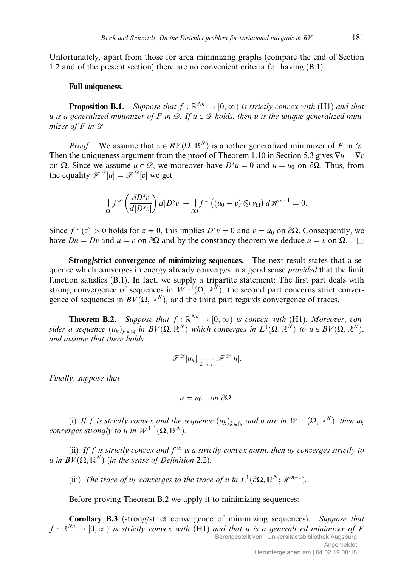Unfortunately, apart from those for area minimizing graphs (compare the end of Section 1.2 and of the present section) there are no convenient criteria for having (B.1).

# Full uniqueness.

**Proposition B.1.** Suppose that  $f : \mathbb{R}^{N_n} \to [0, \infty)$  is strictly convex with (H1) and that u is a generalized minimizer of F in  $\mathscr{D}$ . If  $u \in \mathscr{D}$  holds, then u is the unique generalized minimizer of  $F$  in  $\mathscr{D}$ .

*Proof.* We assume that  $v \in BV(\Omega, \mathbb{R}^N)$  is another generalized minimizer of F in  $\mathcal{D}$ . Then the uniqueness argument from the proof of Theorem 1.10 in Section 5.3 gives  $\nabla u = \nabla v$ on  $\Omega$ . Since we assume  $u \in \mathcal{D}$ , we moreover have  $D^s u = 0$  and  $u = u_0$  on  $\partial \Omega$ . Thus, from the equality  $\mathscr{F}^{\mathscr{D}}[u] = \mathscr{F}^{\mathscr{D}}[v]$  we get

$$
\int_{\Omega} f^{\infty}\left(\frac{dD^{s}v}{d|D^{s}v|}\right) d|D^{s}v| + \int_{\partial\Omega} f^{\infty}\left((u_{0}-v)\otimes v_{\Omega}\right) d\mathscr{H}^{n-1} = 0.
$$

Since  $f^{\infty}(z) > 0$  holds for  $z \neq 0$ , this implies  $D^s v = 0$  and  $v = u_0$  on  $\partial \Omega$ . Consequently, we have  $Du = Dv$  and  $u = v$  on  $\partial \Omega$  and by the constancy theorem we deduce  $u = v$  on  $\Omega$ .

Strong/strict convergence of minimizing sequences. The next result states that a sequence which converges in energy already converges in a good sense *provided* that the limit function satisfies (B.1). In fact, we supply a tripartite statement: The first part deals with strong convergence of sequences in  $W^{1,1}(\Omega,\mathbb{R}^N)$ , the second part concerns strict convergence of sequences in  $BV(\Omega, \mathbb{R}^N)$ , and the third part regards convergence of traces.

**Theorem B.2.** Suppose that  $f : \mathbb{R}^{Nn} \to [0, \infty)$  is convex with (H1). Moreover, consider a sequence  $(u_k)_{k \in \mathbb{N}}$  in  $BV(\Omega, \mathbb{R}^N)$  which converges in  $L^1(\Omega, \mathbb{R}^N)$  to  $u \in BV(\Omega, \mathbb{R}^N)$ , and assume that there holds

$$
\mathscr{F}^{\mathscr{D}}[u_k] \xrightarrow[k \to \infty]{} \mathscr{F}^{\mathscr{D}}[u].
$$

Finally, suppose that

$$
u=u_0\quad on\ \partial\Omega.
$$

(i) If f is strictly convex and the sequence  $(u_k)_{k \in \mathbb{N}}$  and u are in  $W^{1,1}(\Omega,\mathbb{R}^N)$ , then  $u_k$ converges strongly to u in  $W^{1,1}(\Omega,\mathbb{R}^N)$ .

(ii) If f is strictly convex and  $f^{\infty}$  is a strictly convex norm, then  $u_k$  converges strictly to u in  $BV(\Omega, \mathbb{R}^N)$  (in the sense of Definition 2.2).

(iii) The trace of  $u_k$  converges to the trace of u in  $L^1(\partial\Omega,\mathbb{R}^N;\mathcal{H}^{n-1})$ .

Before proving Theorem B.2 we apply it to minimizing sequences:

Corollary B.3 (strong/strict convergence of minimizing sequences). Suppose that  $f : \mathbb{R}^{N_n} \to [0,\infty)$  is strictly convex with (H1) and that u is a generalized minimizer of F Bereitgestellt von | Universitaetsbibliothek Augsburg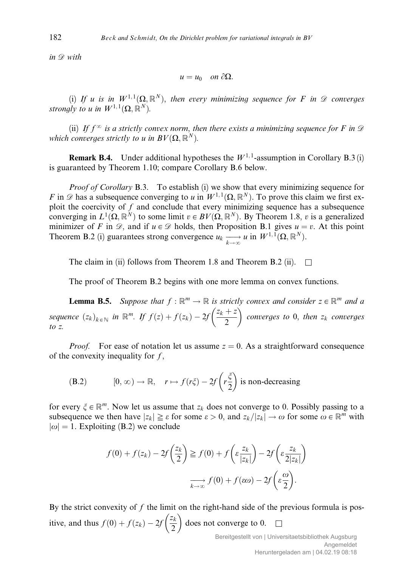in  $\mathscr{D}$  with

$$
u=u_0\quad on\ \partial\Omega.
$$

(i) If u is in  $W^{1,1}(\Omega,\mathbb{R}^N)$ , then every minimizing sequence for F in  $\mathscr D$  converges strongly to u in  $W^{1,1}(\Omega,\mathbb{R}^N)$ .

(ii) If  $f^{\infty}$  is a strictly convex norm, then there exists a minimizing sequence for F in  $\mathscr D$ which converges strictly to u in  $BV(\Omega, \mathbb{R}^N)$ .

**Remark B.4.** Under additional hypotheses the  $W^{1,1}$ -assumption in Corollary B.3 (i) is guaranteed by Theorem 1.10; compare Corollary B.6 below.

*Proof of Corollary* B.3. To establish (i) we show that every minimizing sequence for F in  $\mathscr D$  has a subsequence converging to u in  $W^{1,1}(\Omega,\mathbb{R}^N)$ . To prove this claim we first exploit the coercivity of  $f$  and conclude that every minimizing sequence has a subsequence converging in  $L^1(\Omega,\mathbb{R}^N)$  to some limit  $v \in BV(\Omega,\mathbb{R}^N)$ . By Theorem 1.8, v is a generalized minimizer of F in  $\mathscr{D}$ , and if  $u \in \mathscr{D}$  holds, then Proposition B.1 gives  $u = v$ . At this point Theorem B.2 (i) guarantees strong convergence  $u_k \xrightarrow[k \to \infty]{} u$  in  $W^{1,1}(\Omega, \mathbb{R}^N)$ .

The claim in (ii) follows from Theorem 1.8 and Theorem B.2 (ii).  $\Box$ 

The proof of Theorem B.2 begins with one more lemma on convex functions.

**Lemma B.5.** Suppose that  $f : \mathbb{R}^m \to \mathbb{R}$  is strictly convex and consider  $z \in \mathbb{R}^m$  and a sequence  $(z_k)_{k \in \mathbb{N}}$  in  $\mathbb{R}^m$ . If  $f(z) + f(z_k) - 2f \left(\frac{z_k + z}{2}\right)$  $\frac{1}{2}$ converges to  $0$ , then  $z_k$  converges to z.

*Proof.* For ease of notation let us assume  $z = 0$ . As a straightforward consequence of the convexity inequality for  $f$ ,

(B.2) 
$$
[0, \infty) \to \mathbb{R}, \quad r \mapsto f(r\xi) - 2f\left(r\frac{\xi}{2}\right) \text{ is non-decreasing}
$$

for every  $\xi \in \mathbb{R}^m$ . Now let us assume that  $z_k$  does not converge to 0. Possibly passing to a subsequence we then have  $|z_k| \geq \varepsilon$  for some  $\varepsilon > 0$ , and  $z_k/|z_k| \to \omega$  for some  $\omega \in \mathbb{R}^m$  with  $|\omega| = 1$ . Exploiting (B.2) we conclude

$$
f(0) + f(z_k) - 2f\left(\frac{z_k}{2}\right) \ge f(0) + f\left(\varepsilon \frac{z_k}{|z_k|}\right) - 2f\left(\varepsilon \frac{z_k}{2|z_k|}\right)
$$

$$
\xrightarrow[k \to \infty]{} f(0) + f(\varepsilon \omega) - 2f\left(\varepsilon \frac{\omega}{2}\right).
$$

By the strict convexity of  $f$  the limit on the right-hand side of the previous formula is positive, and thus  $f(0) + f(z_k) - 2f\left(\frac{z_k}{2}\right)$  $\frac{1}{2}$ does not converge to  $0.$   $\Box$ 

Bereitgestellt von | Universitaetsbibliothek Augsburg Angemeldet Heruntergeladen am | 04.02.19 08:18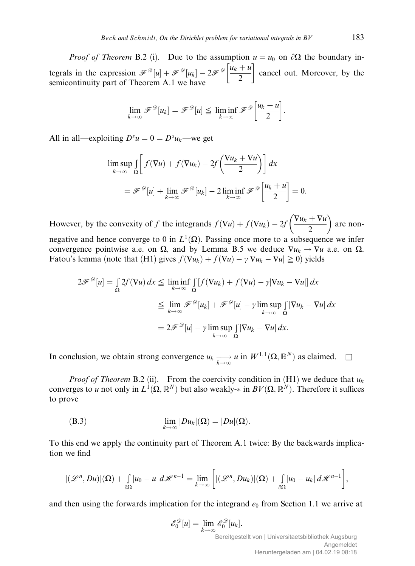*Proof of Theorem B.2 (i).* Due to the assumption  $u = u_0$  on  $\partial\Omega$  the boundary integrals in the expression  $\mathscr{F}^{\mathscr{D}}[u] + \mathscr{F}^{\mathscr{D}}[u_k] - 2\mathscr{F}^{\mathscr{D}}\left[\frac{u_k + u}{2}\right]$  $\frac{1}{2}$ cancel out. Moreover, by the semicontinuity part of Theorem A.1 we have

$$
\lim_{k\to\infty} \mathscr{F}^{\mathscr{D}}[u_k] = \mathscr{F}^{\mathscr{D}}[u] \leq \liminf_{k\to\infty} \mathscr{F}^{\mathscr{D}}\left[\frac{u_k+u}{2}\right].
$$

All in all—exploiting  $D^s u = 0 = D^s u_k$ —we get

$$
\limsup_{k \to \infty} \int_{\Omega} \left[ f(\nabla u) + f(\nabla u_k) - 2f\left(\frac{\nabla u_k + \nabla u}{2}\right) \right] dx
$$
  
=  $\mathscr{F}^{\mathscr{D}}[u] + \lim_{k \to \infty} \mathscr{F}^{\mathscr{D}}[u_k] - 2 \liminf_{k \to \infty} \mathscr{F}^{\mathscr{D}}\left[\frac{u_k + u}{2}\right] = 0.$ 

However, by the convexity of f the integrands  $f(\nabla u) + f(\nabla u_k) - 2f\left(\frac{\nabla u_k + \nabla u_k}{2}\right)$  $\sqrt{\nabla u}$ ,  $\nabla u$ are non-

negative and hence converge to 0 in  $L^1(\Omega)$ . Passing once more to a subsequence we infer convergence pointwise a.e. on  $\Omega$ , and by Lemma B.5 we deduce  $\nabla u_k \to \nabla u$  a.e. on  $\Omega$ . Fatou's lemma (note that (H1) gives  $f(\nabla u_k) + f(\nabla u) - \gamma |\nabla u_k - \nabla u| \ge 0$ ) yields

$$
2\mathscr{F}^{\mathscr{D}}[u] = \int_{\Omega} 2f(\nabla u) dx \le \liminf_{k \to \infty} \int_{\Omega} [f(\nabla u_k) + f(\nabla u) - \gamma |\nabla u_k - \nabla u|] dx
$$
  

$$
\le \lim_{k \to \infty} \mathscr{F}^{\mathscr{D}}[u_k] + \mathscr{F}^{\mathscr{D}}[u] - \gamma \limsup_{k \to \infty} \int_{\Omega} |\nabla u_k - \nabla u| dx
$$
  

$$
= 2\mathscr{F}^{\mathscr{D}}[u] - \gamma \limsup_{k \to \infty} \int_{\Omega} |\nabla u_k - \nabla u| dx.
$$

In conclusion, we obtain strong convergence  $u_k \longrightarrow u$  in  $W^{1,1}(\Omega,\mathbb{R}^N)$  as claimed.  $\square$ 

*Proof of Theorem* B.2 (ii). From the coercivity condition in (H1) we deduce that  $u_k$ converges to u not only in  $L^1(\Omega,\mathbb{R}^N)$  but also weakly- $*$  in  $BV(\Omega,\mathbb{R}^N)$ . Therefore it suffices to prove

(B.3) 
$$
\lim_{k\to\infty} |Du_k|(\Omega) = |Du|(\Omega).
$$

To this end we apply the continuity part of Theorem A.1 twice: By the backwards implication we find

$$
|(\mathscr{L}^n, Du)|(\Omega) + \int_{\partial\Omega} |u_0 - u| \, d\mathscr{H}^{n-1} = \lim_{k \to \infty} \left[ |(\mathscr{L}^n, Du_k)|(\Omega) + \int_{\partial\Omega} |u_0 - u_k| \, d\mathscr{H}^{n-1} \right],
$$

and then using the forwards implication for the integrand  $e_0$  from Section 1.1 we arrive at

$$
\mathcal{E}_0^{\mathcal{D}}[u] = \lim_{k \to \infty} \mathcal{E}_0^{\mathcal{D}}[u_k].
$$
  
Bereitgestellt von | Universitaetsbibliothek Augsburg  
Heruntergeladen am | 04.02.19 08:18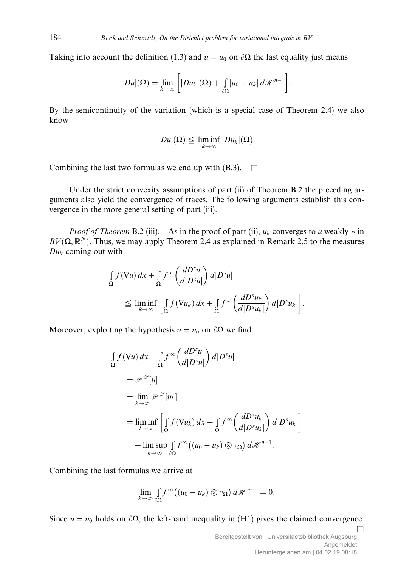Taking into account the definition (1.3) and  $u = u_0$  on  $\partial\Omega$  the last equality just means

$$
|Du|(\Omega)=\lim_{k\to\infty}\bigg[|Du_k|(\Omega)+\int_{\partial\Omega}|u_0-u_k|\,d\mathcal{H}^{n-1}\bigg].
$$

By the semicontinuity of the variation (which is a special case of Theorem 2.4) we also know

$$
|Du|(\Omega) \leqq \liminf_{k \to \infty} |Du_k|(\Omega).
$$

Combining the last two formulas we end up with  $(B.3)$ .  $\Box$ 

Under the strict convexity assumptions of part (ii) of Theorem B.2 the preceding arguments also yield the convergence of traces. The following arguments establish this convergence in the more general setting of part (iii).

*Proof of Theorem* B.2 (iii). As in the proof of part (ii),  $u_k$  converges to u weakly- $*$  in  $BV(\Omega, \mathbb{R}^N)$ . Thus, we may apply Theorem 2.4 as explained in Remark 2.5 to the measures  $Du_k$  coming out with

$$
\int_{\Omega} f(\nabla u) dx + \int_{\Omega} f^{\infty} \left( \frac{dD^{s} u}{d|D^{s} u|} \right) d|D^{s} u|
$$
\n
$$
\leq \liminf_{k \to \infty} \left[ \int_{\Omega} f(\nabla u_{k}) dx + \int_{\Omega} f^{\infty} \left( \frac{dD^{s} u_{k}}{d|D^{s} u_{k}|} \right) d|D^{s} u_{k}| \right].
$$

Moreover, exploiting the hypothesis  $u = u_0$  on  $\partial\Omega$  we find

$$
\int_{\Omega} f(\nabla u) dx + \int_{\Omega} f^{\infty} \left( \frac{dD^{s} u}{d|D^{s} u|} \right) d|D^{s} u|
$$
\n
$$
= \mathscr{F}^{\mathscr{D}}[u]
$$
\n
$$
= \lim_{k \to \infty} \mathscr{F}^{\mathscr{D}}[u_{k}]
$$
\n
$$
= \lim_{k \to \infty} \int_{\Omega} f(\nabla u_{k}) dx + \int_{\Omega} f^{\infty} \left( \frac{dD^{s} u_{k}}{d|D^{s} u_{k}|} \right) d|D^{s} u_{k}|
$$
\n
$$
+ \limsup_{k \to \infty} \int_{\partial \Omega} f^{\infty} \left( (u_{0} - u_{k}) \otimes v_{\Omega} \right) d\mathscr{H}^{n-1}.
$$

Combining the last formulas we arrive at

$$
\lim_{k\to\infty}\int\limits_{\partial\Omega}f^\infty\big((u_0-u_k)\otimes v_\Omega\big)\,d\mathscr{H}^{n-1}=0.
$$

Since  $u = u_0$  holds on  $\partial\Omega$ , the left-hand inequality in (H1) gives the claimed convergence.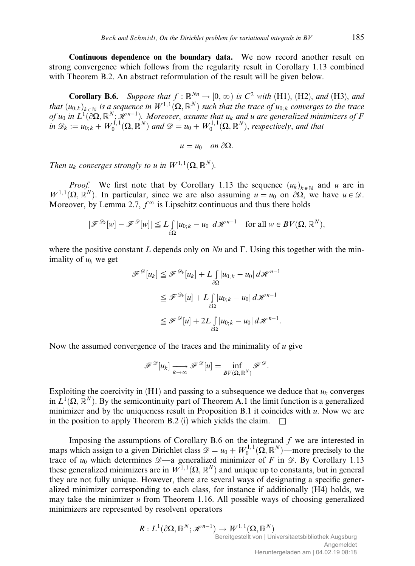Continuous dependence on the boundary data. We now record another result on strong convergence which follows from the regularity result in Corollary 1.13 combined with Theorem B.2. An abstract reformulation of the result will be given below.

**Corollary B.6.** Suppose that  $f : \mathbb{R}^{Nn} \to [0, \infty)$  is  $C^2$  with (H1), (H2), and (H3), and that  $(u_{0,k})_{k\in\mathbb{N}}$  is a sequence in  $W^{1,1}(\Omega,\mathbb{R}^N)$  such that the trace of  $u_{0,k}$  converges to the trace of  $u_0$  in  $L^1(\partial\Omega,\mathbb R^N;\mathscr{H}^{n-1})$ . Moreover, assume that  $u_k$  and u are generalized minimizers of F in  $\mathscr{D}_k := u_{0,k} + W_0^{1,1}(\Omega,\mathbb{R}^N)$  and  $\mathscr{D} = u_0 + W_0^{1,1}(\Omega,\mathbb{R}^N)$ , respectively, and that

 $u = u_0$  on  $\partial\Omega$ .

Then  $u_k$  converges strongly to u in  $W^{1,1}(\Omega,\mathbb{R}^N)$ .

*Proof.* We first note that by Corollary 1.13 the sequence  $(u_k)_{k \in \mathbb{N}}$  and u are in  $W^{1,1}(\Omega,\mathbb{R}^N)$ . In particular, since we are also assuming  $u = u_0$  on  $\partial\Omega$ , we have  $u \in \mathcal{D}$ . Moreover, by Lemma 2.7,  $f^{\infty}$  is Lipschitz continuous and thus there holds

$$
|\mathscr{F}^{\mathscr{D}_k}[w] - \mathscr{F}^{\mathscr{D}}[w]| \le L \int_{\partial \Omega} |u_{0;k} - u_0| \, d\mathscr{H}^{n-1} \quad \text{for all } w \in BV(\Omega, \mathbb{R}^N),
$$

where the positive constant L depends only on  $Nn$  and  $\Gamma$ . Using this together with the minimality of  $u_k$  we get

$$
\mathscr{F}^{\mathscr{D}}[u_k] \leq \mathscr{F}^{\mathscr{D}_k}[u_k] + L \int_{\partial \Omega} |u_{0;k} - u_0| \, d\mathscr{H}^{n-1}
$$
  

$$
\leq \mathscr{F}^{\mathscr{D}_k}[u] + L \int_{\partial \Omega} |u_{0;k} - u_0| \, d\mathscr{H}^{n-1}
$$
  

$$
\leq \mathscr{F}^{\mathscr{D}}[u] + 2L \int_{\partial \Omega} |u_{0;k} - u_0| \, d\mathscr{H}^{n-1}.
$$

Now the assumed convergence of the traces and the minimality of  $u$  give

$$
\mathscr{F}^{\mathscr{D}}[u_k] \xrightarrow[k \to \infty]{} \mathscr{F}^{\mathscr{D}}[u] = \inf_{BV(\Omega, \mathbb{R}^N)} \mathscr{F}^{\mathscr{D}}.
$$

Exploiting the coercivity in  $(H1)$  and passing to a subsequence we deduce that  $u_k$  converges in  $L^1(\Omega, \mathbb{R}^N)$ . By the semicontinuity part of Theorem A.1 the limit function is a generalized minimizer and by the uniqueness result in Proposition B.1 it coincides with  $u$ . Now we are in the position to apply Theorem B.2 (i) which yields the claim.  $\square$ 

Imposing the assumptions of Corollary B.6 on the integrand  $f$  we are interested in maps which assign to a given Dirichlet class  $\mathscr{D} = u_0 + W_0^{1,1}(\Omega, \mathbb{R}^N)$ —more precisely to the trace of  $u_0$  which determines  $\mathscr{D}$ —a generalized minimizer of F in  $\mathscr{D}$ . By Corollary 1.13 these generalized minimizers are in  $W^{1,1}(\Omega,\mathbb{R}^N)$  and unique up to constants, but in general they are not fully unique. However, there are several ways of designating a specific generalized minimizer corresponding to each class, for instance if additionally (H4) holds, we may take the minimizer  $\bar{u}$  from Theorem 1.16. All possible ways of choosing generalized minimizers are represented by resolvent operators

$$
R: L^{1}(\partial\Omega, \mathbb{R}^{N}; \mathscr{H}^{n-1}) \to W^{1,1}(\Omega, \mathbb{R}^{N})
$$
  
Bereitgestellt von | Universitaetsbibliothek Augsburg  
Heruntergeladen am | 04.02.19 08:18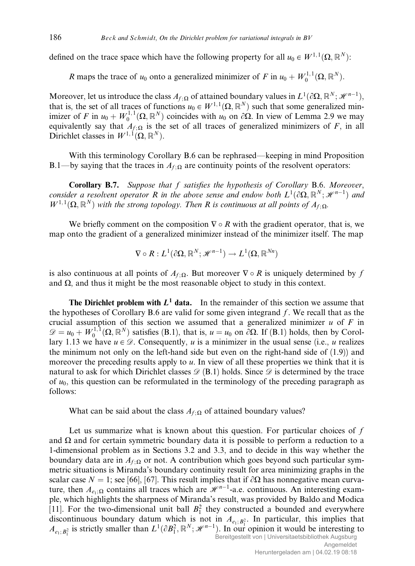defined on the trace space which have the following property for all  $u_0 \in W^{1,1}(\Omega,\mathbb{R}^N)$ :

R maps the trace of  $u_0$  onto a generalized minimizer of F in  $u_0 + W_0^{1,1}(\Omega, \mathbb{R}^N)$ .

Moreover, let us introduce the class  $A_{f;\Omega}$  of attained boundary values in  $L^1(\partial\Omega,\mathbb{R}^N;\mathcal{H}^{n-1}),$ that is, the set of all traces of functions  $u_0 \in W^{1,1}(\Omega,\mathbb{R}^N)$  such that some generalized minimizer of F in  $u_0 + W_0^{1,1}(\Omega, \mathbb{R}^N)$  coincides with  $u_0$  on  $\partial\Omega$ . In view of Lemma 2.9 we may equivalently say that  $A_{f;\Omega}$  is the set of all traces of generalized minimizers of F, in all Dirichlet classes in  $W^{1,1}(\Omega,\mathbb{R}^N)$ .

With this terminology Corollary B.6 can be rephrased—keeping in mind Proposition B.1—by saying that the traces in  $A_{f, \Omega}$  are continuity points of the resolvent operators:

Corollary B.7. Suppose that f satisfies the hypothesis of Corollary B.6. Moreover, consider a resolvent operator R in the above sense and endow both  $L^1(\partial\Omega,\mathbb{R}^N;\mathscr{H}^{n-1})$  and  $W^{1,1}(\Omega,\mathbb{R}^N)$  with the strong topology. Then R is continuous at all points of  $A_{f,\Omega}$ .

We briefly comment on the composition  $\nabla \circ R$  with the gradient operator, that is, we map onto the gradient of a generalized minimizer instead of the minimizer itself. The map

$$
\nabla \circ R: L^1(\partial \Omega, \mathbb{R}^N; \mathcal{H}^{n-1}) \to L^1(\Omega, \mathbb{R}^{Nn})
$$

is also continuous at all points of  $A_{f, \Omega}$ . But moreover  $\nabla \circ R$  is uniquely determined by f and  $\Omega$ , and thus it might be the most reasonable object to study in this context.

The Dirichlet problem with  $L^1$  data. In the remainder of this section we assume that the hypotheses of Corollary B.6 are valid for some given integrand  $f$ . We recall that as the crucial assumption of this section we assumed that a generalized minimizer  $u$  of  $F$  in  $\mathscr{D} = u_0 + W_0^{1,1}(\Omega, \mathbb{R}^N)$  satisfies (B.1), that is,  $u = u_0$  on  $\partial \Omega$ . If (B.1) holds, then by Corollary 1.13 we have  $u \in \mathcal{D}$ . Consequently, u is a minimizer in the usual sense (i.e., u realizes the minimum not only on the left-hand side but even on the right-hand side of (1.9)) and moreover the preceding results apply to u. In view of all these properties we think that it is natural to ask for which Dirichlet classes  $\mathscr{D}(B.1)$  holds. Since  $\mathscr{D}$  is determined by the trace of  $u_0$ , this question can be reformulated in the terminology of the preceding paragraph as follows:

What can be said about the class  $A_{f: \Omega}$  of attained boundary values?

Let us summarize what is known about this question. For particular choices of  $f$ and  $\Omega$  and for certain symmetric boundary data it is possible to perform a reduction to a 1-dimensional problem as in Sections 3.2 and 3.3, and to decide in this way whether the boundary data are in  $A_{f: \Omega}$  or not. A contribution which goes beyond such particular symmetric situations is Miranda's boundary continuity result for area minimizing graphs in the scalar case  $N = 1$ ; see [66], [67]. This result implies that if  $\partial\Omega$  has nonnegative mean curvature, then  $A_{e_1;\Omega}$  contains all traces which are  $\mathcal{H}^{n-1}$ -a.e. continuous. An interesting example, which highlights the sharpness of Miranda's result, was provided by Baldo and Modica [11]. For the two-dimensional unit ball  $B_1^2$  they constructed a bounded and everywhere discontinuous boundary datum which is not in  $A_{e_1;B_1^2}$ . In particular, this implies that  $A_{e_1;B_1^2}$  is strictly smaller than  $L^1(\partial B_1^2,\mathbb{R}^N;\mathcal{H}^{n-1})$ . In our opinion it would be interesting to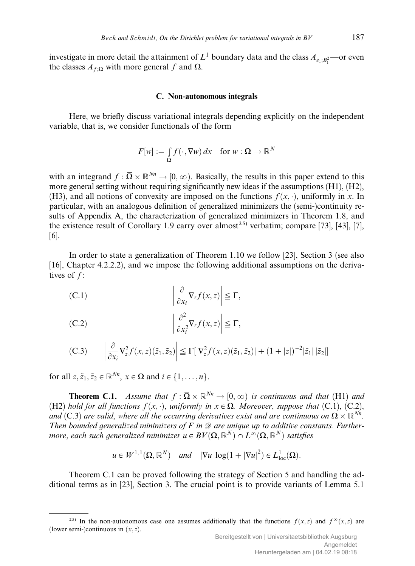investigate in more detail the attainment of  $L^1$  boundary data and the class  $A_{e_1; B_1^2}$ —or even the classes  $A_{f:Q}$  with more general f and  $\Omega$ .

## C. Non-autonomous integrals

Here, we briefly discuss variational integrals depending explicitly on the independent variable, that is, we consider functionals of the form

$$
F[w] := \int_{\Omega} f(\cdot, \nabla w) \, dx \quad \text{for } w : \Omega \to \mathbb{R}^N
$$

with an integrand  $f : \overline{\Omega} \times \mathbb{R}^{N_n} \to [0, \infty)$ . Basically, the results in this paper extend to this more general setting without requiring significantly new ideas if the assumptions (H1), (H2), (H3), and all notions of convexity are imposed on the functions  $f(x, \cdot)$ , uniformly in x. In particular, with an analogous definition of generalized minimizers the (semi-)continuity results of Appendix A, the characterization of generalized minimizers in Theorem 1.8, and the existence result of Corollary 1.9 carry over almost<sup>25)</sup> verbatim; compare [73], [43], [7], [6].

In order to state a generalization of Theorem 1.10 we follow [23], Section 3 (see also [16], Chapter 4.2.2.2), and we impose the following additional assumptions on the derivatives of  $f$ :

(C.1) 
$$
\left| \frac{\partial}{\partial x_i} \nabla_z f(x, z) \right| \leq \Gamma,
$$

(C.2) 
$$
\left| \frac{\partial^2}{\partial x_i^2} \nabla_z f(x, z) \right| \leq \Gamma,
$$

(C.3) 
$$
\left| \frac{\partial}{\partial x_i} \nabla_z^2 f(x, z)(\tilde{z}_1, \tilde{z}_2) \right| \leq \Gamma[|\nabla_z^2 f(x, z)(\tilde{z}_1, \tilde{z}_2)| + (1 + |z|)^{-2} |\tilde{z}_1| |\tilde{z}_2|]
$$

for all  $z, \tilde{z}_1, \tilde{z}_2 \in \mathbb{R}^{N_n}$ ,  $x \in \Omega$  and  $i \in \{1, \dots, n\}$ .

**Theorem C.1.** Assume that  $f : \overline{\Omega} \times \mathbb{R}^{N_n} \to [0, \infty)$  is continuous and that (H1) and (H2) hold for all functions  $f(x, \cdot)$ , uniformly in  $x \in \Omega$ . Moreover, suppose that (C,1), (C,2), and (C.3) are valid, where all the occurring derivatives exist and are continuous on  $\Omega \times \mathbb{R}^{N_n}$ . Then bounded generalized minimizers of F in  $\mathscr D$  are unique up to additive constants. Furthermore, each such generalized minimizer  $u \in BV(\Omega, \mathbb{R}^N) \cap L^{\infty}(\Omega, \mathbb{R}^N)$  satisfies

$$
u \in W^{1,1}(\Omega, \mathbb{R}^N)
$$
 and  $|\nabla u| \log(1 + |\nabla u|^2) \in L^1_{loc}(\Omega)$ .

Theorem C.1 can be proved following the strategy of Section 5 and handling the additional terms as in [23], Section 3. The crucial point is to provide variants of Lemma 5.1

<sup>&</sup>lt;sup>25)</sup> In the non-autonomous case one assumes additionally that the functions  $f(x, z)$  and  $f^{\infty}(x, z)$  are (lower semi-)continuous in  $(x, z)$ .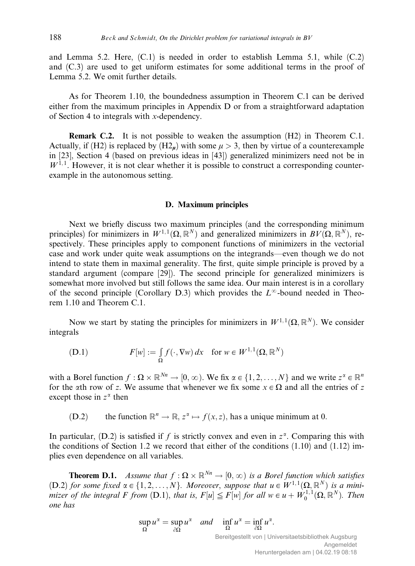and Lemma 5.2. Here,  $(C.1)$  is needed in order to establish Lemma 5.1, while  $(C.2)$ and (C.3) are used to get uniform estimates for some additional terms in the proof of Lemma 5.2. We omit further details.

As for Theorem 1.10, the boundedness assumption in Theorem C.1 can be derived either from the maximum principles in Appendix D or from a straightforward adaptation of Section 4 to integrals with x-dependency.

**Remark C.2.** It is not possible to weaken the assumption  $(H2)$  in Theorem C.1. Actually, if (H2) is replaced by (H2<sub>m</sub>) with some  $\mu > 3$ , then by virtue of a counterexample in [23], Section 4 (based on previous ideas in [43]) generalized minimizers need not be in  $W^{1,1}$ . However, it is not clear whether it is possible to construct a corresponding counterexample in the autonomous setting.

## D. Maximum principles

Next we briefly discuss two maximum principles (and the corresponding minimum principles) for minimizers in  $W^{1,1}(\Omega,\mathbb{R}^N)$  and generalized minimizers in  $BV(\Omega,\mathbb{R}^N)$ , respectively. These principles apply to component functions of minimizers in the vectorial case and work under quite weak assumptions on the integrands—even though we do not intend to state them in maximal generality. The first, quite simple principle is proved by a standard argument (compare [29]). The second principle for generalized minimizers is somewhat more involved but still follows the same idea. Our main interest is in a corollary of the second principle (Corollary D.3) which provides the  $L^{\infty}$ -bound needed in Theorem 1.10 and Theorem C.1.

Now we start by stating the principles for minimizers in  $W^{1,1}(\Omega,\mathbb{R}^N)$ . We consider integrals

(D.1) 
$$
F[w] := \int_{\Omega} f(\cdot, \nabla w) dx \text{ for } w \in W^{1,1}(\Omega, \mathbb{R}^N)
$$

with a Borel function  $f : \Omega \times \mathbb{R}^{N_n} \to [0, \infty)$ . We fix  $\alpha \in \{1, 2, ..., N\}$  and we write  $z^{\alpha} \in \mathbb{R}^n$ for the  $\alpha$ th row of z. We assume that whenever we fix some  $x \in \Omega$  and all the entries of z except those in  $z^{\alpha}$  then

(D.2) the function  $\mathbb{R}^n \to \mathbb{R}, z^{\alpha} \mapsto f(x, z)$ , has a unique minimum at 0.

In particular, (D.2) is satisfied if f is strictly convex and even in  $z^{\alpha}$ . Comparing this with the conditions of Section 1.2 we record that either of the conditions (1.10) and (1.12) implies even dependence on all variables.

**Theorem D.1.** Assume that  $f : \Omega \times \mathbb{R}^{N_n} \to [0, \infty)$  is a Borel function which satisfies (D.2) for some fixed  $\alpha \in \{1, 2, ..., N\}$ . Moreover, suppose that  $u \in W^{1,1}(\Omega, \mathbb{R}^N)$  is a minimizer of the integral F from  $(D.1)$ , that is,  $F[u] \leq F[w]$  for all  $w \in u + W_0^{1,1}(\Omega, \mathbb{R}^N)$ . Then one has

$$
\sup_{\Omega} u^{\alpha} = \sup_{\partial \Omega} u^{\alpha} \quad \text{and} \quad \inf_{\Omega} u^{\alpha} = \inf_{\partial \Omega} u^{\alpha}.
$$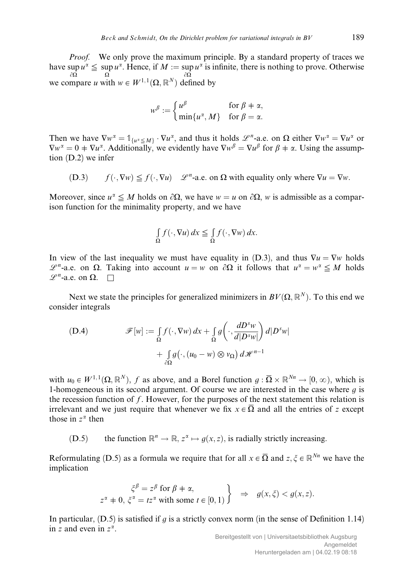*Proof.* We only prove the maximum principle. By a standard property of traces we have sup  $u^{\alpha} \leq \sup u^{\alpha}$ . Hence, if  $M := \sup u^{\alpha}$  is infinite, there is nothing to prove. Otherwise we compare u with  $w \in W^{1,1}(\Omega, \mathbb{R}^N)$  defined by

$$
w^{\beta} := \begin{cases} u^{\beta} & \text{for } \beta \neq \alpha, \\ \min\{u^{\alpha}, M\} & \text{for } \beta = \alpha. \end{cases}
$$

Then we have  $\nabla w^{\alpha} = \mathbb{1}_{\{u^{\alpha} \leq M\}} \cdot \nabla u^{\alpha}$ , and thus it holds  $\mathscr{L}^{n}$ -a.e. on  $\Omega$  either  $\nabla w^{\alpha} = \nabla u^{\alpha}$  or  $\nabla w^{\alpha} = 0 \pm \nabla u^{\alpha}$ . Additionally, we evidently have  $\nabla w^{\beta} = \nabla u^{\beta}$  for  $\beta \pm \alpha$ . Using the assumption (D.2) we infer

 $f(\cdot, \nabla w) \leq f(\cdot, \nabla u)$   $\mathscr{L}^n$ -a.e. on  $\Omega$  with equality only where  $\nabla u = \nabla w$ .

Moreover, since  $u^{\alpha} \leq M$  holds on  $\partial \Omega$ , we have  $w = u$  on  $\partial \Omega$ , w is admissible as a comparison function for the minimality property, and we have

$$
\int_{\Omega} f(\cdot, \nabla u) dx \leq \int_{\Omega} f(\cdot, \nabla w) dx.
$$

In view of the last inequality we must have equality in (D.3), and thus  $\nabla u = \nabla w$  holds  $\mathscr{L}^n$ -a.e. on  $\Omega$ . Taking into account  $u = w$  on  $\partial \Omega$  it follows that  $u^{\alpha} = w^{\alpha} \leq M$  holds  $\mathscr{L}^n$ -a.e. on  $\Omega$ .  $\square$ 

Next we state the principles for generalized minimizers in  $BV(\Omega, \mathbb{R}^N)$ . To this end we consider integrals

(D.4) 
$$
\mathscr{F}[w] := \int_{\Omega} f(\cdot, \nabla w) dx + \int_{\Omega} g\left(\cdot, \frac{dD^s w}{d|D^s w|}\right) d|D^s w| + \int_{\partial \Omega} g(\cdot, (u_0 - w) \otimes v_{\Omega}) d\mathscr{H}^{n-1}
$$

with  $u_0 \in W^{1,1}(\Omega, \mathbb{R}^N)$ , f as above, and a Borel function  $q : \overline{\Omega} \times \mathbb{R}^{N_n} \to [0, \infty)$ , which is 1-homogeneous in its second argument. Of course we are interested in the case where  $q$  is the recession function of f. However, for the purposes of the next statement this relation is irrelevant and we just require that whenever we fix  $x \in \overline{\Omega}$  and all the entries of z except those in  $z^{\alpha}$  then

(D.5) the function  $\mathbb{R}^n \to \mathbb{R}, z^{\alpha} \mapsto q(x, z)$ , is radially strictly increasing.

Reformulating (D.5) as a formula we require that for all  $x \in \overline{\Omega}$  and  $z, \xi \in \mathbb{R}^{N_n}$  we have the implication

$$
\xi^{\beta} = z^{\beta} \text{ for } \beta \neq \alpha,
$$
  
 
$$
z^{\alpha} \neq 0, \xi^{\alpha} = tz^{\alpha} \text{ with some } t \in [0, 1) \} \Rightarrow g(x, \xi) < g(x, z).
$$

In particular,  $(D.5)$  is satisfied if q is a strictly convex norm (in the sense of Definition 1.14) in z and even in  $z^{\alpha}$ .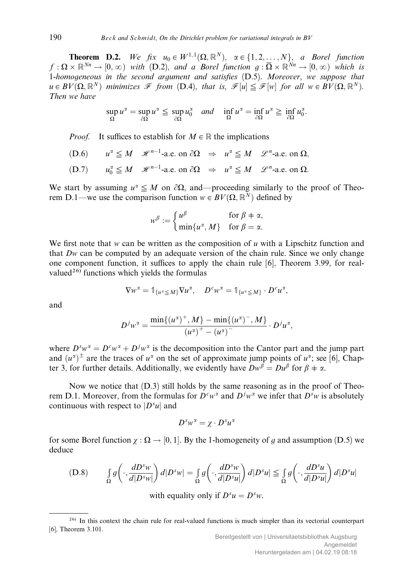**Theorem D.2.** We fix  $u_0 \in W^{1,1}(\Omega, \mathbb{R}^N)$ ,  $\alpha \in \{1, 2, ..., N\}$ , a Borel function  $f: \Omega \times \mathbb{R}^{N_n} \to [0,\infty)$  with (D.2), and a Borel function  $g: \overline{\Omega} \times \mathbb{R}^{N_n} \to [0,\infty)$  which is 1-homogeneous in the second argument and satisfies (D.5). Moreover, we suppose that  $u \in BV(\Omega, \mathbb{R}^N)$  minimizes F from  $(D.4)$ , that is,  $\mathcal{F}[u] \leq \mathcal{F}[w]$  for all  $w \in BV(\Omega, \mathbb{R}^N)$ . Then we have

$$
\sup_{\Omega} u^{\alpha} = \sup_{\partial \Omega} u^{\alpha} \leq \sup_{\partial \Omega} u_0^{\alpha} \quad \text{and} \quad \inf_{\Omega} u^{\alpha} = \inf_{\partial \Omega} u^{\alpha} \geq \inf_{\partial \Omega} u_0^{\alpha}.
$$

*Proof.* It suffices to establish for  $M \in \mathbb{R}$  the implications

- $(D.6)$   $u^{\alpha} \leq M$   $\mathcal{H}^{n-1}$ -a.e. on  $\partial \Omega \Rightarrow u^{\alpha} \leq M$   $\mathcal{L}^{n}$ -a.e. on  $\Omega$ ,
- (D.7)  $u_0^{\alpha} \leq M \quad \mathcal{H}^{n-1}$ -a.e. on  $\partial \Omega \Rightarrow u^{\alpha} \leq M \quad \mathcal{L}^{n}$ -a.e. on  $\Omega$ .

We start by assuming  $u^{\alpha} \leq M$  on  $\partial \Omega$ , and—proceeding similarly to the proof of Theorem D.1—we use the comparison function  $w \in BV(\Omega, \mathbb{R}^N)$  defined by

$$
w^{\beta} := \begin{cases} u^{\beta} & \text{for } \beta \neq \alpha, \\ \min\{u^{\alpha}, M\} & \text{for } \beta = \alpha. \end{cases}
$$

We first note that w can be written as the composition of u with a Lipschitz function and that Dw can be computed by an adequate version of the chain rule. Since we only change one component function, it suffices to apply the chain rule  $[6]$ , Theorem 3.99, for realvalued<sup>26)</sup> functions which yields the formulas

$$
\nabla w^{\alpha} = \mathbb{1}_{\{u^{\alpha} \leq M\}} \nabla u^{\alpha}, \quad D^{c} w^{\alpha} = \mathbb{1}_{\{u^{\alpha} \leq M\}} \cdot D^{c} u^{\alpha},
$$

and

$$
D^{j}w^{\alpha} = \frac{\min\{(u^{\alpha})^{+}, M\} - \min\{(u^{\alpha})^{-}, M\}}{(u^{\alpha})^{+} - (u^{\alpha})^{-}} \cdot D^{j}u^{\alpha},
$$

where  $D^s w^{\alpha} = D^c w^{\alpha} + D^j w^{\alpha}$  is the decomposition into the Cantor part and the jump part and  $(u^{\alpha})^{\pm}$  are the traces of  $u^{\alpha}$  on the set of approximate jump points of  $u^{\alpha}$ ; see [6], Chapter 3, for further details. Additionally, we evidently have  $Dw^{\beta} = Du^{\beta}$  for  $\beta \neq \alpha$ .

Now we notice that  $(D.3)$  still holds by the same reasoning as in the proof of Theorem D.1. Moreover, from the formulas for  $D^c w^{\alpha}$  and  $D^j w^{\alpha}$  we infer that  $D^s w$  is absolutely continuous with respect to  $|D<sup>s</sup>u|$  and

$$
D^s w^\alpha = \chi \cdot D^s u^\alpha
$$

for some Borel function  $\chi : \Omega \to [0, 1]$ . By the 1-homogeneity of g and assumption (D.5) we deduce

(D.8) 
$$
\int_{\Omega} g\left(\cdot, \frac{dD^s w}{d|D^s w|}\right) d|D^s w| = \int_{\Omega} g\left(\cdot, \frac{dD^s w}{d|D^s u|}\right) d|D^s u| \leq \int_{\Omega} g\left(\cdot, \frac{dD^s u}{d|D^s u|}\right) d|D^s u|
$$

with equality only if  $D^s u = D^s w$ .

<sup>26)</sup> In this context the chain rule for real-valued functions is much simpler than its vectorial counterpart [6], Theorem 3.101.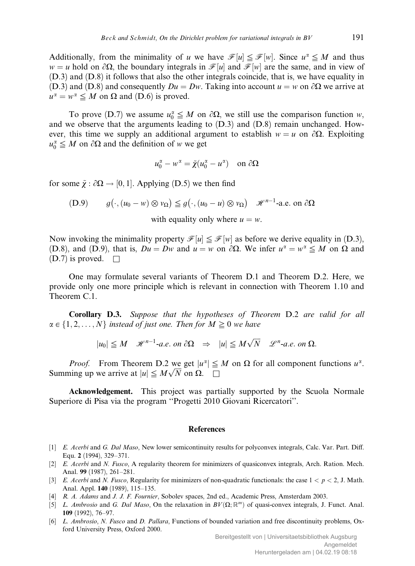Additionally, from the minimality of u we have  $\mathcal{F}[u] \leq \mathcal{F}[w]$ . Since  $u^{\alpha} \leq M$  and thus  $w = u$  hold on  $\partial\Omega$ , the boundary integrals in  $\mathcal{F}[u]$  and  $\mathcal{F}[w]$  are the same, and in view of (D.3) and (D.8) it follows that also the other integrals coincide, that is, we have equality in (D.3) and (D.8) and consequently  $Du = Dw$ . Taking into account  $u = w$  on  $\partial\Omega$  we arrive at  $u^{\alpha} = w^{\alpha} \leq M$  on  $\Omega$  and (D.6) is proved.

To prove (D.7) we assume  $u_0^{\alpha} \leq M$  on  $\partial \Omega$ , we still use the comparison function w, and we observe that the arguments leading to (D.3) and (D.8) remain unchanged. However, this time we supply an additional argument to establish  $w = u$  on  $\partial\Omega$ . Exploiting  $u_0^{\alpha} \leq M$  on  $\partial \Omega$  and the definition of w we get

$$
u_0^{\alpha} - w^{\alpha} = \tilde{\chi}(u_0^{\alpha} - u^{\alpha}) \quad \text{on } \partial\Omega
$$

for some  $\tilde{\chi}$  :  $\partial \Omega \rightarrow [0, 1]$ . Applying (D.5) we then find

(D.9) 
$$
g(\cdot, (u_0 - w) \otimes v_{\Omega}) \leq g(\cdot, (u_0 - u) \otimes v_{\Omega}) \mathcal{H}^{n-1}
$$
-a.e. on  $\partial \Omega$ 

with equality only where  $u = w$ .

Now invoking the minimality property  $\mathcal{F}[u] \leq \mathcal{F}[w]$  as before we derive equality in (D.3), (D.8), and (D.9), that is,  $Du = Dw$  and  $u = w$  on  $\partial\Omega$ . We infer  $u^{\alpha} = w^{\alpha} \leq M$  on  $\Omega$  and  $(D.7)$  is proved.  $\square$ 

One may formulate several variants of Theorem D.1 and Theorem D.2. Here, we provide only one more principle which is relevant in connection with Theorem 1.10 and Theorem C.1.

Corollary D.3. Suppose that the hypotheses of Theorem D.2 are valid for all  $\alpha \in \{1, 2, \ldots, N\}$  instead of just one. Then for  $M \geq 0$  we have

 $|u_0| \leq M$   $\mathcal{H}^{n-1}$ -a.e. on  $\partial \Omega \Rightarrow |u| \leq M \sqrt{N}$   $\mathcal{L}^n$ -a.e. on  $\Omega$ .

*Proof.* From Theorem D.2 we get  $|u^{\alpha}| \leq M$  on  $\Omega$  for all component functions  $u^{\alpha}$ . Summing up we arrive at  $|u| \leq M \sqrt{N}$  on  $\Omega$ .  $\square$ 

Acknowledgement. This project was partially supported by the Scuola Normale Superiore di Pisa via the program ''Progetti 2010 Giovani Ricercatori''.

## **References**

- [1] E. Acerbi and G. Dal Maso, New lower semicontinuity results for polyconvex integrals, Calc. Var. Part. Diff. Equ. 2 (1994), 329–371.
- [2] E. Acerbi and N. Fusco, A regularity theorem for minimizers of quasiconvex integrals, Arch. Ration. Mech. Anal. 99 (1987), 261–281.
- [3] E. Acerbi and N. Fusco, Regularity for minimizers of non-quadratic functionals: the case  $1 < p < 2$ , J. Math. Anal. Appl. 140 (1989), 115–135.
- [4] R. A. Adams and J. J. F. Fournier, Sobolev spaces, 2nd ed., Academic Press, Amsterdam 2003.
- [5] L. Ambrosio and G. Dal Maso, On the relaxation in  $BV(\Omega;\mathbb{R}^m)$  of quasi-convex integrals, J. Funct. Anal. 109 (1992), 76–97.
- [6] L. Ambrosio, N. Fusco and D. Pallara, Functions of bounded variation and free discontinuity problems, Oxford University Press, Oxford 2000.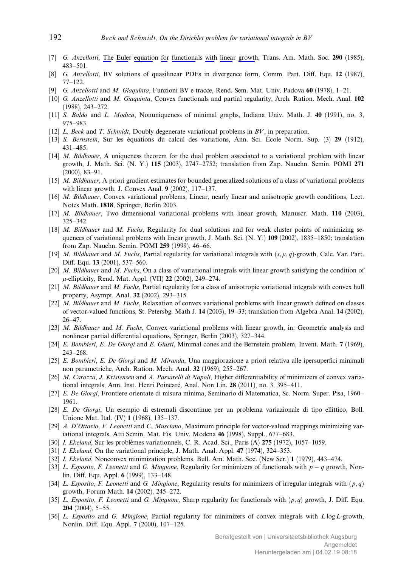- [7] G. Anzellotti, The Euler equation for functionals with linear growth, Trans. Am. Math. Soc. 290 (1985), 483–501.
- [8] G. Anzellotti, BV solutions of quasilinear PDEs in divergence form, Comm. Part. Diff. Equ. 12 (1987), 77–122.
- [9] G. Anzellotti and M. Giaquinta, Funzioni BV e tracce, Rend. Sem. Mat. Univ. Padova 60 (1978), 1–21.
- [10] G. Anzellotti and M. Giaquinta, Convex functionals and partial regularity, Arch. Ration. Mech. Anal. 102 (1988), 243–272.
- [11] S. Baldo and L. Modica, Nonuniqueness of minimal graphs, Indiana Univ. Math. J. 40 (1991), no. 3, 975–983.
- [12] L. Beck and T. Schmidt, Doubly degenerate variational problems in BV, in preparation.
- [13] S. Bernstein, Sur les équations du calcul des variations, Ann. Sci. École Norm. Sup. (3) 29 (1912), 431–485.
- [14] M. Bildhauer, A uniqueness theorem for the dual problem associated to a variational problem with linear growth, J. Math. Sci. (N. Y.) 115 (2003), 2747–2752; translation from Zap. Nauchn. Semin. POMI 271 (2000), 83–91.
- [15] M. Bildhauer, A priori gradient estimates for bounded generalized solutions of a class of variational problems with linear growth, J. Convex Anal. 9 (2002), 117–137.
- [16] M. Bildhauer, Convex variational problems, Linear, nearly linear and anisotropic growth conditions, Lect. Notes Math. 1818, Springer, Berlin 2003.
- [17] M. Bildhauer, Two dimensional variational problems with linear growth, Manuscr. Math. 110 (2003), 325–342.
- [18] M. Bildhauer and M. Fuchs, Regularity for dual solutions and for weak cluster points of minimizing sequences of variational problems with linear growth, J. Math. Sci. (N. Y.) 109 (2002), 1835–1850; translation from Zap. Nauchn. Semin. POMI 259 (1999), 46–66.
- [19] M. Bildhauer and M. Fuchs, Partial regularity for variational integrals with  $(s, \mu, q)$ -growth, Calc. Var. Part. Diff. Equ. 13 (2001), 537-560.
- [20] *M. Bildhauer* and *M. Fuchs*, On a class of variational integrals with linear growth satisfying the condition of  $\mu$ -ellipticity, Rend. Mat. Appl. (VII) 22 (2002), 249–274.
- [21] M. Bildhauer and M. Fuchs, Partial regularity for a class of anisotropic variational integrals with convex hull property, Asympt. Anal. 32 (2002), 293–315.
- [22] *M. Bildhauer* and *M. Fuchs*, Relaxation of convex variational problems with linear growth defined on classes of vector-valued functions, St. Petersbg. Math J. 14 (2003), 19–33; translation from Algebra Anal. 14 (2002), 26–47.
- [23] M. Bildhauer and M. Fuchs, Convex variational problems with linear growth, in: Geometric analysis and nonlinear partial differential equations, Springer, Berlin (2003), 327–344.
- [24] E. Bombieri, E. De Giorgi and E. Giusti, Minimal cones and the Bernstein problem, Invent. Math. 7 (1969), 243–268.
- [25] E. Bombieri, E. De Giorgi and M. Miranda, Una maggiorazione a priori relativa alle ipersuperfici minimali non parametriche, Arch. Ration. Mech. Anal. 32 (1969), 255–267.
- [26] M. Carozza, J. Kristensen and A. Passarelli di Napoli, Higher differentiability of minimizers of convex variational integrals, Ann. Inst. Henri Poincaré, Anal. Non Lin. 28 (2011), no. 3, 395–411.
- [27] E. De Giorgi, Frontiere orientate di misura minima, Seminario di Matematica, Sc. Norm. Super. Pisa, 1960– 1961.
- [28] E. De Giorgi, Un esempio di estremali discontinue per un problema variazionale di tipo ellittico, Boll. Unione Mat. Ital. (IV) 1 (1968), 135–137.
- [29] A. D'Ottavio, F. Leonetti and C. Musciano, Maximum principle for vector-valued mappings minimizing variational integrals, Atti Semin. Mat. Fis. Univ. Modena 46 (1998), Suppl., 677–683.
- [30] *I. Ekeland*, Sur les problèmes variationnels, C. R. Acad. Sci., Paris (A) 275 (1972), 1057–1059.
- [31] *I. Ekeland*, On the variational principle, J. Math. Anal. Appl. **47** (1974), 324–353.
- [32] I. Ekeland, Nonconvex minimization problems, Bull. Am. Math. Soc. (New Ser.) 1 (1979), 443–474.
- [33] L. Esposito, F. Leonetti and G. Mingione, Regularity for minimizers of functionals with  $p q$  growth, Nonlin. Diff. Equ. Appl. 6 (1999), 133-148.
- [34] L. Esposito, F. Leonetti and G. Mingione, Regularity results for minimizers of irregular integrals with  $(p, q)$ growth, Forum Math. 14 (2002), 245–272.
- [35] L. Esposito, F. Leonetti and G. Mingione, Sharp regularity for functionals with  $(p, q)$  growth, J. Diff. Equ. 204 (2004), 5–55.
- [36] L. Esposito and G. Mingione, Partial regularity for minimizers of convex integrals with  $L \log L$ -growth, Nonlin. Diff. Equ. Appl. 7 (2000), 107-125.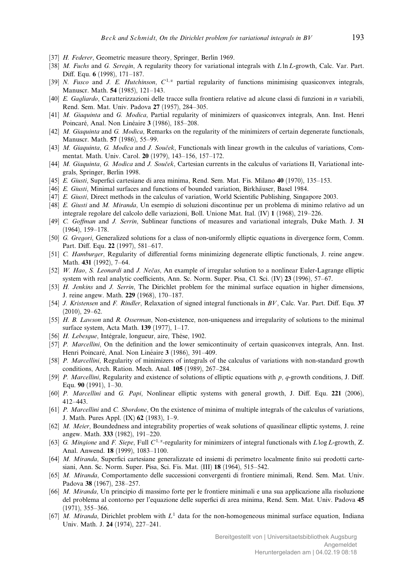- [37] *H. Federer*, Geometric measure theory, Springer, Berlin 1969.
- [38] M. Fuchs and G. Seregin, A regularity theory for variational integrals with  $L \ln L$ -growth, Calc. Var. Part. Diff. Equ. 6 (1998), 171-187.
- [39] N. Fusco and J. E. Hutchinson,  $C^{1,\alpha}$  partial regularity of functions minimising quasiconvex integrals, Manuscr. Math. 54 (1985), 121–143.
- [40] E. Gagliardo, Caratterizzazioni delle tracce sulla frontiera relative ad alcune classi di funzioni in n variabili, Rend. Sem. Mat. Univ. Padova 27 (1957), 284–305.
- [41] M. Giaquinta and G. Modica, Partial regularity of minimizers of quasiconvex integrals, Ann. Inst. Henri Poincaré, Anal. Non Linéaire 3 (1986), 185–208.
- [42] M. Giaquinta and G. Modica, Remarks on the regularity of the minimizers of certain degenerate functionals, Manuscr. Math. 57 (1986), 55–99.
- [43] M. Giaquinta, G. Modica and J. Souček, Functionals with linear growth in the calculus of variations, Commentat. Math. Univ. Carol. 20 (1979), 143–156, 157–172.
- [44] M. Giaquinta, G. Modica and J. Souček, Cartesian currents in the calculus of variations II, Variational integrals, Springer, Berlin 1998.
- [45] E. Giusti, Superfici cartesiane di area minima, Rend. Sem. Mat. Fis. Milano 40 (1970), 135–153.
- [46] E. Giusti, Minimal surfaces and functions of bounded variation, Birkhäuser, Basel 1984.
- [47] E. Giusti, Direct methods in the calculus of variation, World Scientific Publishing, Singapore 2003.
- [48] E. Giusti and M. Miranda, Un esempio di soluzioni discontinue per un problema di minimo relativo ad un integrale regolare del calcolo delle variazioni, Boll. Unione Mat. Ital. (IV) 1 (1968), 219–226.
- [49] C. Goffman and J. Serrin, Sublinear functions of measures and variational integrals, Duke Math. J. 31 (1964), 159–178.
- [50] G. Gregori, Generalized solutions for a class of non-uniformly elliptic equations in divergence form, Comm. Part. Diff. Equ. 22 (1997), 581-617.
- [51] C. Hamburger, Regularity of differential forms minimizing degenerate elliptic functionals, J. reine angew. Math. 431 (1992), 7–64.
- [52] W. Hao, S. Leonardi and J. Nečas, An example of irregular solution to a nonlinear Euler-Lagrange elliptic system with real analytic coefficients, Ann. Sc. Norm. Super. Pisa, Cl. Sci. (IV)  $23$  (1996),  $57-67$ .
- [53] H. Jenkins and J. Serrin, The Dirichlet problem for the minimal surface equation in higher dimensions, J. reine angew. Math. 229 (1968), 170–187.
- [54] J. Kristensen and F. Rindler, Relaxation of signed integral functionals in  $BV$ , Calc. Var. Part. Diff. Equ. 37 (2010), 29–62.
- [55] H. B. Lawson and R. Osserman, Non-existence, non-uniqueness and irregularity of solutions to the minimal surface system, Acta Math. 139 (1977), 1–17.
- [56] H. Lebesgue, Intégrale, longueur, aire, Thèse, 1902.
- [57] P. Marcellini, On the definition and the lower semicontinuity of certain quasiconvex integrals, Ann. Inst. Henri Poincaré, Anal. Non Linéaire 3 (1986), 391-409.
- [58] P. Marcellini, Regularity of minimizers of integrals of the calculus of variations with non-standard growth conditions, Arch. Ration. Mech. Anal. 105 (1989), 267–284.
- [59] P. Marcellini, Regularity and existence of solutions of elliptic equations with p, q-growth conditions, J. Diff. Equ. 90 (1991), 1–30.
- [60] P. Marcellini and G. Papi, Nonlinear elliptic systems with general growth, J. Diff. Equ. 221 (2006), 412–443.
- [61] P. Marcellini and C. Sbordone, On the existence of minima of multiple integrals of the calculus of variations, J. Math. Pures Appl. (IX) 62 (1983), 1–9.
- [62] *M. Meier*, Boundedness and integrability properties of weak solutions of quasilinear elliptic systems, J. reine angew. Math. 333 (1982), 191–220.
- [63] G. Mingione and F. Siepe, Full  $C^{1,\alpha}$ -regularity for minimizers of integral functionals with L log L-growth, Z. Anal. Anwend. 18 (1999), 1083–1100.
- [64] M. Miranda, Superfici cartesiane generalizzate ed insiemi di perimetro localmente finito sui prodotti cartesiani, Ann. Sc. Norm. Super. Pisa, Sci. Fis. Mat. (III) 18 (1964), 515–542.
- [65] M. Miranda, Comportamento delle successioni convergenti di frontiere minimali, Rend. Sem. Mat. Univ. Padova 38 (1967), 238–257.
- [66] M. Miranda, Un principio di massimo forte per le frontiere minimali e una sua applicazione alla risoluzione del problema al contorno per l'equazione delle superfici di area minima, Rend. Sem. Mat. Univ. Padova 45 (1971), 355–366.
- [67] M. Miranda, Dirichlet problem with  $L<sup>1</sup>$  data for the non-homogeneous minimal surface equation, Indiana Univ. Math. J. 24 (1974), 227–241.